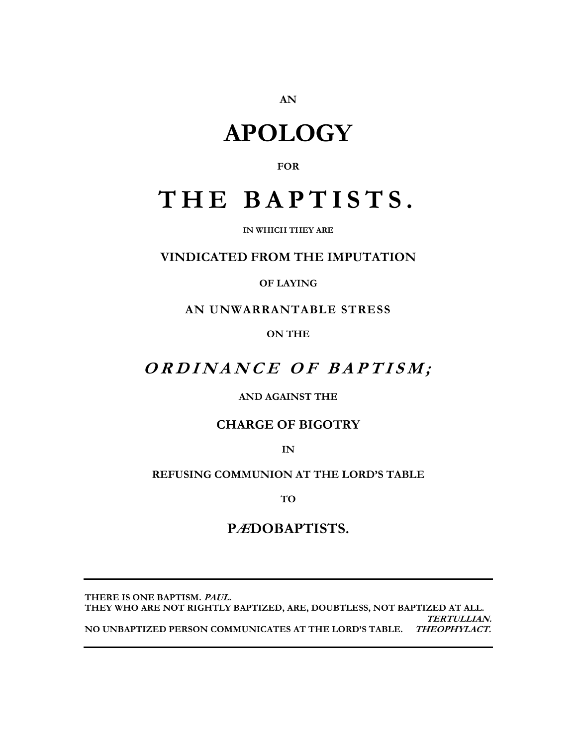AN

# **APOLOGY**

### **FOR**

# THE BAPTISTS.

IN WHICH THEY ARE

## **VINDICATED FROM THE IMPUTATION**

## **OF LAYING**

AN UNWARRANTABLE STRESS

**ON THE** 

# ORDINANCE OF BAPTISM;

## **AND AGAINST THE**

## **CHARGE OF BIGOTRY**

 $IN$ 

## REFUSING COMMUNION AT THE LORD'S TABLE

**TO** 

## PÆDOBAPTISTS.

THERE IS ONE BAPTISM. PAUL. THEY WHO ARE NOT RIGHTLY BAPTIZED, ARE, DOUBTLESS, NOT BAPTIZED AT ALL. **TERTULLIAN.** NO UNBAPTIZED PERSON COMMUNICATES AT THE LORD'S TABLE. THEOPHYLACT.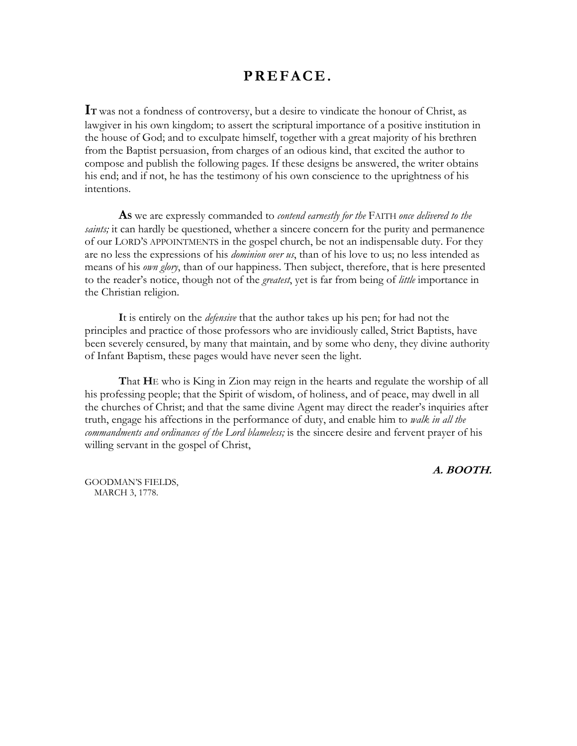## PREFACE.

IT was not a fondness of controversy, but a desire to vindicate the honour of Christ, as lawgiver in his own kingdom; to assert the scriptural importance of a positive institution in the house of God; and to exculpate himself, together with a great majority of his brethren from the Baptist persuasion, from charges of an odious kind, that excited the author to compose and publish the following pages. If these designs be answered, the writer obtains his end; and if not, he has the testimony of his own conscience to the uprightness of his intentions.

As we are expressly commanded to *contend earnestly for the* FAITH *once delivered to the* saints; it can hardly be questioned, whether a sincere concern for the purity and permanence of our LORD'S APPOINTMENTS in the gospel church, be not an indispensable duty. For they are no less the expressions of his *dominion over us*, than of his love to us; no less intended as means of his own glory, than of our happiness. Then subject, therefore, that is here presented to the reader's notice, though not of the *greatest*, yet is far from being of *little* importance in the Christian religion.

It is entirely on the *defensive* that the author takes up his pen; for had not the principles and practice of those professors who are invidiously called, Strict Baptists, have been severely censured, by many that maintain, and by some who deny, they divine authority of Infant Baptism, these pages would have never seen the light.

That HE who is King in Zion may reign in the hearts and regulate the worship of all his professing people; that the Spirit of wisdom, of holiness, and of peace, may dwell in all the churches of Christ; and that the same divine Agent may direct the reader's inquiries after truth, engage his affections in the performance of duty, and enable him to walk in all the commandments and ordinances of the Lord blameless; is the sincere desire and fervent prayer of his willing servant in the gospel of Christ,

**GOODMAN'S FIELDS,** MARCH 3, 1778.

A. BOOTH.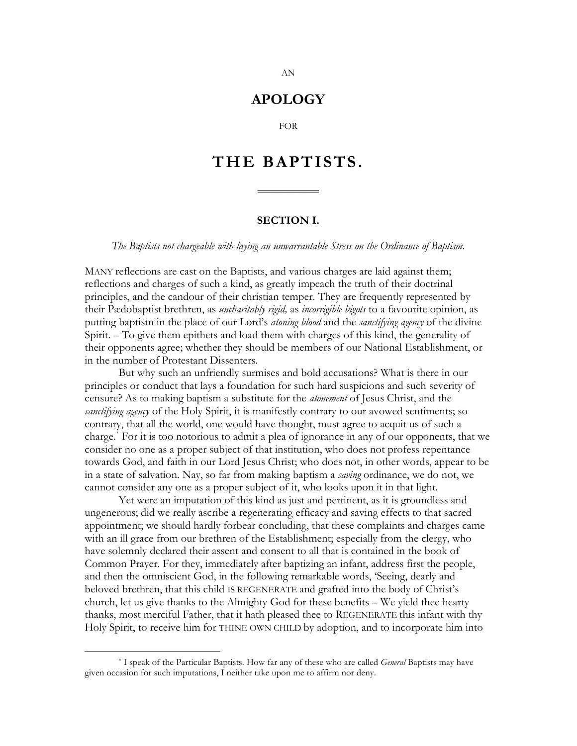## **APOLOGY**

**FOR** 

# THE BAPTISTS.

#### **SECTION I.**

#### The Baptists not chargeable with laying an unwarrantable Stress on the Ordinance of Baptism.

MANY reflections are cast on the Baptists, and various charges are laid against them; reflections and charges of such a kind, as greatly impeach the truth of their doctrinal principles, and the candour of their christian temper. They are frequently represented by their Pædobaptist brethren, as *uncharitably rigid*, as *incorrigible bigots* to a favourite opinion, as putting baptism in the place of our Lord's *atoning blood* and the *sanctifying agency* of the divine Spirit. – To give them epithets and load them with charges of this kind, the generality of their opponents agree; whether they should be members of our National Establishment, or in the number of Protestant Dissenters.

But why such an unfriendly surmises and bold accusations? What is there in our principles or conduct that lays a foundation for such hard suspicions and such severity of censure? As to making baptism a substitute for the *atonement* of Jesus Christ, and the sanctifying agency of the Holy Spirit, it is manifestly contrary to our avowed sentiments; so contrary, that all the world, one would have thought, must agree to acquit us of such a charge.<sup>\*</sup> For it is too notorious to admit a plea of ignorance in any of our opponents, that we consider no one as a proper subject of that institution, who does not profess repentance towards God, and faith in our Lord Jesus Christ; who does not, in other words, appear to be in a state of salvation. Nay, so far from making baptism a *saving* ordinance, we do not, we cannot consider any one as a proper subject of it, who looks upon it in that light.

Yet were an imputation of this kind as just and pertinent, as it is groundless and ungenerous; did we really ascribe a regenerating efficacy and saving effects to that sacred appointment; we should hardly forbear concluding, that these complaints and charges came with an ill grace from our brethren of the Establishment; especially from the clergy, who have solemnly declared their assent and consent to all that is contained in the book of Common Prayer. For they, immediately after baptizing an infant, address first the people, and then the omniscient God, in the following remarkable words, 'Seeing, dearly and beloved brethren, that this child IS REGENERATE and grafted into the body of Christ's church, let us give thanks to the Almighty God for these benefits – We yield thee hearty thanks, most merciful Father, that it hath pleased thee to REGENERATE this infant with thy Holy Spirit, to receive him for THINE OWN CHILD by adoption, and to incorporate him into

<sup>\*</sup> I speak of the Particular Baptists. How far any of these who are called *General* Baptists may have given occasion for such imputations, I neither take upon me to affirm nor deny.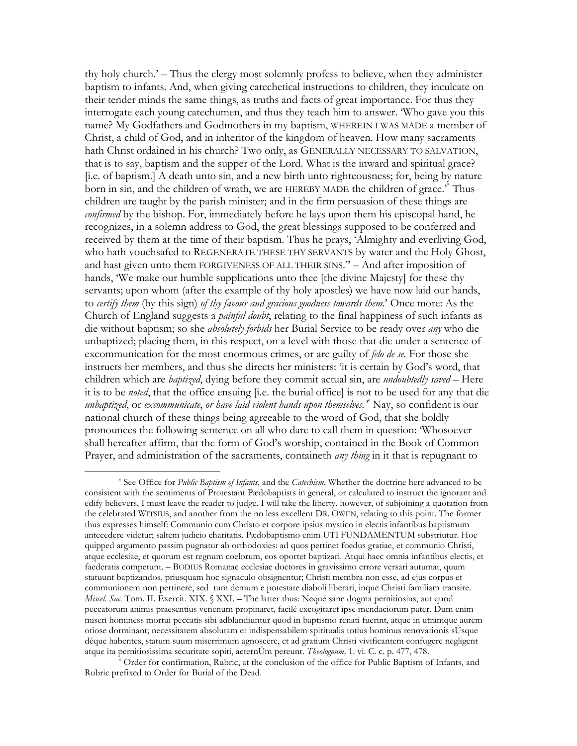thy holy church.' – Thus the clergy most solemnly profess to believe, when they administer baptism to infants. And, when giving cate chetical instructions to children, they inculcate on their tender minds the same things, as truths and facts of great importance. For thus they interrogate each young catechumen, and thus they teach him to answer. 'Who gave you this name? My Godfathers and Godmothers in my baptism, WHEREIN I WAS MADE a member of Christ, a child of God, and in inheritor of the kingdom of heaven. How many sacraments hath Christ ordained in his church? Two only, as GENERALLY NECESSARY TO SALVATION, that is to say, baptism and the supper of the Lord. What is the inward and spiritual grace? [i.e. of baptism.] A death unto sin, and a new birth unto righteousness; for, being by nature born in sin, and the children of wrath, we are HEREBY MADE the children of grace." Thus children are taught by the parish minister; and in the firm persuasion of these things are *confirmed* by the bishop. For, immediately before he lays upon them his episcopal hand, he recognizes, in a solemn address to God, the great blessings supposed to be conferred and received by them at the time of their baptism. Thus he prays, 'Almighty and everliving God, who hath vouchsafed to REGENERATE THESE THY SERVANTS by water and the Holy Ghost, and hast given unto them FORGIVENESS OF ALL THEIR SINS." - And after imposition of hands, 'We make our humble supplications unto thee [the divine Majesty] for these thy servants; upon whom (after the example of thy holy apostles) we have now laid our hands, to certify them (by this sign) of thy favour and gracious goodness towards them.' Once more: As the Church of England suggests a *painful doubt*, relating to the final happiness of such infants as die without baptism; so she *absolutely forbids* her Burial Service to be ready over *any* who die unbaptized; placing them, in this respect, on a level with those that die under a sentence of excommunication for the most enormous crimes, or are guilty of felo de se. For those she instructs her members, and thus she directs her ministers: 'it is certain by God's word, that children which are *baptized*, dying before they commit actual sin, are *undoubtedly saved* – Here it is to be *noted*, that the office ensuing [i.e. the burial office] is not to be used for any that die unbaptized, or excommunicate, or have laid violent hands upon themselves.<sup>\*</sup> Nay, so confident is our national church of these things being agreeable to the word of God, that she boldly pronounces the following sentence on all who dare to call them in question: Whosoever shall hereafter affirm, that the form of God's worship, contained in the Book of Common Prayer, and administration of the sacraments, containeth *any thing* in it that is repugnant to

<sup>\*</sup> See Office for *Public Baptism of Infants*, and the *Catechism*. Whether the doctrine here advanced to be consistent with the sentiments of Protestant Pædobaptists in general, or calculated to instruct the ignorant and edify believers, I must leave the reader to judge. I will take the liberty, however, of subjoining a quotation from the celebrated WITSIUS, and another from the no less excellent DR. OWEN, relating to this point. The former thus expresses himself: Communio cum Christo et corpore ipsius mystico in electis infantibus baptismum antecedere videtur; saltem judicio charitatis. Pædobaptismo enim UTI FUNDAMENTUM substriutur. Hoe quipped argumento passim pugnatur ab orthodoxies: ad quos pertinet foedus gratiae, et communio Christi, atque ecclesiae, et quorum est regnum coelorum, eos oportet baptizari. Atqui haec omnia infantibus electis, et faederatis competunt. – BODIUS Romanae ecclesiae doctores in gravissimo errore versari autumat, quum statuunt baptizandos, priusquam hoc signaculo obsignentur; Christi membra non esse, ad ejus corpus et communionem non pertinere, sed tum demum e potestate diaboli liberari, inque Christi familiam transire. Miscel. Sac. Tom. II. Exercit. XIX. § XXI. – The latter thus: Nequé sane dogma permitiosius, aut quod peccatorum animis praesentius venenum propinaret, facilé excogitaret ipse mendaciorum pater. Dum enim miseri hominess mortui peccatis sibi adblandiuntur quod in baptismo renati fuerint, atque in utramque aurem otiose dorminant; necessitatem absolutam et indispensabilem spiritualis totius hominus renovationis sÚsque déque habentes, statum suum miserrimum agnoscere, et ad gratium Christi vivificantem confugere negligent atque ita pernitiosissima securitate sopiti, aeternÚm pereunt. Theologoum, 1. vi. C. c. p. 477, 478.

Order for confirmation, Rubric, at the conclusion of the office for Public Baptism of Infants, and Rubric prefixed to Order for Burial of the Dead.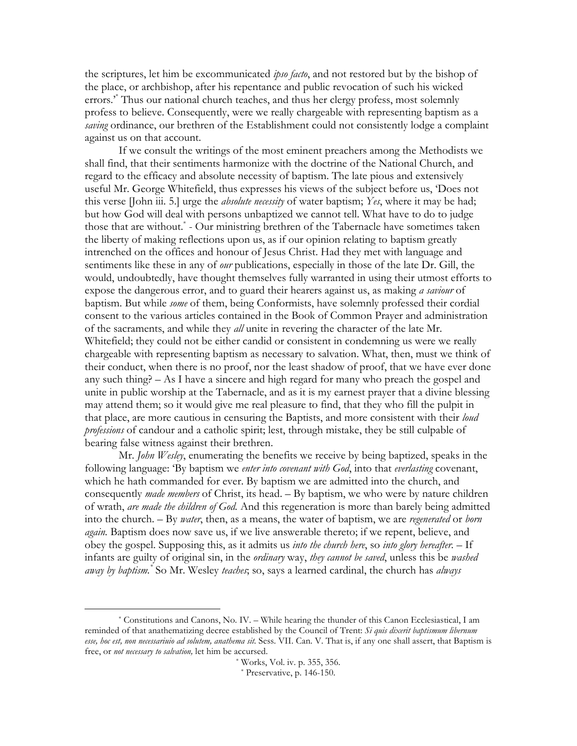the scriptures, let him be excommunicated *ipso facto*, and not restored but by the bishop of the place, or archbishop, after his repentance and public revocation of such his wicked errors.<sup>\*</sup> Thus our national church teaches, and thus her clergy profess, most solemnly profess to believe. Consequently, were we really chargeable with representing baptism as a saving ordinance, our brethren of the Establishment could not consistently lodge a complaint against us on that account.

If we consult the writings of the most eminent preachers among the Methodists we shall find, that their sentiments harmonize with the doctrine of the National Church, and regard to the efficacy and absolute necessity of baptism. The late pious and extensively useful Mr. George Whitefield, thus expresses his views of the subject before us, 'Does not this verse [John iii. 5.] urge the *absolute necessity* of water baptism; *Yes*, where it may be had; but how God will deal with persons unbaptized we cannot tell. What have to do to judge those that are without.<sup>\*</sup> - Our ministring brethren of the Tabernacle have sometimes taken the liberty of making reflections upon us, as if our opinion relating to baptism greatly intrenched on the offices and honour of Jesus Christ. Had they met with language and sentiments like these in any of *our* publications, especially in those of the late Dr. Gill, the would, undoubtedly, have thought themselves fully warranted in using their utmost efforts to expose the dangerous error, and to guard their hearers against us, as making a saviour of baptism. But while some of them, being Conformists, have solemnly professed their cordial consent to the various articles contained in the Book of Common Prayer and administration of the sacraments, and while they *all* unite in revering the character of the late Mr. Whitefield; they could not be either candid or consistent in condemning us were we really chargeable with representing baptism as necessary to salvation. What, then, must we think of their conduct, when there is no proof, nor the least shadow of proof, that we have ever done any such thing? – As I have a sincere and high regard for many who preach the gospel and unite in public worship at the Tabernacle, and as it is my earnest prayer that a divine blessing may attend them; so it would give me real pleasure to find, that they who fill the pulpit in that place, are more cautious in censuring the Baptists, and more consistent with their loud professions of candour and a catholic spirit; lest, through mistake, they be still culpable of bearing false witness against their brethren.

Mr. John Wesley, enumerating the benefits we receive by being baptized, speaks in the following language: 'By baptism we enter into covenant with God, into that everlasting covenant, which he hath commanded for ever. By baptism we are admitted into the church, and consequently *made members* of Christ, its head. - By baptism, we who were by nature children of wrath, are made the children of God. And this regeneration is more than barely being admitted into the church. - By water, then, as a means, the water of baptism, we are regenerated or born again. Baptism does now save us, if we live answerable thereto; if we repent, believe, and obey the gospel. Supposing this, as it admits us *into the church here*, so *into glory hereafter*. - If infants are guilty of original sin, in the *ordinary* way, they cannot be saved, unless this be washed away by baptism.\* So Mr. Wesley teaches, so, says a learned cardinal, the church has always

<sup>\*</sup> Constitutions and Canons, No. IV. – While hearing the thunder of this Canon Ecclesiastical, I am reminded of that anathematizing decree established by the Council of Trent: Si quis dixerit baptismum libernum esse, hoc est, non necessariuio ad solutem, anathema sit. Sess. VII. Can. V. That is, if any one shall assert, that Baptism is free, or not necessary to salvation, let him be accursed.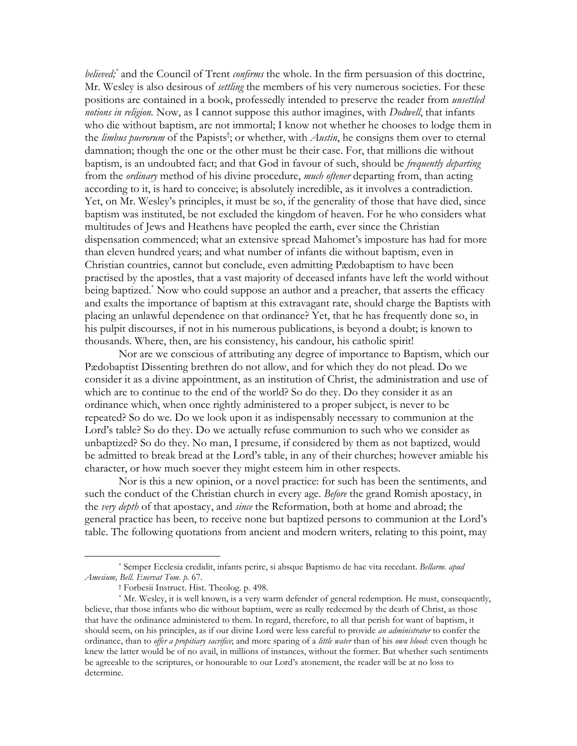believed;<sup>\*</sup> and the Council of Trent *confirms* the whole. In the firm persuasion of this doctrine, Mr. Wesley is also desirous of *settling* the members of his very numerous societies. For these positions are contained in a book, professedly intended to preserve the reader from *unsettled* notions in religion. Now, as I cannot suppose this author imagines, with Dodwell, that infants who die without baptism, are not immortal; I know not whether he chooses to lodge them in the *limbus puerorum* of the Papists<sup>†</sup>; or whether, with *Austin*, he consigns them over to eternal damnation; though the one or the other must be their case. For, that millions die without baptism, is an undoubted fact; and that God in favour of such, should be *frequently departing* from the *ordinary* method of his divine procedure, *much oftener* departing from, than acting according to it, is hard to conceive; is absolutely incredible, as it involves a contradiction. Yet, on Mr. Wesley's principles, it must be so, if the generality of those that have died, since baptism was instituted, be not excluded the kingdom of heaven. For he who considers what multitudes of Jews and Heathens have peopled the earth, ever since the Christian dispensation commenced; what an extensive spread Mahomet's imposture has had for more than eleven hundred years; and what number of infants die without baptism, even in Christian countries, cannot but conclude, even admitting Pædobaptism to have been practised by the apostles, that a vast majority of deceased infants have left the world without being baptized.<sup>\*</sup> Now who could suppose an author and a preacher, that asserts the efficacy and exalts the importance of baptism at this extravagant rate, should charge the Baptists with placing an unlawful dependence on that ordinance? Yet, that he has frequently done so, in his pulpit discourses, if not in his numerous publications, is beyond a doubt; is known to thousands. Where, then, are his consistency, his candour, his catholic spirit!

Nor are we conscious of attributing any degree of importance to Baptism, which our Pædobaptist Dissenting brethren do not allow, and for which they do not plead. Do we consider it as a divine appointment, as an institution of Christ, the administration and use of which are to continue to the end of the world? So do they. Do they consider it as an ordinance which, when once rightly administered to a proper subject, is never to be repeated? So do we. Do we look upon it as indispensably necessary to communion at the Lord's table? So do they. Do we actually refuse communion to such who we consider as unbaptized? So do they. No man, I presume, if considered by them as not baptized, would be admitted to break bread at the Lord's table, in any of their churches; however amiable his character, or how much soever they might esteem him in other respects.

Nor is this a new opinion, or a novel practice: for such has been the sentiments, and such the conduct of the Christian church in every age. Before the grand Romish apostacy, in the very depth of that apostacy, and since the Reformation, both at home and abroad; the general practice has been, to receive none but baptized persons to communion at the Lord's table. The following quotations from ancient and modern writers, relating to this point, may

<sup>\*</sup> Semper Ecclesia credidit, infants perire, si absque Baptismo de hac vita recedant. Bellarm, apud Amesium, Bell, Enervat Tom. p. 67.

<sup>&</sup>lt;sup>†</sup> Forbesii Instruct. Hist. Theolog. p. 498.

<sup>\*</sup> Mr. Wesley, it is well known, is a very warm defender of general redemption. He must, consequently, believe, that those infants who die without baptism, were as really redeemed by the death of Christ, as those that have the ordinance administered to them. In regard, therefore, to all that perish for want of baptism, it should seem, on his principles, as if our divine Lord were less careful to provide an administrator to confer the ordinance, than to *offer a propitiary sacrifice*; and more sparing of a *little water* than of his *own blood*: even though he knew the latter would be of no avail, in millions of instances, without the former. But whether such sentiments be agreeable to the scriptures, or honourable to our Lord's atonement, the reader will be at no loss to determine.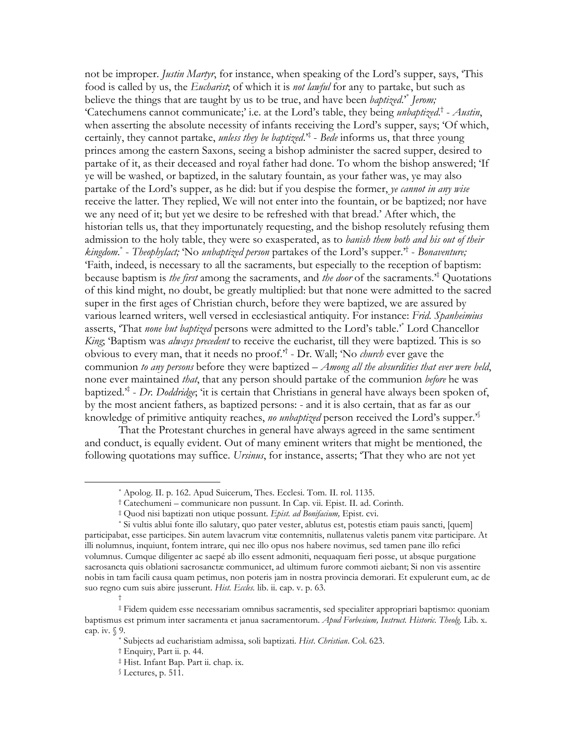not be improper. *Justin Martyr*, for instance, when speaking of the Lord's supper, says, 'This food is called by us, the *Eucharist*, of which it is *not lawful* for any to partake, but such as believe the things that are taught by us to be true, and have been *baptized.*<sup>\*</sup> Jerom; 'Catechumens cannot communicate;' i.e. at the Lord's table, they being *unbaptized*.<sup>†</sup> - Austin, when asserting the absolute necessity of infants receiving the Lord's supper, says; 'Of which, certainly, they cannot partake, *unless they be baptized*.<sup> $\ddag$ </sup> - Bede informs us, that three young princes among the eastern Saxons, seeing a bishop administer the sacred supper, desired to partake of it, as their deceased and royal father had done. To whom the bishop answered; Tf ye will be washed, or baptized, in the salutary fountain, as your father was, ye may also partake of the Lord's supper, as he did: but if you despise the former, ye cannot in any wise receive the latter. They replied, We will not enter into the fountain, or be baptized; nor have we any need of it; but yet we desire to be refreshed with that bread.' After which, the historian tells us, that they importunately requesting, and the bishop resolutely refusing them admission to the holy table, they were so exasperated, as to *banish them both and his out of their kingdom*.<sup>\*</sup> - *Theophylact*; 'No *unbaptized person* partakes of the Lord's supper.<sup>\*†</sup> - *Bonaventure*; 'Faith, indeed, is necessary to all the sacraments, but especially to the reception of baptism: because baptism is *the first* among the sacraments, and *the door* of the sacraments.<sup> $\ddag$ </sup> Quotations of this kind might, no doubt, be greatly multiplied: but that none were admitted to the sacred super in the first ages of Christian church, before they were baptized, we are assured by various learned writers, well versed in ecclesiastical antiquity. For instance: Frid. Spanheimius asserts, "That none but baptized persons were admitted to the Lord's table." Lord Chancellor King, 'Baptism was *always precedent* to receive the eucharist, till they were baptized. This is so obvious to every man, that it needs no proof.<sup> $\dot{\tau}$ </sup> - Dr. Wall; 'No *church* ever gave the communion to any persons before they were baptized  $-A$ *mong all the absurdities that ever were held*, none ever maintained *that*, that any person should partake of the communion *before* he was baptized.<sup> $*$ </sup> - Dr. Doddridge, 'it is certain that Christians in general have always been spoken of, by the most ancient fathers, as baptized persons: - and it is also certain, that as far as our knowledge of primitive antiquity reaches, *no unbaptized* person received the Lord's supper.<sup>35</sup>

That the Protestant churches in general have always agreed in the same sentiment and conduct, is equally evident. Out of many eminent writers that might be mentioned, the following quotations may suffice. Ursinus, for instance, asserts; 'That they who are not yet

<sup>\*</sup> Apolog. II. p. 162. Apud Suicerum, Thes. Ecclesi. Tom. II. rol. 1135.

<sup>†</sup> Catechumeni – communicare non pussunt. In Cap. vii. Epist. II. ad. Corinth.

<sup>#</sup> Quod nisi baptizati non utique possunt. Epist. ad Bonifacium, Epist. cvi.

<sup>\*</sup> Si vultis ablui fonte illo salutary, quo pater vester, ablutus est, potestis etiam pauis sancti, [quem] participabat, esse participes. Sin autem lavacrum vitæ contemnitis, nullatenus valetis panem vitæ participare. At illi nolumnus, inquiunt, fontem intrare, qui nec illo opus nos habere novimus, sed tamen pane illo refici volumnus. Cumque diligenter ac saepé ab illo essent admoniti, nequaquam fieri posse, ut absque purgatione sacrosancta quis oblationi sacrosanctae communicet, ad ultimum furore commoti aiebant; Si non vis assentire nobis in tam facili causa quam petimus, non poteris jam in nostra provincia demorari. Et expulerunt eum, ac de suo regno cum suis abire jusserunt. Hist. Eccles. lib. ii. cap. v. p. 63.

<sup>#</sup> Fidem quidem esse necessariam omnibus sacramentis, sed specialiter appropriari baptismo: quoniam baptismus est primum inter sacramenta et janua sacramentorum. Apud Forbesium, Instruct. Historic. Theolg. Lib. x. cap. iv. § 9.

<sup>\*</sup> Subjects ad eucharistiam admissa, soli baptizati. Hist. Christian. Col. 623.

<sup>&</sup>lt;sup>†</sup> Enquiry, Part ii. p. 44.

<sup>#</sup> Hist. Infant Bap. Part ii. chap. ix.

<sup>&</sup>lt;sup>§</sup> Lectures, p. 511.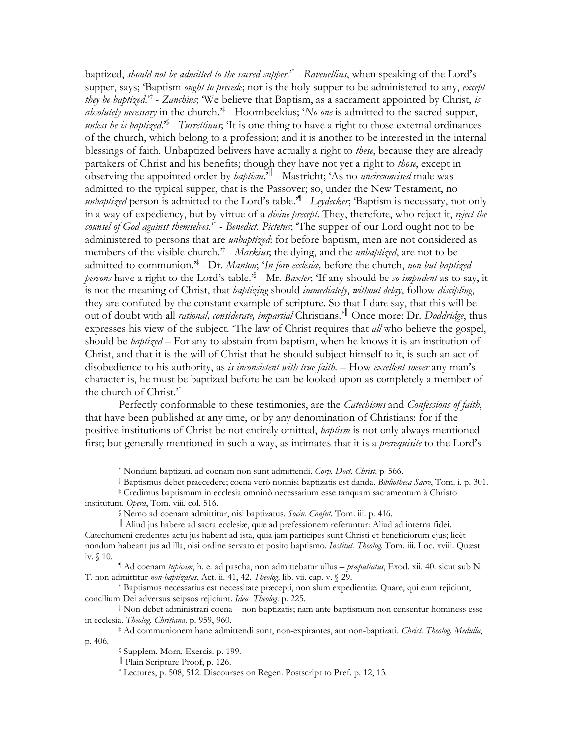baptized, *should not be admitted to the sacred supper.*<sup>\*</sup> - Ravenellius, when speaking of the Lord's supper, says; Baptism *ought to precede*; nor is the holy supper to be administered to any, *except they be baptized.*<sup>†</sup> - Zanchius; We believe that Baptism, as a sacrament appointed by Christ, is *absolutely necessary* in the church.<sup> $*$ </sup> - Hoornbeekius; 'No one is admitted to the sacred supper, *unless be is baptized.*<sup>25</sup> - *Turrettinus*; Tt is one thing to have a right to those external ordinances of the church, which belong to a profession; and it is another to be interested in the internal blessings of faith. Unbaptized belivers have actually a right to these, because they are already partakers of Christ and his benefits; though they have not yet a right to those, except in observing the appointed order by *baptism*.<sup>'||</sup> - Mastricht; 'As no *uncircumcised* male was admitted to the typical supper, that is the Passover; so, under the New Testament, no *unbaptized* person is admitted to the Lord's table.<sup> $\mathcal{A}$ </sup> - Leydecker, 'Baptism is necessary, not only in a way of expediency, but by virtue of a *divine precept*. They, therefore, who reject it, reject the counsel of God against themselves.<sup>\*</sup> - Benedict. Pictetus; 'The supper of our Lord ought not to be administered to persons that are *unbaptized*: for before baptism, men are not considered as members of the visible church.<sup>+†</sup> - *Markius*; the dying, and the *unbaptized*, are not to be admitted to communion.<sup>\*</sup> - Dr. Manton; 'In foro ecclesia, before the church, non but baptized persons have a right to the Lord's table.<sup>3</sup> - Mr. Baxter, 'If any should be so impudent as to say, it is not the meaning of Christ, that baptizing should immediately, without delay, follow discipling, they are confuted by the constant example of scripture. So that I dare say, that this will be out of doubt with all *rational, considerate, impartial* Christians.<sup>'</sup> Once more: Dr. *Doddridge*, thus expresses his view of the subject. 'The law of Christ requires that *all* who believe the gospel, should be *baptized* – For any to abstain from baptism, when he knows it is an institution of Christ, and that it is the will of Christ that he should subject himself to it, is such an act of disobedience to his authority, as is inconsistent with true faith. - How excellent soever any man's character is, he must be baptized before he can be looked upon as completely a member of the church of Christ."

Perfectly conformable to these testimonies, are the Catechisms and Confessions of faith, that have been published at any time, or by any denomination of Christians: for if the positive institutions of Christ be not entirely omitted, *baptism* is not only always mentioned first; but generally mentioned in such a way, as intimates that it is a *prerequisite* to the Lord's

<sup>\*</sup> Nondum baptizati, ad cocnam non sunt admittendi. Corp. Doct. Christ. p. 566.

<sup>†</sup> Baptismus debet praecedere; coena verò nonnisi baptizatis est danda. Bibliotheca Sacre, Tom. i. p. 301.

<sup>‡</sup> Credimus baptismum in ecclesia omninò necessarium esse tanquam sacramentum à Christo institutum. Opera, Tom. viii. col. 516.

Nemo ad coenam admittitur, nisi baptizatus. Socin. Confut. Tom. iii. p. 416.

Aliud jus habere ad sacra ecclesiae, quae ad prefessionem referuntur: Aliud ad interna fidei. Catechumeni credentes actu jus habent ad ista, quia jam participes sunt Christi et beneficiorum ejus; licèt nondum habeant jus ad illa, nisi ordine servato et posito baptismo. Institut. Theolog. Tom. iii. Loc. xviii. Quæst. iv.  $$10.$ 

<sup>&</sup>lt;sup>1</sup> Ad coenam *tupicam*, h. e. ad pascha, non admittebatur ullus – *praputiatus*, Exod. xii. 40. sicut sub N. T. non admittitur non-baptizatus, Act. ii. 41, 42. Theolog. lib. vii. cap. v. § 29.

<sup>\*</sup> Baptismus necessarius est necessitate præcepti, non slum expedientiæ. Quare, qui eum rejiciunt, concilium Dei adversus seipsos rejiciunt. Idea Theolog. p. 225.

<sup>&</sup>lt;sup>†</sup> Non debet administrari coena – non baptizatis; nam ante baptismum non censentur hominess esse in ecclesia. Theolog. Chritiana, p. 959, 960.

<sup>#</sup> Ad communionem hane admittendi sunt, non-expirantes, aut non-baptizati. Christ. Theolog. Medulla, p. 406.

Supplem. Morn. Exercis. p. 199.

Plain Scripture Proof, p. 126.

<sup>\*</sup> Lectures, p. 508, 512. Discourses on Regen. Postscript to Pref. p. 12, 13.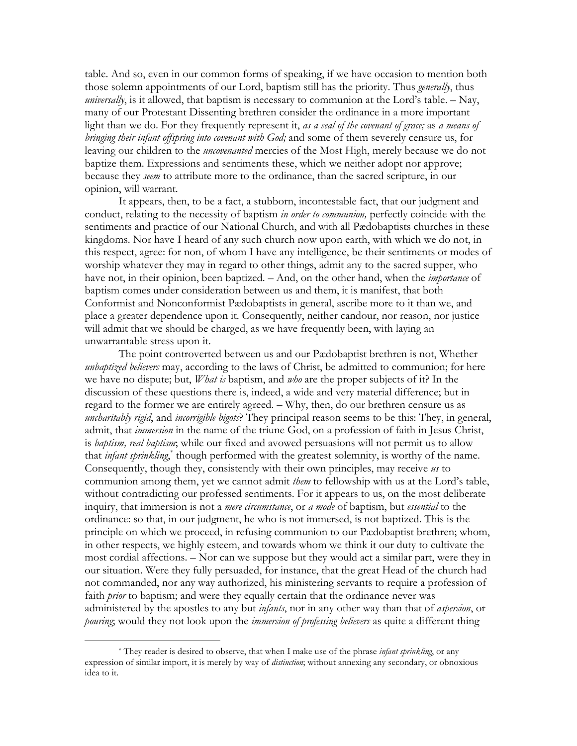table. And so, even in our common forms of speaking, if we have occasion to mention both those solemn appointments of our Lord, baptism still has the priority. Thus *generally*, thus *universally*, is it allowed, that baptism is necessary to communion at the Lord's table.  $-\text{Nav}$ , many of our Protestant Dissenting brethren consider the ordinance in a more important light than we do. For they frequently represent it, as a seal of the covenant of grace; as a means of bringing their infant offspring into covenant with God; and some of them severely censure us, for leaving our children to the *uncovenanted* mercies of the Most High, merely because we do not baptize them. Expressions and sentiments these, which we neither adopt nor approve; because they seem to attribute more to the ordinance, than the sacred scripture, in our opinion, will warrant.

It appears, then, to be a fact, a stubborn, incontestable fact, that our judgment and conduct, relating to the necessity of baptism in order to communion, perfectly coincide with the sentiments and practice of our National Church, and with all Padobaptists churches in these kingdoms. Nor have I heard of any such church now upon earth, with which we do not, in this respect, agree: for non, of whom I have any intelligence, be their sentiments or modes of worship whatever they may in regard to other things, admit any to the sacred supper, who have not, in their opinion, been baptized. – And, on the other hand, when the *importance* of baptism comes under consideration between us and them, it is manifest, that both Conformist and Nonconformist Pædobaptists in general, ascribe more to it than we, and place a greater dependence upon it. Consequently, neither candour, nor reason, nor justice will admit that we should be charged, as we have frequently been, with laying an unwarrantable stress upon it.

The point controverted between us and our Pædobaptist brethren is not, Whether *unbaptized believers* may, according to the laws of Christ, be admitted to communion; for here we have no dispute; but, *What is* baptism, and *who* are the proper subjects of it? In the discussion of these questions there is, indeed, a wide and very material difference; but in regard to the former we are entirely agreed. - Why, then, do our brethren censure us as uncharitably rigid, and incorrigible bigots? They principal reason seems to be this: They, in general, admit, that *immersion* in the name of the triune God, on a profession of faith in Jesus Christ, is baptism, real baptism; while our fixed and avowed persuasions will not permit us to allow that *infant sprinkling*,<sup>\*</sup> though performed with the greatest solemnity, is worthy of the name. Consequently, though they, consistently with their own principles, may receive us to communion among them, yet we cannot admit *them* to fellowship with us at the Lord's table, without contradicting our professed sentiments. For it appears to us, on the most deliberate inquiry, that immersion is not a *mere circumstance*, or a mode of baptism, but *essential* to the ordinance: so that, in our judgment, he who is not immersed, is not baptized. This is the principle on which we proceed, in refusing communion to our Pædobaptist brethren; whom, in other respects, we highly esteem, and towards whom we think it our duty to cultivate the most cordial affections. - Nor can we suppose but they would act a similar part, were they in our situation. Were they fully persuaded, for instance, that the great Head of the church had not commanded, nor any way authorized, his ministering servants to require a profession of faith *prior* to baptism; and were they equally certain that the ordinance never was administered by the apostles to any but *infants*, nor in any other way than that of *aspersion*, or pouring; would they not look upon the *immersion of professing believers* as quite a different thing

<sup>\*</sup> They reader is desired to observe, that when I make use of the phrase *infant sprinkling*, or any expression of similar import, it is merely by way of *distinction*; without annexing any secondary, or obnoxious idea to it.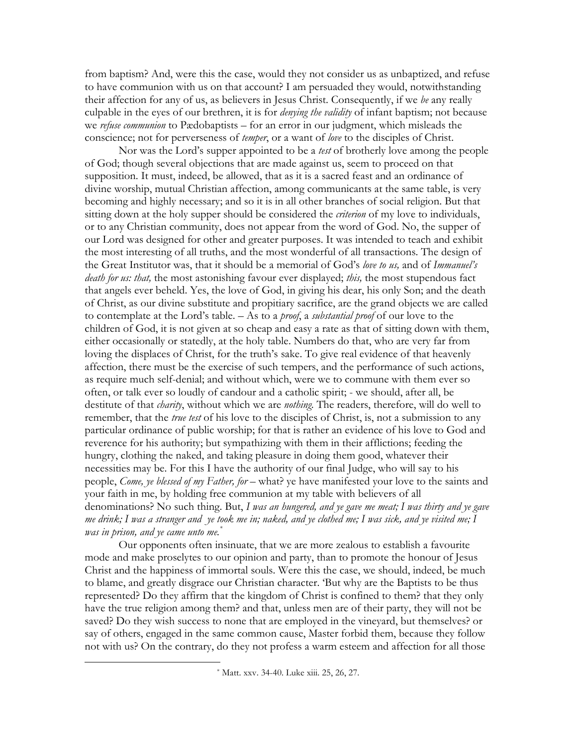from baptism? And, were this the case, would they not consider us as unbaptized, and refuse to have communion with us on that account? I am persuaded they would, notwithstanding their affection for any of us, as believers in Jesus Christ. Consequently, if we be any really culpable in the eyes of our brethren, it is for *denying the validity* of infant baptism; not because we refuse communion to Pædobaptists – for an error in our judgment, which misleads the conscience; not for perverseness of *temper*, or a want of *love* to the disciples of Christ.

Nor was the Lord's supper appointed to be a *test* of brotherly love among the people of God; though several objections that are made against us, seem to proceed on that supposition. It must, indeed, be allowed, that as it is a sacred feast and an ordinance of divine worship, mutual Christian affection, among communicants at the same table, is very becoming and highly necessary; and so it is in all other branches of social religion. But that sitting down at the holy supper should be considered the *criterion* of my love to individuals, or to any Christian community, does not appear from the word of God. No, the supper of our Lord was designed for other and greater purposes. It was intended to teach and exhibit the most interesting of all truths, and the most wonderful of all transactions. The design of the Great Institutor was, that it should be a memorial of God's love to us, and of Immanuel's *death for us: that,* the most astonishing favour ever displayed; *this*, the most stupendous fact that angels ever beheld. Yes, the love of God, in giving his dear, his only Son; and the death of Christ, as our divine substitute and propitiary sacrifice, are the grand objects we are called to contemplate at the Lord's table.  $-$  As to a *proof*, a *substantial proof* of our love to the children of God, it is not given at so cheap and easy a rate as that of sitting down with them, either occasionally or statedly, at the holy table. Numbers do that, who are very far from loving the displaces of Christ, for the truth's sake. To give real evidence of that heavenly affection, there must be the exercise of such tempers, and the performance of such actions, as require much self-denial; and without which, were we to commune with them ever so often, or talk ever so loudly of candour and a catholic spirit; - we should, after all, be destitute of that *charity*, without which we are *nothing*. The readers, therefore, will do well to remember, that the *true test* of his love to the disciples of Christ, is, not a submission to any particular ordinance of public worship; for that is rather an evidence of his love to God and reverence for his authority; but sympathizing with them in their afflictions; feeding the hungry, clothing the naked, and taking pleasure in doing them good, whatever their necessities may be. For this I have the authority of our final Judge, who will say to his people, Come, ye blessed of my Father, for - what? ye have manifested your love to the saints and your faith in me, by holding free communion at my table with believers of all denominations? No such thing. But, I was an hungered, and ye gave me meat; I was thirty and ye gave me drink; I was a stranger and ye took me in; naked, and ye clothed me; I was sick, and ye visited me; I was in prison, and ye came unto me."

Our opponents often insinuate, that we are more zealous to establish a favourite mode and make proselytes to our opinion and party, than to promote the honour of Jesus Christ and the happiness of immortal souls. Were this the case, we should, indeed, be much to blame, and greatly disgrace our Christian character. But why are the Baptists to be thus represented? Do they affirm that the kingdom of Christ is confined to them? that they only have the true religion among them? and that, unless men are of their party, they will not be saved? Do they wish success to none that are employed in the vineyard, but themselves? or say of others, engaged in the same common cause, Master forbid them, because they follow not with us? On the contrary, do they not profess a warm esteem and affection for all those

<sup>\*</sup> Matt. xxv. 34-40. Luke xiii. 25, 26, 27.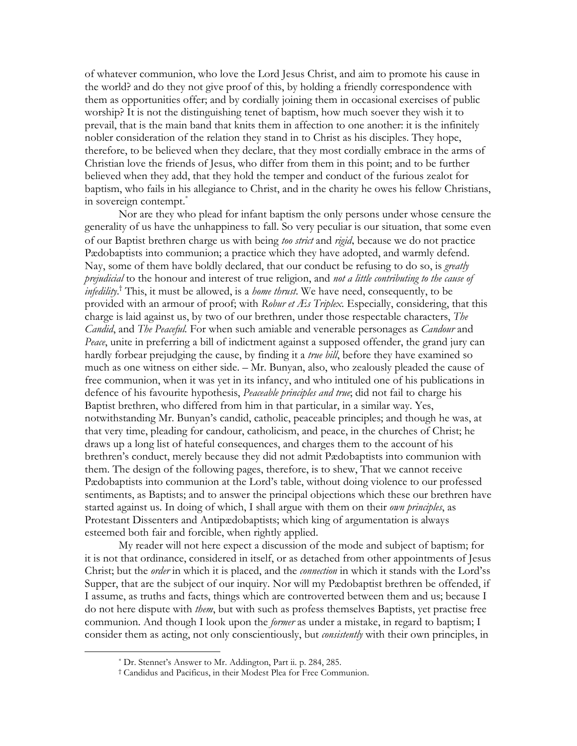of whatever communion, who love the Lord Jesus Christ, and aim to promote his cause in the world? and do they not give proof of this, by holding a friendly correspondence with them as opportunities offer; and by cordially joining them in occasional exercises of public worship? It is not the distinguishing tenet of baptism, how much soever they wish it to prevail, that is the main band that knits them in affection to one another: it is the infinitely nobler consideration of the relation they stand in to Christ as his disciples. They hope, therefore, to be believed when they declare, that they most cordially embrace in the arms of Christian love the friends of Jesus, who differ from them in this point; and to be further believed when they add, that they hold the temper and conduct of the furious zealot for baptism, who fails in his allegiance to Christ, and in the charity he owes his fellow Christians, in sovereign contempt.

Nor are they who plead for infant baptism the only persons under whose censure the generality of us have the unhappiness to fall. So very peculiar is our situation, that some even of our Baptist brethren charge us with being *too strict* and *rigid*, because we do not practice Pædobaptists into communion; a practice which they have adopted, and warmly defend. Nay, some of them have boldly declared, that our conduct be refusing to do so, is *greatly* prejudicial to the honour and interest of true religion, and not a little contributing to the cause of *infedility*.<sup>†</sup> This, it must be allowed, is a *home thrust*. We have need, consequently, to be provided with an armour of proof; with Robur et *Æs Triplex*. Especially, considering, that this charge is laid against us, by two of our brethren, under those respectable characters, The *Candid*, and *The Peaceful*. For when such amiable and venerable personages as *Candour* and Peace, unite in preferring a bill of indictment against a supposed offender, the grand jury can hardly forbear prejudging the cause, by finding it a true bill, before they have examined so much as one witness on either side. - Mr. Bunyan, also, who zealously pleaded the cause of free communion, when it was yet in its infancy, and who intituled one of his publications in defence of his favourite hypothesis, Peaceable principles and true; did not fail to charge his Baptist brethren, who differed from him in that particular, in a similar way. Yes, notwithstanding Mr. Bunyan's candid, catholic, peaceable principles; and though he was, at that very time, pleading for candour, catholicism, and peace, in the churches of Christ; he draws up a long list of hateful consequences, and charges them to the account of his brethren's conduct, merely because they did not admit Pædobaptists into communion with them. The design of the following pages, therefore, is to shew, That we cannot receive Pædobaptists into communion at the Lord's table, without doing violence to our professed sentiments, as Baptists; and to answer the principal objections which these our brethren have started against us. In doing of which, I shall argue with them on their own principles, as Protestant Dissenters and Antipædobaptists; which king of argumentation is always esteemed both fair and forcible, when rightly applied.

My reader will not here expect a discussion of the mode and subject of baptism; for it is not that ordinance, considered in itself, or as detached from other appointments of Jesus Christ; but the *order* in which it is placed, and the *connection* in which it stands with the Lord'ss Supper, that are the subject of our inquiry. Nor will my Pædobaptist brethren be offended, if I assume, as truths and facts, things which are controverted between them and us; because I do not here dispute with *them*, but with such as profess themselves Baptists, yet practise free communion. And though I look upon the *former* as under a mistake, in regard to baptism; I consider them as acting, not only conscientiously, but *consistently* with their own principles, in

<sup>\*</sup> Dr. Stennet's Answer to Mr. Addington, Part ii. p. 284, 285.

<sup>&</sup>lt;sup>†</sup> Candidus and Pacificus, in their Modest Plea for Free Communion.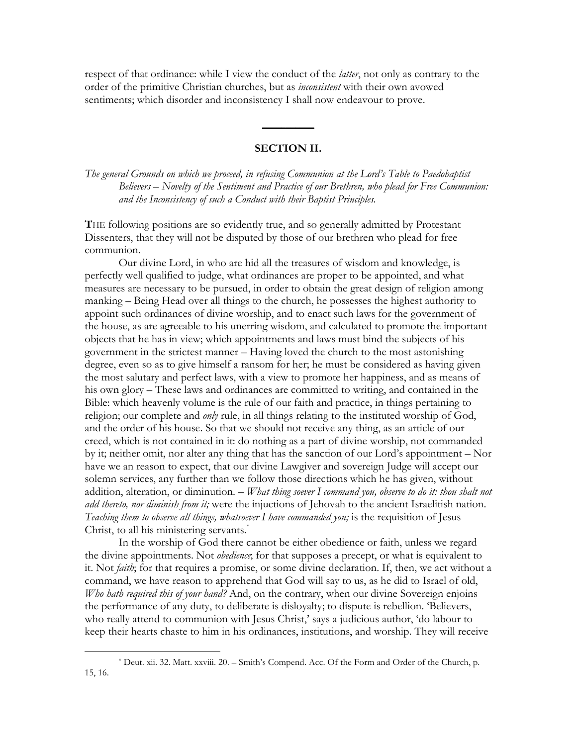respect of that ordinance: while I view the conduct of the *latter*, not only as contrary to the order of the primitive Christian churches, but as *inconsistent* with their own avowed sentiments; which disorder and inconsistency I shall now endeavour to prove.

#### **SECTION II.**

The general Grounds on which we proceed, in refusing Communion at the Lord's Table to Paedobaptist Believers – Novelty of the Sentiment and Practice of our Brethren, who plead for Free Communion: and the Inconsistency of such a Conduct with their Baptist Principles.

THE following positions are so evidently true, and so generally admitted by Protestant Dissenters, that they will not be disputed by those of our brethren who plead for free communion.

Our divine Lord, in who are hid all the treasures of wisdom and knowledge, is perfectly well qualified to judge, what ordinances are proper to be appointed, and what measures are necessary to be pursued, in order to obtain the great design of religion among manking - Being Head over all things to the church, he possesses the highest authority to appoint such ordinances of divine worship, and to enact such laws for the government of the house, as are agreeable to his unerring wisdom, and calculated to promote the important objects that he has in view; which appointments and laws must bind the subjects of his government in the strictest manner - Having loved the church to the most astonishing degree, even so as to give himself a ransom for her; he must be considered as having given the most salutary and perfect laws, with a view to promote her happiness, and as means of his own glory – These laws and ordinances are committed to writing, and contained in the Bible: which heavenly volume is the rule of our faith and practice, in things pertaining to religion; our complete and *only* rule, in all things relating to the instituted worship of God, and the order of his house. So that we should not receive any thing, as an article of our creed, which is not contained in it: do nothing as a part of divine worship, not commanded by it; neither omit, nor alter any thing that has the sanction of our Lord's appointment – Nor have we an reason to expect, that our divine Lawgiver and sovereign Judge will accept our solemn services, any further than we follow those directions which he has given, without addition, alteration, or diminution. - What thing soever I command you, observe to do it: thou shalt not add thereto, nor diminish from it; were the injuctions of Jehovah to the ancient Israelitish nation. Teaching them to observe all things, whatsoever I have commanded you; is the requisition of Jesus Christ, to all his ministering servants.<sup>\*</sup>

In the worship of God there cannot be either obedience or faith, unless we regard the divine appointments. Not *obedience*; for that supposes a precept, or what is equivalent to it. Not *faith*; for that requires a promise, or some divine declaration. If, then, we act without a command, we have reason to apprehend that God will say to us, as he did to Israel of old, Who hath required this of your hand? And, on the contrary, when our divine Sovereign enjoins the performance of any duty, to deliberate is disloyalty; to dispute is rebellion. 'Believers, who really attend to communion with Jesus Christ,' says a judicious author, 'do labour to keep their hearts chaste to him in his ordinances, institutions, and worship. They will receive

<sup>\*</sup> Deut. xii. 32. Matt. xxviii. 20. – Smith's Compend. Acc. Of the Form and Order of the Church, p. 15, 16.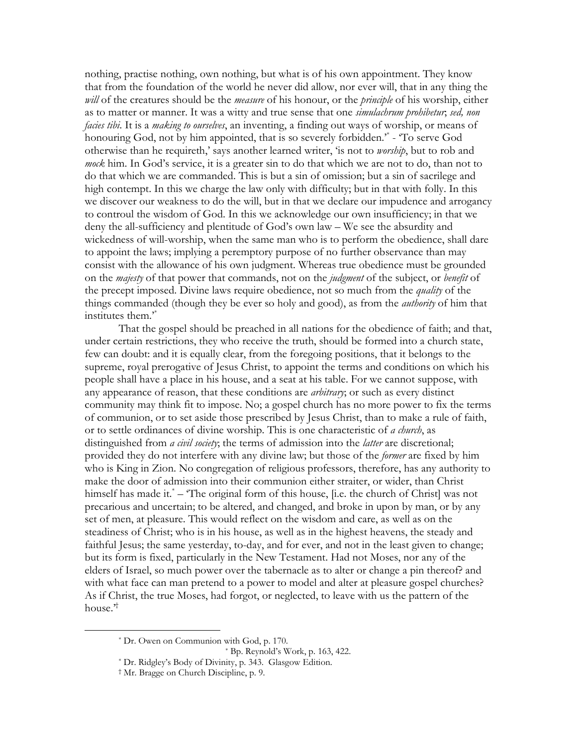nothing, practise nothing, own nothing, but what is of his own appointment. They know that from the foundation of the world he never did allow, nor ever will, that in any thing the will of the creatures should be the *measure* of his honour, or the *principle* of his worship, either as to matter or manner. It was a witty and true sense that one *simulachrum prohibetur*, sed, non *facies tibi.* It is a *making to ourselves*, an inventing, a finding out ways of worship, or means of honouring God, not by him appointed, that is so severely forbidden." - 'To serve God otherwise than he requireth,' says another learned writer, 'is not to *worship*, but to rob and mock him. In God's service, it is a greater sin to do that which we are not to do, than not to do that which we are commanded. This is but a sin of omission; but a sin of sacrilege and high contempt. In this we charge the law only with difficulty; but in that with folly. In this we discover our weakness to do the will, but in that we declare our impudence and arrogancy to controul the wisdom of God. In this we acknowledge our own insufficiency; in that we deny the all-sufficiency and plentitude of God's own law – We see the absurdity and wickedness of will-worship, when the same man who is to perform the obedience, shall dare to appoint the laws; implying a peremptory purpose of no further observance than may consist with the allowance of his own judgment. Whereas true obedience must be grounded on the *majesty* of that power that commands, not on the *judgment* of the subject, or *benefit* of the precept imposed. Divine laws require obedience, not so much from the *quality* of the things commanded (though they be ever so holy and good), as from the *authority* of him that institutes them."

That the gospel should be preached in all nations for the obedience of faith; and that, under certain restrictions, they who receive the truth, should be formed into a church state, few can doubt: and it is equally clear, from the foregoing positions, that it belongs to the supreme, royal prerogative of Jesus Christ, to appoint the terms and conditions on which his people shall have a place in his house, and a seat at his table. For we cannot suppose, with any appearance of reason, that these conditions are *arbitrary*; or such as every distinct community may think fit to impose. No; a gospel church has no more power to fix the terms of communion, or to set aside those prescribed by Jesus Christ, than to make a rule of faith, or to settle ordinances of divine worship. This is one characteristic of a church, as distinguished from *a civil society*; the terms of admission into the *latter* are discretional; provided they do not interfere with any divine law; but those of the *former* are fixed by him who is King in Zion. No congregation of religious professors, therefore, has any authority to make the door of admission into their communion either straiter, or wider, than Christ himself has made it.<sup>\*</sup> – 'The original form of this house, [i.e. the church of Christ] was not precarious and uncertain; to be altered, and changed, and broke in upon by man, or by any set of men, at pleasure. This would reflect on the wisdom and care, as well as on the steadiness of Christ; who is in his house, as well as in the highest heavens, the steady and faithful Jesus; the same yesterday, to-day, and for ever, and not in the least given to change; but its form is fixed, particularly in the New Testament. Had not Moses, nor any of the elders of Israel, so much power over the tabernacle as to alter or change a pin thereof? and with what face can man pretend to a power to model and alter at pleasure gospel churches? As if Christ, the true Moses, had forgot, or neglected, to leave with us the pattern of the house.<sup>,†</sup>

<sup>\*</sup> Dr. Owen on Communion with God, p. 170.

 $*$  Bp. Reynold's Work, p. 163, 422.

<sup>\*</sup> Dr. Ridgley's Body of Divinity, p. 343. Glasgow Edition.

<sup>&</sup>lt;sup>†</sup> Mr. Bragge on Church Discipline, p. 9.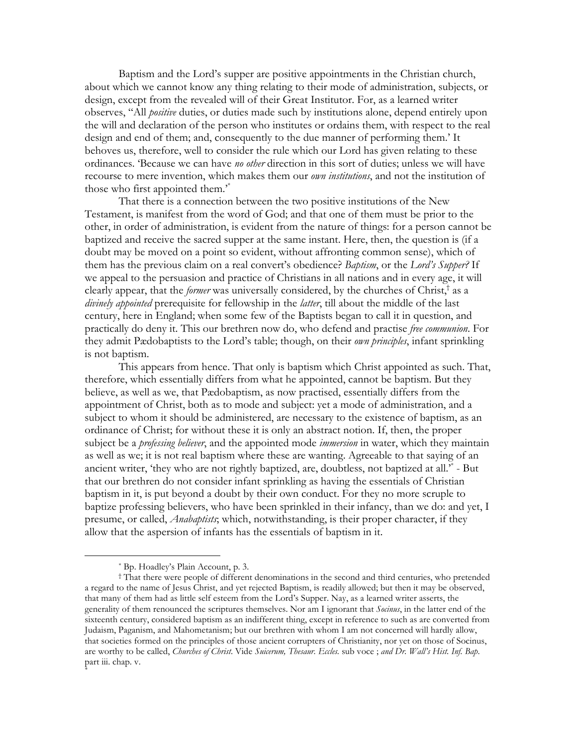Baptism and the Lord's supper are positive appointments in the Christian church, about which we cannot know any thing relating to their mode of administration, subjects, or design, except from the revealed will of their Great Institutor. For, as a learned writer observes, "All *positive* duties, or duties made such by institutions alone, depend entirely upon the will and declaration of the person who institutes or ordains them, with respect to the real design and end of them; and, consequently to the due manner of performing them.' It behoves us, therefore, well to consider the rule which our Lord has given relating to these ordinances. Because we can have no other direction in this sort of duties; unless we will have recourse to mere invention, which makes them our own institutions, and not the institution of those who first appointed them.<sup>\*</sup>

That there is a connection between the two positive institutions of the New Testament, is manifest from the word of God; and that one of them must be prior to the other, in order of administration, is evident from the nature of things: for a person cannot be baptized and receive the sacred supper at the same instant. Here, then, the question is (if a doubt may be moved on a point so evident, without affronting common sense), which of them has the previous claim on a real convert's obedience? *Baptism*, or the Lord's Supper? If we appeal to the persuasion and practice of Christians in all nations and in every age, it will clearly appear, that the *former* was universally considered, by the churches of Christ,<sup>†</sup> as a divinely appointed prerequisite for fellowship in the latter, till about the middle of the last century, here in England; when some few of the Baptists began to call it in question, and practically do deny it. This our brethren now do, who defend and practise free communion. For they admit Pædobaptists to the Lord's table; though, on their *own principles*, infant sprinkling is not baptism.

This appears from hence. That only is baptism which Christ appointed as such. That, therefore, which essentially differs from what he appointed, cannot be baptism. But they believe, as well as we, that Pædobaptism, as now practised, essentially differs from the appointment of Christ, both as to mode and subject: yet a mode of administration, and a subject to whom it should be administered, are necessary to the existence of baptism, as an ordinance of Christ; for without these it is only an abstract notion. If, then, the proper subject be a *professing believer*, and the appointed mode *immersion* in water, which they maintain as well as we; it is not real baptism where these are wanting. Agreeable to that saying of an ancient writer, 'they who are not rightly baptized, are, doubtless, not baptized at all.'<sup>\*</sup> - But that our brethren do not consider infant sprinkling as having the essentials of Christian baptism in it, is put beyond a doubt by their own conduct. For they no more scruple to baptize professing believers, who have been sprinkled in their infancy, than we do: and yet, I presume, or called, *Anabaptists*; which, notwithstanding, is their proper character, if they allow that the aspersion of infants has the essentials of baptism in it.

<sup>\*</sup> Bp. Hoadley's Plain Account, p. 3.

<sup>&</sup>lt;sup>†</sup> That there were people of different denominations in the second and third centuries, who pretended a regard to the name of Jesus Christ, and yet rejected Baptism, is readily allowed; but then it may be observed, that many of them had as little self esteem from the Lord's Supper. Nay, as a learned writer asserts, the generality of them renounced the scriptures themselves. Nor am I ignorant that Socinus, in the latter end of the sixteenth century, considered baptism as an indifferent thing, except in reference to such as are converted from Judaism, Paganism, and Mahometanism; but our brethren with whom I am not concerned will hardly allow, that societies formed on the principles of those ancient corrupters of Christianity, nor yet on those of Socinus, are worthy to be called, Churches of Christ. Vide Suicerum, Thesaur. Eccles. sub voce; and Dr. Wall's Hist. Inf. Bap. part iii. chap. v.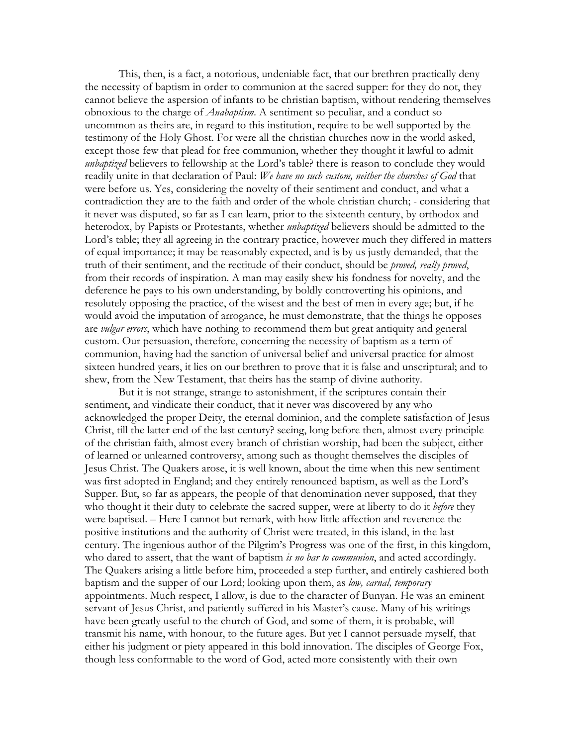This, then, is a fact, a notorious, undeniable fact, that our brethren practically deny the necessity of baptism in order to communion at the sacred supper: for they do not, they cannot believe the aspersion of infants to be christian baptism, without rendering themselves obnoxious to the charge of *Anabaptism*. A sentiment so peculiar, and a conduct so uncommon as theirs are, in regard to this institution, require to be well supported by the testimony of the Holy Ghost. For were all the christian churches now in the world asked, except those few that plead for free communion, whether they thought it lawful to admit *unbaptized* believers to fellowship at the Lord's table? there is reason to conclude they would readily unite in that declaration of Paul: We have no such custom, neither the churches of God that were before us. Yes, considering the novelty of their sentiment and conduct, and what a contradiction they are to the faith and order of the whole christian church; - considering that it never was disputed, so far as I can learn, prior to the sixteenth century, by orthodox and heterodox, by Papists or Protestants, whether *unbaptized* believers should be admitted to the Lord's table; they all agreeing in the contrary practice, however much they differed in matters of equal importance; it may be reasonably expected, and is by us justly demanded, that the truth of their sentiment, and the rectitude of their conduct, should be *proved, really proved*, from their records of inspiration. A man may easily shew his fondness for novelty, and the deference he pays to his own understanding, by boldly controverting his opinions, and resolutely opposing the practice, of the wisest and the best of men in every age; but, if he would avoid the imputation of arrogance, he must demonstrate, that the things he opposes are vulgar errors, which have nothing to recommend them but great antiquity and general custom. Our persuasion, therefore, concerning the necessity of baptism as a term of communion, having had the sanction of universal belief and universal practice for almost sixteen hundred years, it lies on our brethren to prove that it is false and unscriptural; and to shew, from the New Testament, that theirs has the stamp of divine authority.

But it is not strange, strange to astonishment, if the scriptures contain their sentiment, and vindicate their conduct, that it never was discovered by any who acknowledged the proper Deity, the eternal dominion, and the complete satisfaction of Jesus Christ, till the latter end of the last century? seeing, long before then, almost every principle of the christian faith, almost every branch of christian worship, had been the subject, either of learned or unlearned controversy, among such as thought themselves the disciples of Jesus Christ. The Quakers arose, it is well known, about the time when this new sentiment was first adopted in England; and they entirely renounced baptism, as well as the Lord's Supper. But, so far as appears, the people of that denomination never supposed, that they who thought it their duty to celebrate the sacred supper, were at liberty to do it before they were baptised. - Here I cannot but remark, with how little affection and reverence the positive institutions and the authority of Christ were treated, in this island, in the last century. The ingenious author of the Pilgrim's Progress was one of the first, in this kingdom, who dared to assert, that the want of baptism is no bar to communion, and acted accordingly. The Quakers arising a little before him, proceeded a step further, and entirely cashiered both baptism and the supper of our Lord; looking upon them, as low, carnal, temporary appointments. Much respect, I allow, is due to the character of Bunyan. He was an eminent servant of Jesus Christ, and patiently suffered in his Master's cause. Many of his writings have been greatly useful to the church of God, and some of them, it is probable, will transmit his name, with honour, to the future ages. But yet I cannot persuade myself, that either his judgment or piety appeared in this bold innovation. The disciples of George Fox, though less conformable to the word of God, acted more consistently with their own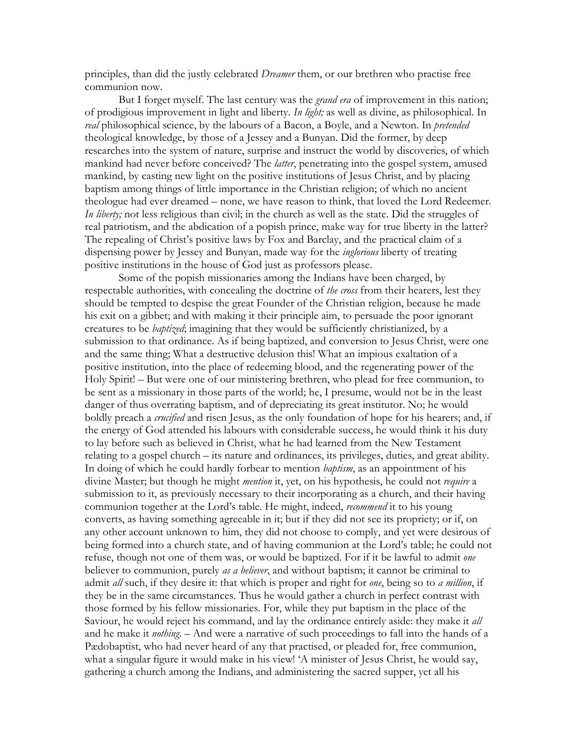principles, than did the justly celebrated *Dreamer* them, or our brethren who practise free communion now.

But I forget myself. The last century was the *grand era* of improvement in this nation; of prodigious improvement in light and liberty. In light; as well as divine, as philosophical. In real philosophical science, by the labours of a Bacon, a Boyle, and a Newton. In *pretended* theological knowledge, by those of a Jessey and a Bunyan. Did the former, by deep researches into the system of nature, surprise and instruct the world by discoveries, of which mankind had never before conceived? The *latter*, penetrating into the gospel system, amused mankind, by casting new light on the positive institutions of Jesus Christ, and by placing baptism among things of little importance in the Christian religion; of which no ancient theologue had ever dreamed – none, we have reason to think, that loved the Lord Redeemer. In liberty; not less religious than civil; in the church as well as the state. Did the struggles of real patriotism, and the abdication of a popish prince, make way for true liberty in the latter? The repealing of Christ's positive laws by Fox and Barclay, and the practical claim of a dispensing power by Jessey and Bunyan, made way for the *inglorious* liberty of treating positive institutions in the house of God just as professors please.

Some of the popish missionaries among the Indians have been charged, by respectable authorities, with concealing the doctrine of the cross from their hearers, lest they should be tempted to despise the great Founder of the Christian religion, because he made his exit on a gibbet; and with making it their principle aim, to persuade the poor ignorant creatures to be *baptized*; imagining that they would be sufficiently christianized, by a submission to that ordinance. As if being baptized, and conversion to Jesus Christ, were one and the same thing; What a destructive delusion this! What an impious exaltation of a positive institution, into the place of redeeming blood, and the regenerating power of the Holy Spirit! – But were one of our ministering brethren, who plead for free communion, to be sent as a missionary in those parts of the world; he, I presume, would not be in the least danger of thus overrating baptism, and of depreciating its great institutor. No; he would boldly preach a *crucified* and risen Jesus, as the only foundation of hope for his hearers; and, if the energy of God attended his labours with considerable success, he would think it his duty to lay before such as believed in Christ, what he had learned from the New Testament relating to a gospel church – its nature and ordinances, its privileges, duties, and great ability. In doing of which he could hardly forbear to mention *baptism*, as an appointment of his divine Master; but though he might *mention* it, yet, on his hypothesis, he could not *require* a submission to it, as previously necessary to their incorporating as a church, and their having communion together at the Lord's table. He might, indeed, *recommend* it to his young converts, as having something agreeable in it; but if they did not see its propriety; or if, on any other account unknown to him, they did not choose to comply, and yet were desirous of being formed into a church state, and of having communion at the Lord's table; he could not refuse, though not one of them was, or would be baptized. For if it be lawful to admit one believer to communion, purely as a believer, and without baptism; it cannot be criminal to admit all such, if they desire it: that which is proper and right for one, being so to a million, if they be in the same circumstances. Thus he would gather a church in perfect contrast with those formed by his fellow missionaries. For, while they put baptism in the place of the Saviour, he would reject his command, and lay the ordinance entirely aside: they make it all and he make it *nothing*. – And were a narrative of such proceedings to fall into the hands of a Pædobaptist, who had never heard of any that practised, or pleaded for, free communion, what a singular figure it would make in his view! 'A minister of Jesus Christ, he would say, gathering a church among the Indians, and administering the sacred supper, yet all his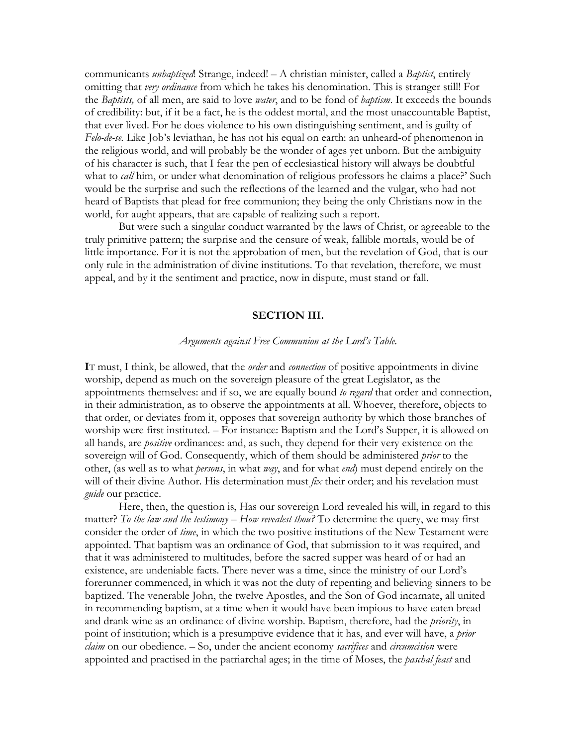communicants *unbaptized*. Strange, indeed! – A christian minister, called a *Baptist*, entirely omitting that very ordinance from which he takes his denomination. This is stranger still! For the Baptists, of all men, are said to love *water*, and to be fond of *baptism*. It exceeds the bounds of credibility: but, if it be a fact, he is the oddest mortal, and the most unaccountable Baptist, that ever lived. For he does violence to his own distinguishing sentiment, and is guilty of Felo-de-se. Like Job's leviathan, he has not his equal on earth: an unheard-of phenomenon in the religious world, and will probably be the wonder of ages yet unborn. But the ambiguity of his character is such, that I fear the pen of ecclesiastical history will always be doubtful what to *call* him, or under what denomination of religious professors he claims a place?' Such would be the surprise and such the reflections of the learned and the vulgar, who had not heard of Baptists that plead for free communion; they being the only Christians now in the world, for aught appears, that are capable of realizing such a report.

But were such a singular conduct warranted by the laws of Christ, or agreeable to the truly primitive pattern; the surprise and the censure of weak, fallible mortals, would be of little importance. For it is not the approbation of men, but the revelation of God, that is our only rule in the administration of divine institutions. To that revelation, therefore, we must appeal, and by it the sentiment and practice, now in dispute, must stand or fall.

#### **SECTION III.**

### Arguments against Free Communion at the Lord's Table.

IT must, I think, be allowed, that the *order* and *connection* of positive appointments in divine worship, depend as much on the sovereign pleasure of the great Legislator, as the appointments themselves: and if so, we are equally bound to regard that order and connection, in their administration, as to observe the appointments at all. Whoever, therefore, objects to that order, or deviates from it, opposes that sovereign authority by which those branches of worship were first instituted. – For instance: Baptism and the Lord's Supper, it is allowed on all hands, are *positive* ordinances: and, as such, they depend for their very existence on the sovereign will of God. Consequently, which of them should be administered prior to the other, (as well as to what *persons*, in what *way*, and for what *end*) must depend entirely on the will of their divine Author. His determination must fix their order; and his revelation must *guide* our practice.

Here, then, the question is, Has our sovereign Lord revealed his will, in regard to this matter? To the law and the testimony  $-$  How revealest thou? To determine the query, we may first consider the order of *time*, in which the two positive institutions of the New Testament were appointed. That baptism was an ordinance of God, that submission to it was required, and that it was administered to multitudes, before the sacred supper was heard of or had an existence, are undeniable facts. There never was a time, since the ministry of our Lord's forerunner commenced, in which it was not the duty of repenting and believing sinners to be baptized. The venerable John, the twelve Apostles, and the Son of God incarnate, all united in recommending baptism, at a time when it would have been impious to have eaten bread and drank wine as an ordinance of divine worship. Baptism, therefore, had the priority, in point of institution; which is a presumptive evidence that it has, and ever will have, a *prior claim* on our obedience. – So, under the ancient economy *sacrifices* and *circumcision* were appointed and practised in the patriarchal ages; in the time of Moses, the *paschal feast* and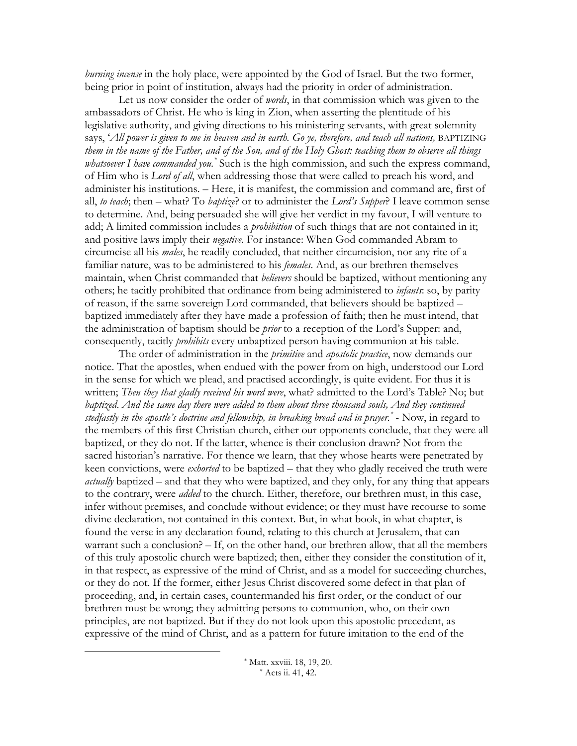*burning incense* in the holy place, were appointed by the God of Israel. But the two former, being prior in point of institution, always had the priority in order of administration.

Let us now consider the order of *words*, in that commission which was given to the ambassadors of Christ. He who is king in Zion, when asserting the plentitude of his legislative authority, and giving directions to his ministering servants, with great solemnity says, 'All power is given to me in heaven and in earth. Go ye, therefore, and teach all nations, BAPTIZING them in the name of the Father, and of the Son, and of the Holy Ghost: teaching them to observe all things *whatsoever I have commanded you*.<sup>\*</sup> Such is the high commission, and such the express command, of Him who is *Lord of all*, when addressing those that were called to preach his word, and administer his institutions. - Here, it is manifest, the commission and command are, first of all, to teach; then – what? To baptize? or to administer the Lord's Supper? I leave common sense to determine. And, being persuaded she will give her verdict in my favour, I will venture to add; A limited commission includes a *prohibition* of such things that are not contained in it; and positive laws imply their *negative*. For instance: When God commanded Abram to circumcise all his *males*, he readily concluded, that neither circumcision, nor any rite of a familiar nature, was to be administered to his *females*. And, as our brethren themselves maintain, when Christ commanded that *believers* should be baptized, without mentioning any others; he tacitly prohibited that ordinance from being administered to *infants*: so, by parity of reason, if the same sovereign Lord commanded, that believers should be baptized – baptized immediately after they have made a profession of faith; then he must intend, that the administration of baptism should be *prior* to a reception of the Lord's Supper: and, consequently, tacitly *prohibits* every unbaptized person having communion at his table.

The order of administration in the *primitive* and *apostolic practice*, now demands our notice. That the apostles, when endued with the power from on high, understood our Lord in the sense for which we plead, and practised accordingly, is quite evident. For thus it is written; Then they that gladly received his word were, what? admitted to the Lord's Table? No; but baptized. And the same day there were added to them about three thousand souls, And they continued stedfastly in the apostle's doctrine and fellowship, in breaking bread and in prayer. $\check{\phantom{a}}$  - Now, in regard to the members of this first Christian church, either our opponents conclude, that they were all baptized, or they do not. If the latter, whence is their conclusion drawn? Not from the sacred historian's narrative. For thence we learn, that they whose hearts were penetrated by keen convictions, were *exhorted* to be baptized – that they who gladly received the truth were *actually* baptized – and that they who were baptized, and they only, for any thing that appears to the contrary, were *added* to the church. Either, therefore, our brethren must, in this case, infer without premises, and conclude without evidence; or they must have recourse to some divine declaration, not contained in this context. But, in what book, in what chapter, is found the verse in any declaration found, relating to this church at Jerusalem, that can warrant such a conclusion?  $-$  If, on the other hand, our brethren allow, that all the members of this truly apostolic church were baptized; then, either they consider the constitution of it, in that respect, as expressive of the mind of Christ, and as a model for succeeding churches, or they do not. If the former, either Jesus Christ discovered some defect in that plan of proceeding, and, in certain cases, countermanded his first order, or the conduct of our brethren must be wrong; they admitting persons to communion, who, on their own principles, are not baptized. But if they do not look upon this apostolic precedent, as expressive of the mind of Christ, and as a pattern for future imitation to the end of the

> \* Matt. xxviii. 18, 19, 20. \* Acts ii. 41, 42.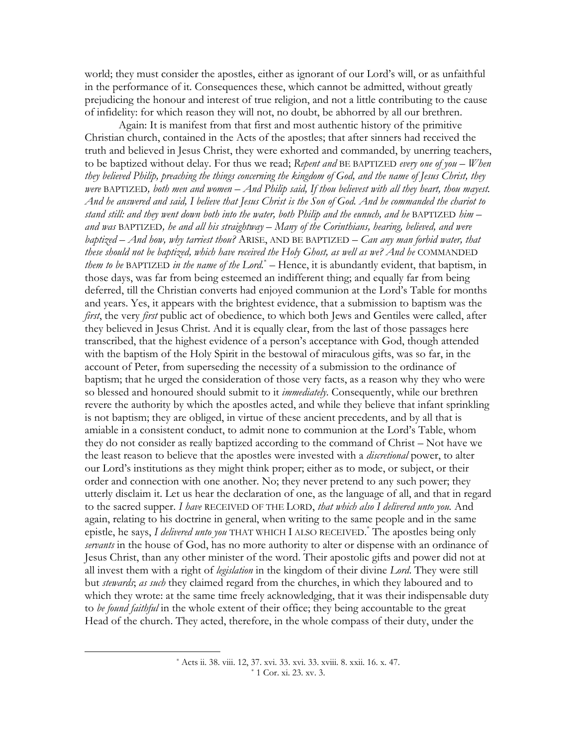world; they must consider the apostles, either as ignorant of our Lord's will, or as unfaithful in the performance of it. Consequences these, which cannot be admitted, without greatly prejudicing the honour and interest of true religion, and not a little contributing to the cause of infidelity: for which reason they will not, no doubt, be abhorred by all our brethren.

Again: It is manifest from that first and most authentic history of the primitive Christian church, contained in the Acts of the apostles; that after sinners had received the truth and believed in Jesus Christ, they were exhorted and commanded, by unerring teachers, to be baptized without delay. For thus we read; Repent and BE BAPTIZED every one of you - When they believed Philip, preaching the things concerning the kingdom of God, and the name of Jesus Christ, they were BAPTIZED, both men and women  $-A$ nd Philip said, If thou believest with all they heart, thou mayest. And he answered and said, I believe that Jesus Christ is the Son of God. And he commanded the chariot to stand still: and they went down both into the water, both Philip and the eunuch, and he BAPTIZED him  $$ and was BAPTIZED, he and all his straightway  $-$  Many of the Corinthians, hearing, believed, and were baptized – And how, why tarriest thou? ARISE, AND BE BAPTIZED – Can any man forbid water, that these should not be baptized, which have received the Holy Ghost, as well as we? And he COMMANDED *them to be BAPTIZED in the name of the Lord*.<sup>\*</sup>  $-$  Hence, it is abundantly evident, that baptism, in those days, was far from being esteemed an indifferent thing; and equally far from being deferred, till the Christian converts had enjoyed communion at the Lord's Table for months and years. Yes, it appears with the brightest evidence, that a submission to baptism was the first, the very first public act of obedience, to which both Jews and Gentiles were called, after they believed in Jesus Christ. And it is equally clear, from the last of those passages here transcribed, that the highest evidence of a person's acceptance with God, though attended with the baptism of the Holy Spirit in the bestowal of miraculous gifts, was so far, in the account of Peter, from superseding the necessity of a submission to the ordinance of baptism; that he urged the consideration of those very facts, as a reason why they who were so blessed and honoured should submit to it *immediately*. Consequently, while our brethren revere the authority by which the apostles acted, and while they believe that infant sprinkling is not baptism; they are obliged, in virtue of these ancient precedents, and by all that is amiable in a consistent conduct, to admit none to communion at the Lord's Table, whom they do not consider as really baptized according to the command of Christ – Not have we the least reason to believe that the apostles were invested with a *discretional* power, to alter our Lord's institutions as they might think proper; either as to mode, or subject, or their order and connection with one another. No; they never pretend to any such power; they utterly disclaim it. Let us hear the declaration of one, as the language of all, and that in regard to the sacred supper. I have RECEIVED OF THE LORD, that which also I delivered unto you. And again, relating to his doctrine in general, when writing to the same people and in the same epistle, he says, I delivered unto you THAT WHICH I ALSO RECEIVED. The apostles being only servants in the house of God, has no more authority to alter or dispense with an ordinance of Jesus Christ, than any other minister of the word. Their apostolic gifts and power did not at all invest them with a right of legislation in the kingdom of their divine Lord. They were still but stewards; as such they claimed regard from the churches, in which they laboured and to which they wrote: at the same time freely acknowledging, that it was their indispensable duty to be found faithful in the whole extent of their office; they being accountable to the great Head of the church. They acted, therefore, in the whole compass of their duty, under the

<sup>\*</sup> Acts ii. 38. viii. 12, 37. xvi. 33. xvi. 33. xviii. 8. xxii. 16. x. 47. \* 1 Cor. xi. 23. xv. 3.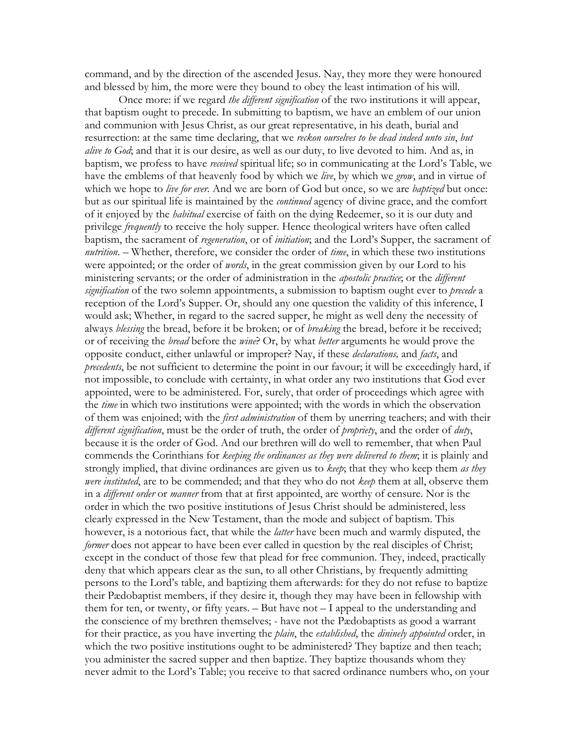command, and by the direction of the ascended Jesus. Nay, they more they were honoured and blessed by him, the more were they bound to obey the least intimation of his will.

Once more: if we regard the different signification of the two institutions it will appear, that baptism ought to precede. In submitting to baptism, we have an emblem of our union and communion with Jesus Christ, as our great representative, in his death, burial and resurrection: at the same time declaring, that we reckon ourselves to be dead indeed unto sin, but alive to God; and that it is our desire, as well as our duty, to live devoted to him. And as, in baptism, we profess to have received spiritual life; so in communicating at the Lord's Table, we have the emblems of that heavenly food by which we live, by which we grow, and in virtue of which we hope to live for ever. And we are born of God but once, so we are baptized but once: but as our spiritual life is maintained by the *continued* agency of divine grace, and the comfort of it enjoyed by the *habitual* exercise of faith on the dying Redeemer, so it is our duty and privilege *frequently* to receive the holy supper. Hence theological writers have often called baptism, the sacrament of regeneration, or of initiation; and the Lord's Supper, the sacrament of *nutrition.* – Whether, therefore, we consider the order of *time*, in which these two institutions were appointed; or the order of *word*, in the great commission given by our Lord to his ministering servants; or the order of administration in the *apostolic practice*; or the *different* signification of the two solemn appointments, a submission to baptism ought ever to precede a reception of the Lord's Supper. Or, should any one question the validity of this inference, I would ask; Whether, in regard to the sacred supper, he might as well deny the necessity of always blessing the bread, before it be broken; or of breaking the bread, before it be received; or of receiving the *bread* before the *wine*? Or, by what *better* arguments he would prove the opposite conduct, either unlawful or improper? Nay, if these *declarations*, and *facts*, and *precedents*, be not sufficient to determine the point in our favour; it will be exceedingly hard, if not impossible, to conclude with certainty, in what order any two institutions that God ever appointed, were to be administered. For, surely, that order of proceedings which agree with the *time* in which two institutions were appointed; with the words in which the observation of them was enjoined; with the *first administration* of them by unerring teachers; and with their different signification, must be the order of truth, the order of propriety, and the order of duty, because it is the order of God. And our brethren will do well to remember, that when Paul commends the Corinthians for keeping the ordinances as they were delivered to them; it is plainly and strongly implied, that divine ordinances are given us to keep; that they who keep them as they were instituted, are to be commended; and that they who do not keep them at all, observe them in a different order or manner from that at first appointed, are worthy of censure. Nor is the order in which the two positive institutions of Jesus Christ should be administered, less clearly expressed in the New Testament, than the mode and subject of baptism. This however, is a notorious fact, that while the *latter* have been much and warmly disputed, the former does not appear to have been ever called in question by the real disciples of Christ; except in the conduct of those few that plead for free communion. They, indeed, practically deny that which appears clear as the sun, to all other Christians, by frequently admitting persons to the Lord's table, and baptizing them afterwards: for they do not refuse to baptize their Pædobaptist members, if they desire it, though they may have been in fellowship with them for ten, or twenty, or fifty years.  $-$  But have not  $-$  I appeal to the understanding and the conscience of my brethren themselves; - have not the Pædobaptists as good a warrant for their practice, as you have inverting the *plain*, the *established*, the *dininely appointed* order, in which the two positive institutions ought to be administered? They baptize and then teach; you administer the sacred supper and then baptize. They baptize thousands whom they never admit to the Lord's Table; you receive to that sacred ordinance numbers who, on your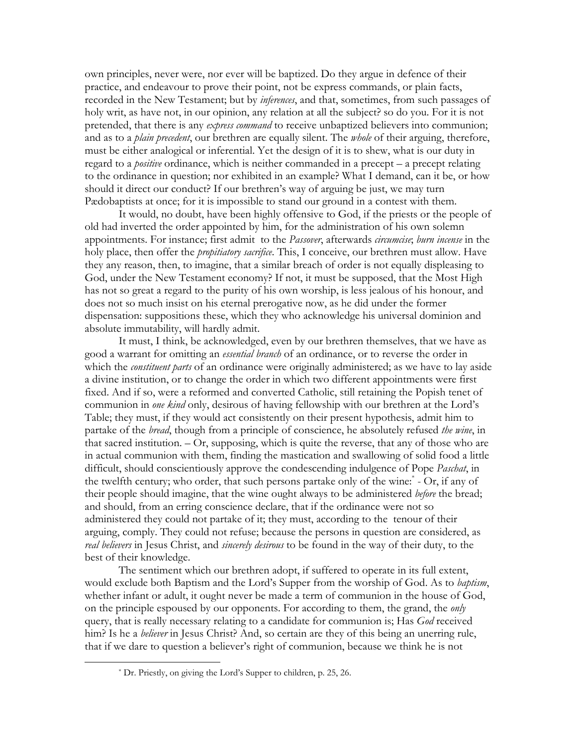own principles, never were, nor ever will be baptized. Do they argue in defence of their practice, and endeavour to prove their point, not be express commands, or plain facts, recorded in the New Testament; but by *inferences*, and that, sometimes, from such passages of holy writ, as have not, in our opinion, any relation at all the subject? so do you. For it is not pretended, that there is any express command to receive unbaptized believers into communion; and as to a *plain precedent*, our brethren are equally silent. The *whole* of their arguing, therefore, must be either analogical or inferential. Yet the design of it is to shew, what is our duty in regard to a *positive* ordinance, which is neither commanded in a precept – a precept relating to the ordinance in question; nor exhibited in an example? What I demand, can it be, or how should it direct our conduct? If our brethren's way of arguing be just, we may turn Pædobaptists at once; for it is impossible to stand our ground in a contest with them.

It would, no doubt, have been highly offensive to God, if the priests or the people of old had inverted the order appointed by him, for the administration of his own solemn appointments. For instance; first admit to the Passover, afterwards circumcise; burn incense in the holy place, then offer the *propitiatory sacrifice*. This, I conceive, our brethren must allow. Have they any reason, then, to imagine, that a similar breach of order is not equally displeasing to God, under the New Testament economy? If not, it must be supposed, that the Most High has not so great a regard to the purity of his own worship, is less jealous of his honour, and does not so much insist on his eternal prerogative now, as he did under the former dispensation: suppositions these, which they who acknowledge his universal dominion and absolute immutability, will hardly admit.

It must, I think, be acknowledged, even by our brethren themselves, that we have as good a warrant for omitting an *essential branch* of an ordinance, or to reverse the order in which the *constituent parts* of an ordinance were originally administered; as we have to lay aside a divine institution, or to change the order in which two different appointments were first fixed. And if so, were a reformed and converted Catholic, still retaining the Popish tenet of communion in one kind only, desirous of having fellowship with our brethren at the Lord's Table; they must, if they would act consistently on their present hypothesis, admit him to partake of the *bread*, though from a principle of conscience, he absolutely refused the wine, in that sacred institution.  $-Or$ , supposing, which is quite the reverse, that any of those who are in actual communion with them, finding the mastication and swallowing of solid food a little difficult, should conscientiously approve the condescending indulgence of Pope Paschat, in the twelfth century; who order, that such persons partake only of the wine: - Or, if any of their people should imagine, that the wine ought always to be administered before the bread; and should, from an erring conscience declare, that if the ordinance were not so administered they could not partake of it; they must, according to the tenour of their arguing, comply. They could not refuse; because the persons in question are considered, as real believers in Jesus Christ, and sincerely desirous to be found in the way of their duty, to the best of their knowledge.

The sentiment which our brethren adopt, if suffered to operate in its full extent, would exclude both Baptism and the Lord's Supper from the worship of God. As to *baptism*, whether infant or adult, it ought never be made a term of communion in the house of God, on the principle espoused by our opponents. For according to them, the grand, the *only* query, that is really necessary relating to a candidate for communion is; Has God received him? Is he a *believer* in Jesus Christ? And, so certain are they of this being an unerring rule, that if we dare to question a believer's right of communion, because we think he is not

<sup>\*</sup> Dr. Priestly, on giving the Lord's Supper to children, p. 25, 26.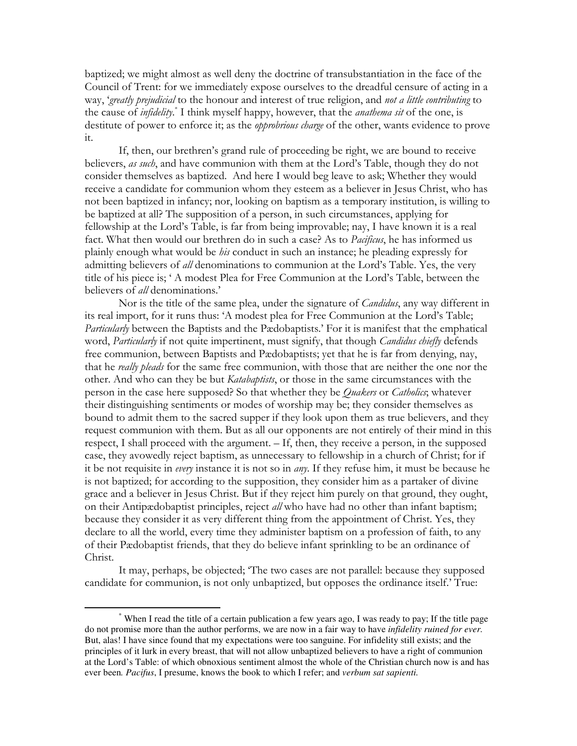baptized; we might almost as well deny the doctrine of transubstantiation in the face of the Council of Trent: for we immediately expose ourselves to the dreadful censure of acting in a way, 'greatly prejudicial to the honour and interest of true religion, and not a little contributing to the cause of *infidelity*.<sup>\*</sup> I think myself happy, however, that the *anathema sit* of the one, is destitute of power to enforce it; as the opprobrious charge of the other, wants evidence to prove it.

If, then, our brethren's grand rule of proceeding be right, we are bound to receive believers, as such, and have communion with them at the Lord's Table, though they do not consider themselves as baptized. And here I would beg leave to ask; Whether they would receive a candidate for communion whom they esteem as a believer in Jesus Christ, who has not been baptized in infancy; nor, looking on baptism as a temporary institution, is willing to be baptized at all? The supposition of a person, in such circumstances, applying for fellowship at the Lord's Table, is far from being improvable; nay, I have known it is a real fact. What then would our brethren do in such a case? As to Pacificus, he has informed us plainly enough what would be *his* conduct in such an instance; he pleading expressly for admitting believers of all denominations to communion at the Lord's Table. Yes, the very title of his piece is; ' A modest Plea for Free Communion at the Lord's Table, between the believers of *all* denominations.'

Nor is the title of the same plea, under the signature of *Candidus*, any way different in its real import, for it runs thus: 'A modest plea for Free Communion at the Lord's Table; Particularly between the Baptists and the Pædobaptists.' For it is manifest that the emphatical word, Particularly if not quite impertinent, must signify, that though Candidus chiefly defends free communion, between Baptists and Pædobaptists; yet that he is far from denying, nay, that he really pleads for the same free communion, with those that are neither the one nor the other. And who can they be but Katabaptists, or those in the same circumstances with the person in the case here supposed? So that whether they be *Quakers* or *Catholics*; whatever their distinguishing sentiments or modes of worship may be; they consider themselves as bound to admit them to the sacred supper if they look upon them as true believers, and they request communion with them. But as all our opponents are not entirely of their mind in this respect, I shall proceed with the argument. - If, then, they receive a person, in the supposed case, they avowedly reject baptism, as unnecessary to fellowship in a church of Christ; for if it be not requisite in every instance it is not so in any. If they refuse him, it must be because he is not baptized; for according to the supposition, they consider him as a partaker of divine grace and a believer in Jesus Christ. But if they reject him purely on that ground, they ought, on their Antipædobaptist principles, reject all who have had no other than infant baptism; because they consider it as very different thing from the appointment of Christ. Yes, they declare to all the world, every time they administer baptism on a profession of faith, to any of their Pædobaptist friends, that they do believe infant sprinkling to be an ordinance of Christ.

It may, perhaps, be objected; 'The two cases are not parallel: because they supposed candidate for communion, is not only unbaptized, but opposes the ordinance itself.' True:

<sup>\*</sup> When I read the title of a certain publication a few years ago, I was ready to pay; If the title page do not promise more than the author performs, we are now in a fair way to have *infidelity ruined for ever.* But, alas! I have since found that my expectations were too sanguine. For infidelity still exists; and the principles of it lurk in every breast, that will not allow unbaptized believers to have a right of communion at the Lord's Table: of which obnoxious sentiment almost the whole of the Christian church now is and has ever been*. Pacifus*, I presume, knows the book to which I refer; and *verbum sat sapienti.*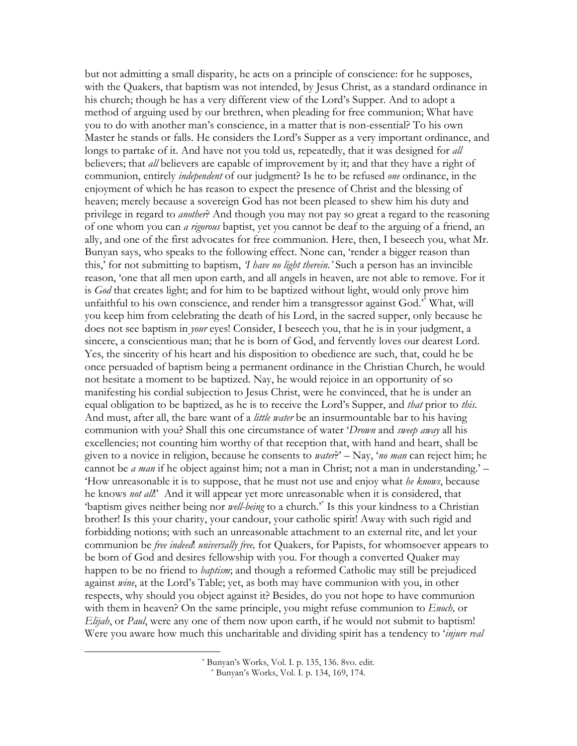but not admitting a small disparity, he acts on a principle of conscience: for he supposes, with the Quakers, that baptism was not intended, by Jesus Christ, as a standard ordinance in his church; though he has a very different view of the Lord's Supper. And to adopt a method of arguing used by our brethren, when pleading for free communion; What have you to do with another man's conscience, in a matter that is non-essential? To his own Master he stands or falls. He considers the Lord's Supper as a very important ordinance, and longs to partake of it. And have not you told us, repeatedly, that it was designed for all believers; that *all* believers are capable of improvement by it; and that they have a right of communion, entirely *independent* of our judgment? Is he to be refused *one* ordinance, in the enjoyment of which he has reason to expect the presence of Christ and the blessing of heaven; merely because a sovereign God has not been pleased to shew him his duty and privilege in regard to *another*? And though you may not pay so great a regard to the reasoning of one whom you can *a rigorous* baptist, yet you cannot be deaf to the arguing of a friend, an ally, and one of the first advocates for free communion. Here, then, I beseech you, what Mr. Bunyan says, who speaks to the following effect. None can, 'render a bigger reason than this,' for not submitting to baptism, *I have no light therein*.' Such a person has an invincible reason, 'one that all men upon earth, and all angels in heaven, are not able to remove. For it is God that creates light; and for him to be baptized without light, would only prove him unfaithful to his own conscience, and render him a transgressor against God." What, will you keep him from celebrating the death of his Lord, in the sacred supper, only because he does not see baptism in *your* eyes! Consider, I beseech you, that he is in your judgment, a sincere, a conscientious man; that he is born of God, and fervently loves our dearest Lord. Yes, the sincerity of his heart and his disposition to obedience are such, that, could he be once persuaded of baptism being a permanent ordinance in the Christian Church, he would not hesitate a moment to be baptized. Nay, he would rejoice in an opportunity of so manifesting his cordial subjection to Jesus Christ, were he convinced, that he is under an equal obligation to be baptized, as he is to receive the Lord's Supper, and *that* prior to *this*. And must, after all, the bare want of a *little water* be an insurmountable bar to his having communion with you? Shall this one circumstance of water 'Drown and sweep away all his excellencies; not counting him worthy of that reception that, with hand and heart, shall be given to a novice in religion, because he consents to *water*?' – Nay, 'no man can reject him; he cannot be *a man* if he object against him; not a man in Christ; not a man in understanding.' – 'How unreasonable it is to suppose, that he must not use and enjoy what he knows, because he knows *not all*." And it will appear yet more unreasonable when it is considered, that "baptism gives neither being nor *well-being* to a church." Is this your kindness to a Christian brother! Is this your charity, your candour, your catholic spirit! Away with such rigid and forbidding notions; with such an unreasonable attachment to an external rite, and let your communion be *free indeed. universally free*, for Quakers, for Papists, for whomsoever appears to be born of God and desires fellowship with you. For though a converted Quaker may happen to be no friend to *baptism*; and though a reformed Catholic may still be prejudiced against *wine*, at the Lord's Table; yet, as both may have communion with you, in other respects, why should you object against it? Besides, do you not hope to have communion with them in heaven? On the same principle, you might refuse communion to *Enoch*, or Elijah, or Paul, were any one of them now upon earth, if he would not submit to baptism! Were you aware how much this uncharitable and dividing spirit has a tendency to 'injure real

<sup>\*</sup> Bunyan's Works, Vol. I. p. 135, 136. 8vo. edit.

<sup>\*</sup> Bunyan's Works, Vol. I. p. 134, 169, 174.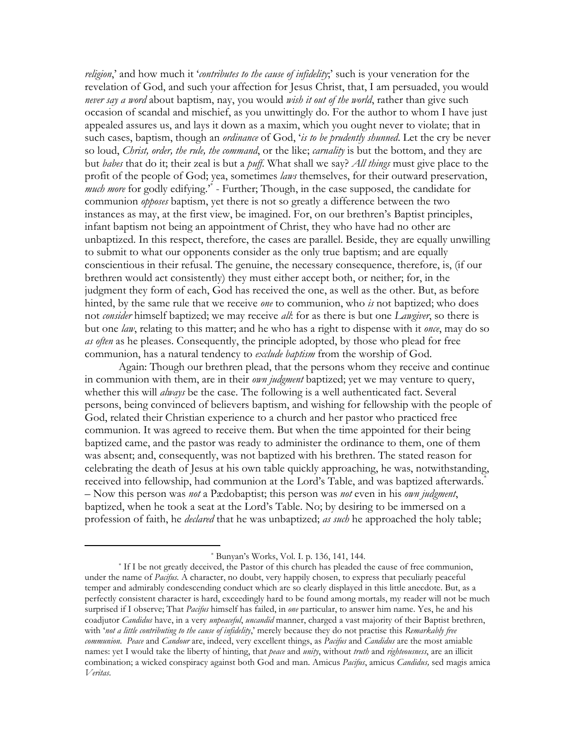religion,' and how much it 'contributes to the cause of infidelity;' such is your veneration for the revelation of God, and such your affection for Jesus Christ, that, I am persuaded, you would never say a word about baptism, nay, you would wish it out of the world, rather than give such occasion of scandal and mischief, as you unwittingly do. For the author to whom I have just appealed assures us, and lays it down as a maxim, which you ought never to violate; that in such cases, baptism, though an *ordinance* of God, 'is to be prudently shunned. Let the cry be never so loud, Christ, order, the rule, the command, or the like; carnality is but the bottom, and they are but babes that do it; their zeal is but a puff. What shall we say? All things must give place to the profit of the people of God; yea, sometimes laws themselves, for their outward preservation, much more for godly edifying." - Further; Though, in the case supposed, the candidate for communion *opposes* baptism, yet there is not so greatly a difference between the two instances as may, at the first view, be imagined. For, on our brethren's Baptist principles, infant baptism not being an appointment of Christ, they who have had no other are unbaptized. In this respect, therefore, the cases are parallel. Beside, they are equally unwilling to submit to what our opponents consider as the only true baptism; and are equally conscientious in their refusal. The genuine, the necessary consequence, therefore, is, (if our brethren would act consistently) they must either accept both, or neither; for, in the judgment they form of each, God has received the one, as well as the other. But, as before hinted, by the same rule that we receive one to communion, who is not baptized; who does not consider himself baptized; we may receive all: for as there is but one Lawgiver, so there is but one law, relating to this matter; and he who has a right to dispense with it once, may do so as often as he pleases. Consequently, the principle adopted, by those who plead for free communion, has a natural tendency to exclude baptism from the worship of God.

Again: Though our brethren plead, that the persons whom they receive and continue in communion with them, are in their *own judgment* baptized; yet we may venture to query, whether this will *always* be the case. The following is a well authenticated fact. Several persons, being convinced of believers baptism, and wishing for fellowship with the people of God, related their Christian experience to a church and her pastor who practiced free communion. It was agreed to receive them. But when the time appointed for their being baptized came, and the pastor was ready to administer the ordinance to them, one of them was absent; and, consequently, was not baptized with his brethren. The stated reason for celebrating the death of Jesus at his own table quickly approaching, he was, notwithstanding, received into fellowship, had communion at the Lord's Table, and was baptized afterwards.<sup>\*</sup> - Now this person was *not* a Pædobaptist; this person was *not* even in his *own judgment*, baptized, when he took a seat at the Lord's Table. No; by desiring to be immersed on a profession of faith, he *declared* that he was unbaptized; as such he approached the holy table;

<sup>\*</sup> Bunyan's Works, Vol. I. p. 136, 141, 144.

<sup>\*</sup> If I be not greatly deceived, the Pastor of this church has pleaded the cause of free communion, under the name of *Pacifus*. A character, no doubt, very happily chosen, to express that peculiarly peaceful temper and admirably condescending conduct which are so clearly displayed in this little anecdote. But, as a perfectly consistent character is hard, exceedingly hard to be found among mortals, my reader will not be much surprised if I observe; That *Pacifus* himself has failed, in *one* particular, to answer him name. Yes, he and his coadjutor *Candidus* have, in a very *unpeaceful, uncandid* manner, charged a vast majority of their Baptist brethren, with 'not a little contributing to the cause of infidelity,' merely because they do not practise this Remarkably free communion. Peace and Candour are, indeed, very excellent things, as Pacifus and Candidus are the most amiable names: yet I would take the liberty of hinting, that *peace* and *unity*, without *truth* and *righteousness*, are an illicit combination; a wicked conspiracy against both God and man. Amicus Pacifus, amicus Candidus, sed magis amica Veritas.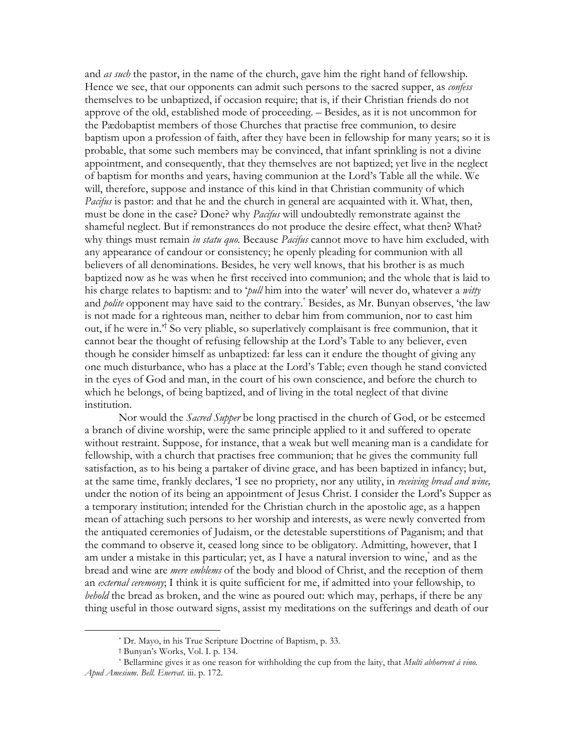and as such the pastor, in the name of the church, gave him the right hand of fellowship. Hence we see, that our opponents can admit such persons to the sacred supper, as *confess* themselves to be unbaptized, if occasion require; that is, if their Christian friends do not approve of the old, established mode of proceeding. – Besides, as it is not uncommon for the Pædobaptist members of those Churches that practise free communion, to desire baptism upon a profession of faith, after they have been in fellowship for many years; so it is probable, that some such members may be convinced, that infant sprinkling is not a divine appointment, and consequently, that they themselves are not baptized; yet live in the neglect of baptism for months and years, having communion at the Lord's Table all the while. We will, therefore, suppose and instance of this kind in that Christian community of which Pacifus is pastor: and that he and the church in general are acquainted with it. What, then, must be done in the case? Done? why *Pacifus* will undoubtedly remonstrate against the shameful neglect. But if remonstrances do not produce the desire effect, what then? What? why things must remain in statu quo. Because Pacifus cannot move to have him excluded, with any appearance of candour or consistency; he openly pleading for communion with all believers of all denominations. Besides, he very well knows, that his brother is as much baptized now as he was when he first received into communion; and the whole that is laid to his charge relates to baptism: and to 'pull him into the water' will never do, whatever a witty and *polite* opponent may have said to the contrary.<sup>\*</sup> Besides, as Mr. Bunyan observes, 'the law is not made for a righteous man, neither to debar him from communion, nor to cast him out, if he were in.<sup>7</sup> So very pliable, so superlatively complaisant is free communion, that it cannot bear the thought of refusing fellowship at the Lord's Table to any believer, even though he consider himself as unbaptized: far less can it endure the thought of giving any one much disturbance, who has a place at the Lord's Table; even though he stand convicted in the eves of God and man, in the court of his own conscience, and before the church to which he belongs, of being baptized, and of living in the total neglect of that divine institution.

Nor would the *Sacred Supper* be long practised in the church of God, or be esteemed a branch of divine worship, were the same principle applied to it and suffered to operate without restraint. Suppose, for instance, that a weak but well meaning man is a candidate for fellowship, with a church that practises free communion; that he gives the community full satisfaction, as to his being a partaker of divine grace, and has been baptized in infancy; but, at the same time, frankly declares, 'I see no propriety, nor any utility, in receiving bread and wine, under the notion of its being an appointment of Jesus Christ. I consider the Lord's Supper as a temporary institution; intended for the Christian church in the apostolic age, as a happen mean of attaching such persons to her worship and interests, as were newly converted from the antiquated ceremonies of Judaism, or the detestable superstitions of Paganism; and that the command to observe it, ceased long since to be obligatory. Admitting, however, that I am under a mistake in this particular; yet, as I have a natural inversion to wine, and as the bread and wine are *mere emblems* of the body and blood of Christ, and the reception of them an external ceremony, I think it is quite sufficient for me, if admitted into your fellowship, to behold the bread as broken, and the wine as poured out: which may, perhaps, if there be any thing useful in those outward signs, assist my meditations on the sufferings and death of our

<sup>\*</sup> Dr. Mayo, in his True Scripture Doctrine of Baptism, p. 33.

<sup>†</sup> Bunyan's Works, Vol. I. p. 134.

<sup>\*</sup> Bellarmine gives it as one reason for withholding the cup from the laity, that *Multi abborrent a vino*. Apud Amesium. Bell. Enervat. iii. p. 172.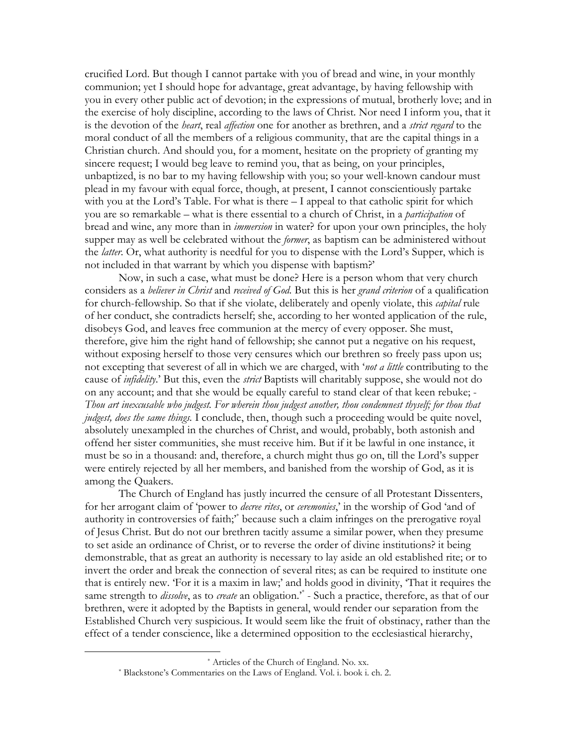crucified Lord. But though I cannot partake with you of bread and wine, in your monthly communion; yet I should hope for advantage, great advantage, by having fellowship with you in every other public act of devotion; in the expressions of mutual, brotherly love; and in the exercise of holy discipline, according to the laws of Christ. Nor need I inform you, that it is the devotion of the *heart*, real *affection* one for another as brethren, and a *strict regard* to the moral conduct of all the members of a religious community, that are the capital things in a Christian church. And should you, for a moment, hesitate on the propriety of granting my sincere request; I would beg leave to remind you, that as being, on your principles, unbaptized, is no bar to my having fellowship with you; so your well-known candour must plead in my favour with equal force, though, at present, I cannot conscientiously partake with you at the Lord's Table. For what is there  $-$  I appeal to that catholic spirit for which you are so remarkable – what is there essential to a church of Christ, in a *participation* of bread and wine, any more than in *immersion* in water? for upon your own principles, the holy supper may as well be celebrated without the *former*, as baptism can be administered without the *latter*. Or, what authority is needful for you to dispense with the Lord's Supper, which is not included in that warrant by which you dispense with baptism?'

Now, in such a case, what must be done? Here is a person whom that very church considers as a *believer in Christ* and *received of God*. But this is her *grand criterion* of a qualification for church-fellowship. So that if she violate, deliberately and openly violate, this *capital* rule of her conduct, she contradicts herself; she, according to her wonted application of the rule, disobeys God, and leaves free communion at the mercy of every opposer. She must, therefore, give him the right hand of fellowship; she cannot put a negative on his request, without exposing herself to those very censures which our brethren so freely pass upon us; not excepting that severest of all in which we are charged, with *'not a little* contributing to the cause of *infidelity*.' But this, even the *strict* Baptists will charitably suppose, she would not do on any account; and that she would be equally careful to stand clear of that keen rebuke; -Thou art inexcusable who judgest. For wherein thou judgest another, thou condemnest thyself; for thou that judgest, does the same things. I conclude, then, though such a proceeding would be quite novel, absolutely unexampled in the churches of Christ, and would, probably, both astonish and offend her sister communities, she must receive him. But if it be lawful in one instance, it must be so in a thousand: and, therefore, a church might thus go on, till the Lord's supper were entirely rejected by all her members, and banished from the worship of God, as it is among the Quakers.

The Church of England has justly incurred the censure of all Protestant Dissenters, for her arrogant claim of 'power to *decree rites*, or *ceremonies*,' in the worship of God 'and of authority in controversies of faith;<sup>\*</sup> because such a claim infringes on the prerogative royal of Jesus Christ. But do not our brethren tacitly assume a similar power, when they presume to set aside an ordinance of Christ, or to reverse the order of divine institutions? it being demonstrable, that as great an authority is necessary to lay aside an old established rite; or to invert the order and break the connection of several rites; as can be required to institute one that is entirely new. 'For it is a maxim in law;' and holds good in divinity, 'That it requires the same strength to *dissolve*, as to *create* an obligation.<sup>\*</sup> - Such a practice, therefore, as that of our brethren, were it adopted by the Baptists in general, would render our separation from the Established Church very suspicious. It would seem like the fruit of obstinacy, rather than the effect of a tender conscience, like a determined opposition to the ecclesiastical hierarchy,

<sup>\*</sup> Articles of the Church of England. No. xx.

<sup>\*</sup> Blackstone's Commentaries on the Laws of England. Vol. i. book i. ch. 2.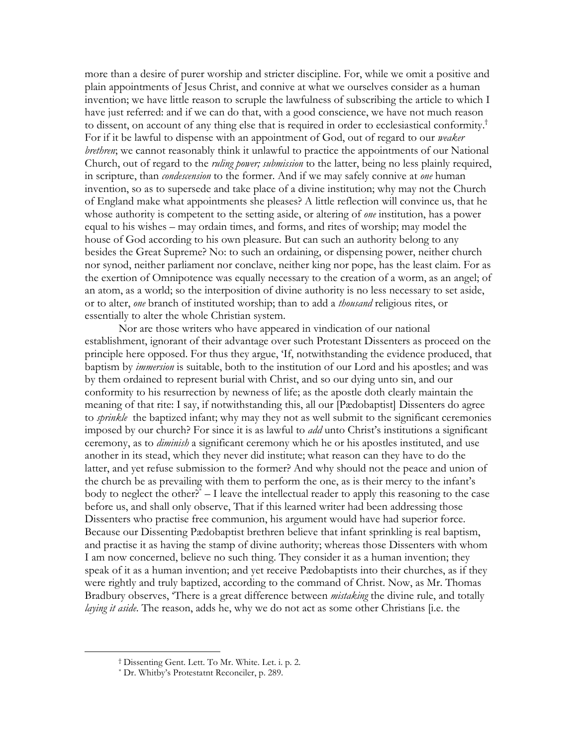more than a desire of purer worship and stricter discipline. For, while we omit a positive and plain appointments of Jesus Christ, and connive at what we ourselves consider as a human invention; we have little reason to scruple the lawfulness of subscribing the article to which I have just referred: and if we can do that, with a good conscience, we have not much reason to dissent, on account of any thing else that is required in order to ecclesiastical conformity.<sup>†</sup> For if it be lawful to dispense with an appointment of God, out of regard to our *weaker* brethren; we cannot reasonably think it unlawful to practice the appointments of our National Church, out of regard to the *ruling power*; *submission* to the latter, being no less plainly required, in scripture, than *condescension* to the former. And if we may safely connive at one human invention, so as to supersede and take place of a divine institution; why may not the Church of England make what appointments she pleases? A little reflection will convince us, that he whose authority is competent to the setting aside, or altering of *one* institution, has a power equal to his wishes – may ordain times, and forms, and rites of worship; may model the house of God according to his own pleasure. But can such an authority belong to any besides the Great Supreme? No: to such an ordaining, or dispensing power, neither church nor synod, neither parliament nor conclave, neither king nor pope, has the least claim. For as the exertion of Omnipotence was equally necessary to the creation of a worm, as an angel; of an atom, as a world; so the interposition of divine authority is no less necessary to set aside, or to alter, one branch of instituted worship; than to add a *thousand* religious rites, or essentially to alter the whole Christian system.

Nor are those writers who have appeared in vindication of our national establishment, ignorant of their advantage over such Protestant Dissenters as proceed on the principle here opposed. For thus they argue, Tf, notwithstanding the evidence produced, that baptism by *immersion* is suitable, both to the institution of our Lord and his apostles; and was by them ordained to represent burial with Christ, and so our dying unto sin, and our conformity to his resurrection by newness of life; as the apostle doth clearly maintain the meaning of that rite: I say, if notwithstanding this, all our [Pædobaptist] Dissenters do agree to *sprinkle* the baptized infant; why may they not as well submit to the significant ceremonies imposed by our church? For since it is as lawful to *add* unto Christ's institutions a significant ceremony, as to *diminish* a significant ceremony which he or his apostles instituted, and use another in its stead, which they never did institute; what reason can they have to do the latter, and yet refuse submission to the former? And why should not the peace and union of the church be as prevailing with them to perform the one, as is their mercy to the infant's body to neglect the other?<sup>\*</sup>  $-$  I leave the intellectual reader to apply this reasoning to the case before us, and shall only observe, That if this learned writer had been addressing those Dissenters who practise free communion, his argument would have had superior force. Because our Dissenting Padobaptist brethren believe that infant sprinkling is real baptism, and practise it as having the stamp of divine authority; whereas those Dissenters with whom I am now concerned, believe no such thing. They consider it as a human invention; they speak of it as a human invention; and yet receive Pædobaptists into their churches, as if they were rightly and truly baptized, according to the command of Christ. Now, as Mr. Thomas Bradbury observes, 'There is a great difference between *mistaking* the divine rule, and totally laying it aside. The reason, adds he, why we do not act as some other Christians [i.e. the

<sup>&</sup>lt;sup>†</sup> Dissenting Gent. Lett. To Mr. White. Let. i. p. 2.

<sup>\*</sup> Dr. Whitby's Protestatnt Reconciler, p. 289.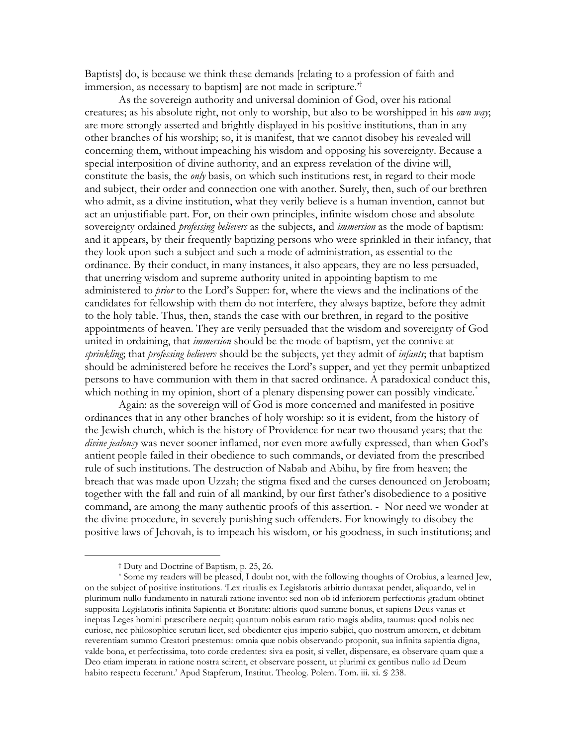Baptists] do, is because we think these demands [relating to a profession of faith and immersion, as necessary to baptism are not made in scripture.<sup>†</sup>

As the sovereign authority and universal dominion of God, over his rational creatures; as his absolute right, not only to worship, but also to be worshipped in his own way; are more strongly asserted and brightly displayed in his positive institutions, than in any other branches of his worship; so, it is manifest, that we cannot disobey his revealed will concerning them, without impeaching his wisdom and opposing his sovereignty. Because a special interposition of divine authority, and an express revelation of the divine will, constitute the basis, the *only* basis, on which such institutions rest, in regard to their mode and subject, their order and connection one with another. Surely, then, such of our brethren who admit, as a divine institution, what they verily believe is a human invention, cannot but act an unjustifiable part. For, on their own principles, infinite wisdom chose and absolute sovereignty ordained *professing believers* as the subjects, and *immersion* as the mode of baptism: and it appears, by their frequently baptizing persons who were sprinkled in their infancy, that they look upon such a subject and such a mode of administration, as essential to the ordinance. By their conduct, in many instances, it also appears, they are no less persuaded, that unerring wisdom and supreme authority united in appointing baptism to me administered to *prior* to the Lord's Supper: for, where the views and the inclinations of the candidates for fellowship with them do not interfere, they always baptize, before they admit to the holy table. Thus, then, stands the case with our brethren, in regard to the positive appointments of heaven. They are verily persuaded that the wisdom and sovereignty of God united in ordaining, that *immersion* should be the mode of baptism, yet the connive at sprinkling; that professing believers should be the subjects, yet they admit of infants; that baptism should be administered before he receives the Lord's supper, and yet they permit unbaptized persons to have communion with them in that sacred ordinance. A paradoxical conduct this, which nothing in my opinion, short of a plenary dispensing power can possibly vindicate.

Again: as the sovereign will of God is more concerned and manifested in positive ordinances that in any other branches of holy worship: so it is evident, from the history of the Jewish church, which is the history of Providence for near two thousand years; that the divine jealousy was never sooner inflamed, nor even more awfully expressed, than when God's antient people failed in their obedience to such commands, or deviated from the prescribed rule of such institutions. The destruction of Nabab and Abihu, by fire from heaven; the breach that was made upon Uzzah; the stigma fixed and the curses denounced on Jeroboam; together with the fall and ruin of all mankind, by our first father's disobedience to a positive command, are among the many authentic proofs of this assertion. - Nor need we wonder at the divine procedure, in severely punishing such offenders. For knowingly to disobey the positive laws of Jehovah, is to impeach his wisdom, or his goodness, in such institutions; and

<sup>&</sup>lt;sup>†</sup> Duty and Doctrine of Baptism, p. 25, 26.

<sup>\*</sup> Some my readers will be pleased, I doubt not, with the following thoughts of Orobius, a learned Jew, on the subject of positive institutions. Lex ritualis ex Legislatoris arbitrio duntaxat pendet, aliquando, vel in plurimum nullo fundamento in naturali ratione invento: sed non ob id inferiorem perfectionis gradum obtinet supposita Legislatoris infinita Sapientia et Bonitate: altioris quod summe bonus, et sapiens Deus vanas et ineptas Leges homini præscribere nequit; quantum nobis earum ratio magis abdita, taumus: quod nobis nec curiose, nec philosophice scrutari licet, sed obedienter ejus imperio subjici, quo nostrum amorem, et debitam reverentiam summo Creatori præstemus: omnia quæ nobis observando proponit, sua infinita sapientia digna, valde bona, et perfectissima, toto corde credentes: siva ea posit, si vellet, dispensare, ea observare quam quæ a Deo etiam imperata in ratione nostra scirent, et observare possent, ut plurimi ex gentibus nullo ad Deum habito respectu fecerunt.' Apud Stapferum, Institut. Theolog. Polem. Tom. iii. xi. § 238.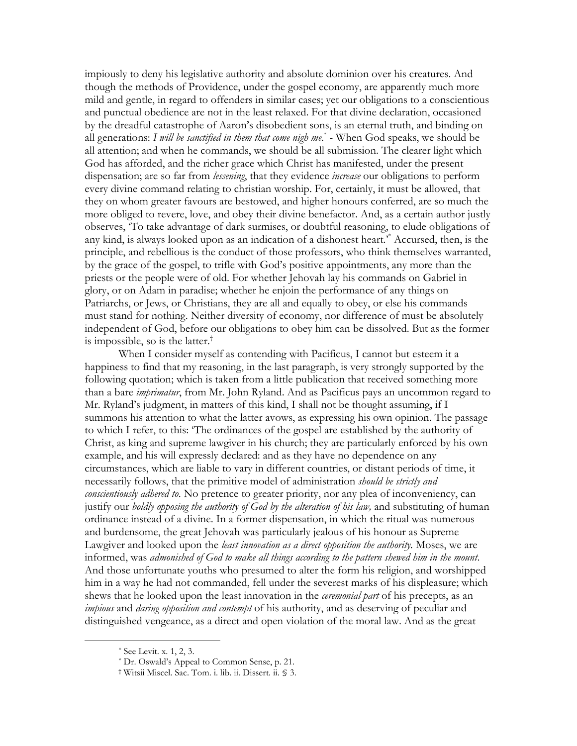impiously to deny his legislative authority and absolute dominion over his creatures. And though the methods of Providence, under the gospel economy, are apparently much more mild and gentle, in regard to offenders in similar cases; yet our obligations to a conscientious and punctual obedience are not in the least relaxed. For that divine declaration, occasioned by the dreadful catastrophe of Aaron's disobedient sons, is an eternal truth, and binding on all generations: I will be sanctified in them that come nigh  $me^*$  - When God speaks, we should be all attention; and when he commands, we should be all submission. The clearer light which God has afforded, and the richer grace which Christ has manifested, under the present dispensation; are so far from lessening, that they evidence increase our obligations to perform every divine command relating to christian worship. For, certainly, it must be allowed, that they on whom greater favours are bestowed, and higher honours conferred, are so much the more obliged to revere, love, and obey their divine benefactor. And, as a certain author justly observes, To take advantage of dark surmises, or doubtful reasoning, to elude obligations of any kind, is always looked upon as an indication of a dishonest heart." Accursed, then, is the principle, and rebellious is the conduct of those professors, who think themselves warranted, by the grace of the gospel, to trifle with God's positive appointments, any more than the priests or the people were of old. For whether Jehovah lay his commands on Gabriel in glory, or on Adam in paradise; whether he enjoin the performance of any things on Patriarchs, or Jews, or Christians, they are all and equally to obey, or else his commands must stand for nothing. Neither diversity of economy, nor difference of must be absolutely independent of God, before our obligations to obey him can be dissolved. But as the former is impossible, so is the latter.<sup>†</sup>

When I consider myself as contending with Pacificus, I cannot but esteem it a happiness to find that my reasoning, in the last paragraph, is very strongly supported by the following quotation; which is taken from a little publication that received something more than a bare *imprimatur*, from Mr. John Ryland. And as Pacificus pays an uncommon regard to Mr. Ryland's judgment, in matters of this kind, I shall not be thought assuming, if I summons his attention to what the latter avows, as expressing his own opinion. The passage to which I refer, to this: 'The ordinances of the gospel are established by the authority of Christ, as king and supreme lawgiver in his church; they are particularly enforced by his own example, and his will expressly declared: and as they have no dependence on any circumstances, which are liable to vary in different countries, or distant periods of time, it necessarily follows, that the primitive model of administration should be strictly and conscientiously adhered to. No pretence to greater priority, nor any plea of inconveniency, can justify our *boldly opposing the authority of God by the alteration of his law*, and substituting of human ordinance instead of a divine. In a former dispensation, in which the ritual was numerous and burdensome, the great Jehovah was particularly jealous of his honour as Supreme Lawgiver and looked upon the least innovation as a direct opposition the authority. Moses, we are informed, was admonished of God to make all things according to the pattern shewed him in the mount. And those unfortunate youths who presumed to alter the form his religion, and worshipped him in a way he had not commanded, fell under the severest marks of his displeasure; which shews that he looked upon the least innovation in the *ceremonial part* of his precepts, as an impious and daring opposition and contempt of his authority, and as deserving of peculiar and distinguished vengeance, as a direct and open violation of the moral law. And as the great

 $*$  See Levit. x. 1, 2, 3.

<sup>\*</sup> Dr. Oswald's Appeal to Common Sense, p. 21.

<sup>†</sup> Witsii Miscel. Sac. Tom. i. lib. ii. Dissert. ii. § 3.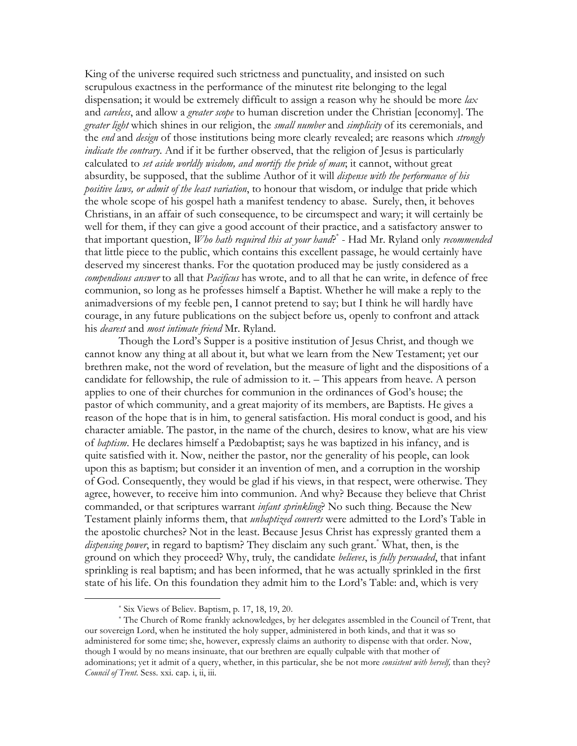King of the universe required such strictness and punctuality, and insisted on such scrupulous exactness in the performance of the minutest rite belonging to the legal dispensation; it would be extremely difficult to assign a reason why he should be more lax and *careless*, and allow a *greater scope* to human discretion under the Christian [economy]. The *greater light* which shines in our religion, the *small number* and *simplicity* of its ceremonials, and the end and design of those institutions being more clearly revealed; are reasons which strongly *indicate the contrary*. And if it be further observed, that the religion of Jesus is particularly calculated to set aside worldly wisdom, and mortify the pride of man, it cannot, without great absurdity, be supposed, that the sublime Author of it will *dispense with the performance of his* positive laws, or admit of the least variation, to honour that wisdom, or indulge that pride which the whole scope of his gospel hath a manifest tendency to abase. Surely, then, it behoves Christians, in an affair of such consequence, to be circumspect and wary; it will certainly be well for them, if they can give a good account of their practice, and a satisfactory answer to that important question, *Who hath required this at your hand* $\hat{P}^*$  - Had Mr. Ryland only *recommended* that little piece to the public, which contains this excellent passage, he would certainly have deserved my sincerest thanks. For the quotation produced may be justly considered as a compendious answer to all that Pacificus has wrote, and to all that he can write, in defence of free communion, so long as he professes himself a Baptist. Whether he will make a reply to the animadversions of my feeble pen, I cannot pretend to say; but I think he will hardly have courage, in any future publications on the subject before us, openly to confront and attack his *dearest* and *most intimate friend* Mr. Ryland.

Though the Lord's Supper is a positive institution of Jesus Christ, and though we cannot know any thing at all about it, but what we learn from the New Testament; yet our brethren make, not the word of revelation, but the measure of light and the dispositions of a candidate for fellowship, the rule of admission to it. – This appears from heave. A person applies to one of their churches for communion in the ordinances of God's house; the pastor of which community, and a great majority of its members, are Baptists. He gives a reason of the hope that is in him, to general satisfaction. His moral conduct is good, and his character amiable. The pastor, in the name of the church, desires to know, what are his view of *baptism*. He declares himself a Pædobaptist; says he was baptized in his infancy, and is quite satisfied with it. Now, neither the pastor, nor the generality of his people, can look upon this as baptism; but consider it an invention of men, and a corruption in the worship of God. Consequently, they would be glad if his views, in that respect, were otherwise. They agree, however, to receive him into communion. And why? Because they believe that Christ commanded, or that scriptures warrant *infant sprinkling*? No such thing. Because the New Testament plainly informs them, that *unbaptized converts* were admitted to the Lord's Table in the apostolic churches? Not in the least. Because Jesus Christ has expressly granted them a *dispensing power*, in regard to baptism? They disclaim any such grant.<sup>\*</sup> What, then, is the ground on which they proceed? Why, truly, the candidate believes, is fully persuaded, that infant sprinkling is real baptism; and has been informed, that he was actually sprinkled in the first state of his life. On this foundation they admit him to the Lord's Table: and, which is very

<sup>\*</sup> Six Views of Believ. Baptism, p. 17, 18, 19, 20.

<sup>\*</sup> The Church of Rome frankly acknowledges, by her delegates assembled in the Council of Trent, that our sovereign Lord, when he instituted the holy supper, administered in both kinds, and that it was so administered for some time; she, however, expressly claims an authority to dispense with that order. Now, though I would by no means insinuate, that our brethren are equally culpable with that mother of adominations; yet it admit of a query, whether, in this particular, she be not more *consistent with herself*, than they? Council of Trent. Sess. xxi. cap. i, ii, iii.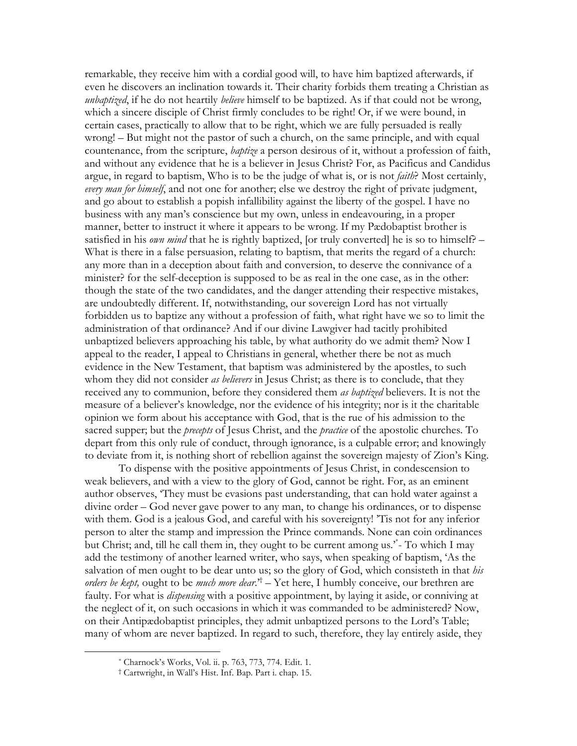remarkable, they receive him with a cordial good will, to have him baptized afterwards, if even he discovers an inclination towards it. Their charity forbids them treating a Christian as unbaptized, if he do not heartily believe himself to be baptized. As if that could not be wrong, which a sincere disciple of Christ firmly concludes to be right! Or, if we were bound, in certain cases, practically to allow that to be right, which we are fully persuaded is really wrong! – But might not the pastor of such a church, on the same principle, and with equal countenance, from the scripture, *baptize* a person desirous of it, without a profession of faith, and without any evidence that he is a believer in Jesus Christ? For, as Pacificus and Candidus argue, in regard to baptism, Who is to be the judge of what is, or is not *faith*? Most certainly, every man for himself, and not one for another; else we destroy the right of private judgment, and go about to establish a popish infallibility against the liberty of the gospel. I have no business with any man's conscience but my own, unless in endeavouring, in a proper manner, better to instruct it where it appears to be wrong. If my Pædobaptist brother is satisfied in his *own mind* that he is rightly baptized, [or truly converted] he is so to himself? – What is there in a false persuasion, relating to baptism, that merits the regard of a church: any more than in a deception about faith and conversion, to deserve the connivance of a minister? for the self-deception is supposed to be as real in the one case, as in the other: though the state of the two candidates, and the danger attending their respective mistakes, are undoubtedly different. If, notwithstanding, our sovereign Lord has not virtually forbidden us to baptize any without a profession of faith, what right have we so to limit the administration of that ordinance? And if our divine Lawgiver had tacitly prohibited unbaptized believers approaching his table, by what authority do we admit them? Now I appeal to the reader, I appeal to Christians in general, whether there be not as much evidence in the New Testament, that baptism was administered by the apostles, to such whom they did not consider as believers in Jesus Christ; as there is to conclude, that they received any to communion, before they considered them as baptized believers. It is not the measure of a believer's knowledge, nor the evidence of his integrity; nor is it the charitable opinion we form about his acceptance with God, that is the rue of his admission to the sacred supper; but the *precepts* of Jesus Christ, and the *practice* of the apostolic churches. To depart from this only rule of conduct, through ignorance, is a culpable error; and knowingly to deviate from it, is nothing short of rebellion against the sovereign majesty of Zion's King.

To dispense with the positive appointments of Jesus Christ, in condescension to weak believers, and with a view to the glory of God, cannot be right. For, as an eminent author observes, 'They must be evasions past understanding, that can hold water against a divine order – God never gave power to any man, to change his ordinances, or to dispense with them. God is a jealous God, and careful with his sovereignty! Tis not for any inferior person to alter the stamp and impression the Prince commands. None can coin ordinances but Christ; and, till he call them in, they ought to be current among us.<sup>\*</sup>- To which I may add the testimony of another learned writer, who says, when speaking of baptism, 'As the salvation of men ought to be dear unto us; so the glory of God, which consisteth in that his orders be kept, ought to be *much more dear*.<sup> $\dot{\tau}$ </sup> – Yet here, I humbly conceive, our brethren are faulty. For what is *dispensing* with a positive appointment, by laying it aside, or conniving at the neglect of it, on such occasions in which it was commanded to be administered? Now, on their Antipædobaptist principles, they admit unbaptized persons to the Lord's Table; many of whom are never baptized. In regard to such, therefore, they lay entirely aside, they

<sup>\*</sup> Charnock's Works, Vol. ii. p. 763, 773, 774. Edit. 1.

<sup>&</sup>lt;sup>†</sup> Cartwright, in Wall's Hist. Inf. Bap. Part i. chap. 15.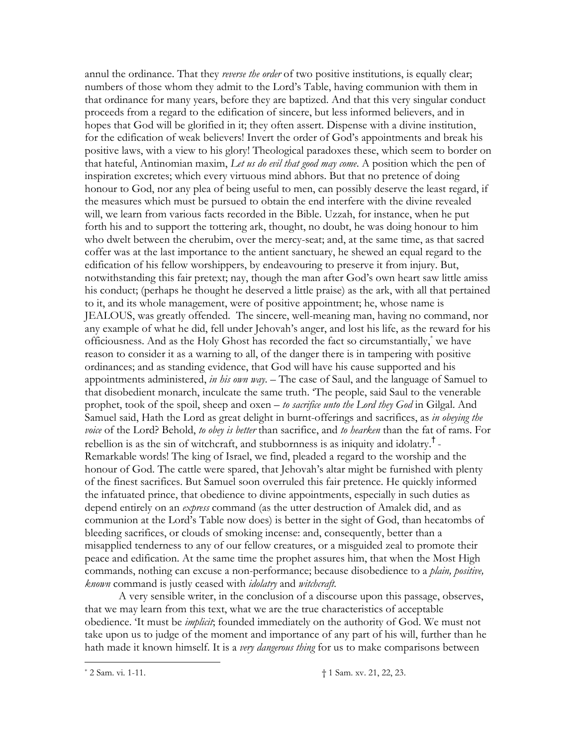annul the ordinance. That they reverse the order of two positive institutions, is equally clear; numbers of those whom they admit to the Lord's Table, having communion with them in that ordinance for many years, before they are baptized. And that this very singular conduct proceeds from a regard to the edification of sincere, but less informed believers, and in hopes that God will be glorified in it; they often assert. Dispense with a divine institution, for the edification of weak believers! Invert the order of God's appointments and break his positive laws, with a view to his glory! Theological paradoxes these, which seem to border on that hateful, Antinomian maxim, Let us do evil that good may come. A position which the pen of inspiration excretes; which every virtuous mind abhors. But that no pretence of doing honour to God, nor any plea of being useful to men, can possibly deserve the least regard, if the measures which must be pursued to obtain the end interfere with the divine revealed will, we learn from various facts recorded in the Bible. Uzzah, for instance, when he put forth his and to support the tottering ark, thought, no doubt, he was doing honour to him who dwelt between the cherubim, over the mercy-seat; and, at the same time, as that sacred coffer was at the last importance to the antient sanctuary, he shewed an equal regard to the edification of his fellow worshippers, by endeavouring to preserve it from injury. But, notwithstanding this fair pretext; nay, though the man after God's own heart saw little amiss his conduct; (perhaps he thought he deserved a little praise) as the ark, with all that pertained to it, and its whole management, were of positive appointment; he, whose name is JEALOUS, was greatly offended. The sincere, well-meaning man, having no command, nor any example of what he did, fell under Jehovah's anger, and lost his life, as the reward for his officiousness. And as the Holy Ghost has recorded the fact so circumstantially,<sup>\*</sup> we have reason to consider it as a warning to all, of the danger there is in tampering with positive ordinances; and as standing evidence, that God will have his cause supported and his appointments administered, in his own way.  $-$  The case of Saul, and the language of Samuel to that disobedient monarch, inculcate the same truth. The people, said Saul to the venerable prophet, took of the spoil, sheep and oxen - to sacrifice unto the Lord they God in Gilgal. And Samuel said, Hath the Lord as great delight in burnt-offerings and sacrifices, as in obeying the voice of the Lord? Behold, to obey is better than sacrifice, and to hearken than the fat of rams. For rebellion is as the sin of witchcraft, and stubbornness is as iniquity and idolatry.<sup>†</sup> Remarkable words! The king of Israel, we find, pleaded a regard to the worship and the honour of God. The cattle were spared, that Jehovah's altar might be furnished with plenty of the finest sacrifices. But Samuel soon overruled this fair pretence. He quickly informed the infatuated prince, that obedience to divine appointments, especially in such duties as depend entirely on an express command (as the utter destruction of Amalek did, and as communion at the Lord's Table now does) is better in the sight of God, than hecatombs of bleeding sacrifices, or clouds of smoking incense: and, consequently, better than a misapplied tenderness to any of our fellow creatures, or a misguided zeal to promote their peace and edification. At the same time the prophet assures him, that when the Most High commands, nothing can excuse a non-performance; because disobedience to a *plain, positive*, known command is justly ceased with *idolatry* and *witchcraft*.

A very sensible writer, in the conclusion of a discourse upon this passage, observes, that we may learn from this text, what we are the true characteristics of acceptable obedience. 'It must be *implicit*; founded immediately on the authority of God. We must not take upon us to judge of the moment and importance of any part of his will, further than he hath made it known himself. It is a very dangerous thing for us to make comparisons between

<sup>\* 2</sup> Sam. vi. 1-11.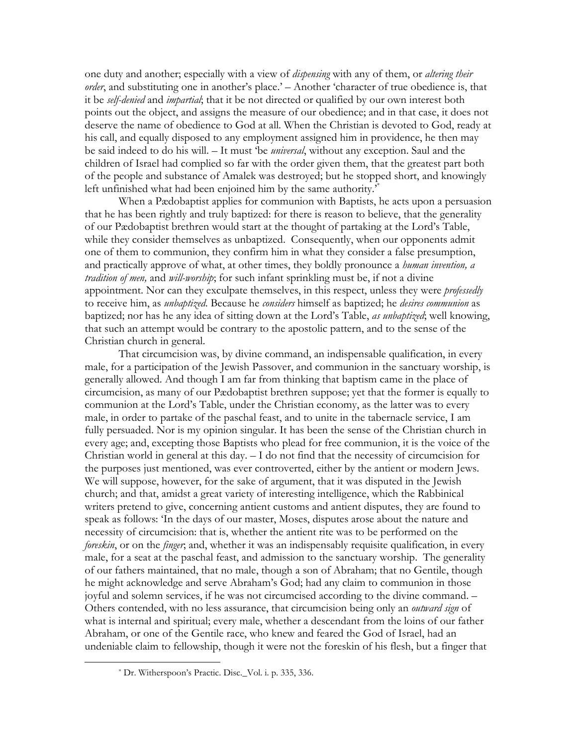one duty and another; especially with a view of *dispensing* with any of them, or *altering their* order, and substituting one in another's place.' - Another 'character of true obedience is, that it be *self-denied* and *impartial*; that it be not directed or qualified by our own interest both points out the object, and assigns the measure of our obedience; and in that case, it does not deserve the name of obedience to God at all. When the Christian is devoted to God, ready at his call, and equally disposed to any employment assigned him in providence, he then may be said indeed to do his will. - It must 'be *universal*, without any exception. Saul and the children of Israel had complied so far with the order given them, that the greatest part both of the people and substance of Amalek was destroyed; but he stopped short, and knowingly left unfinished what had been enjoined him by the same authority."

When a Padobaptist applies for communion with Baptists, he acts upon a persuasion that he has been rightly and truly baptized: for there is reason to believe, that the generality of our Pædobaptist brethren would start at the thought of partaking at the Lord's Table, while they consider themselves as unbaptized. Consequently, when our opponents admit one of them to communion, they confirm him in what they consider a false presumption, and practically approve of what, at other times, they boldly pronounce a *human invention*, a tradition of men, and will-worship; for such infant sprinkling must be, if not a divine appointment. Nor can they exculpate themselves, in this respect, unless they were *professedly* to receive him, as *unbaptized*. Because he *considers* himself as baptized; he *desires communion* as baptized; nor has he any idea of sitting down at the Lord's Table, as unbaptized; well knowing, that such an attempt would be contrary to the apostolic pattern, and to the sense of the Christian church in general.

That circumcision was, by divine command, an indispensable qualification, in every male, for a participation of the Jewish Passover, and communion in the sanctuary worship, is generally allowed. And though I am far from thinking that baptism came in the place of circumcision, as many of our Pædobaptist brethren suppose; yet that the former is equally to communion at the Lord's Table, under the Christian economy, as the latter was to every male, in order to partake of the paschal feast, and to unite in the tabernacle service, I am fully persuaded. Nor is my opinion singular. It has been the sense of the Christian church in every age; and, excepting those Baptists who plead for free communion, it is the voice of the Christian world in general at this day.  $- I$  do not find that the necessity of circumcision for the purposes just mentioned, was ever controverted, either by the antient or modern Jews. We will suppose, however, for the sake of argument, that it was disputed in the Jewish church; and that, amidst a great variety of interesting intelligence, which the Rabbinical writers pretend to give, concerning antient customs and antient disputes, they are found to speak as follows: 'In the days of our master, Moses, disputes arose about the nature and necessity of circumcision: that is, whether the antient rite was to be performed on the foreskin, or on the finger, and, whether it was an indispensably requisite qualification, in every male, for a seat at the paschal feast, and admission to the sanctuary worship. The generality of our fathers maintained, that no male, though a son of Abraham; that no Gentile, though he might acknowledge and serve Abraham's God; had any claim to communion in those joyful and solemn services, if he was not circumcised according to the divine command. -Others contended, with no less assurance, that circumcision being only an *outward sign* of what is internal and spiritual; every male, whether a descendant from the loins of our father Abraham, or one of the Gentile race, who knew and feared the God of Israel, had an undeniable claim to fellowship, though it were not the foreskin of his flesh, but a finger that

<sup>\*</sup> Dr. Witherspoon's Practic. Disc. Vol. i. p. 335, 336.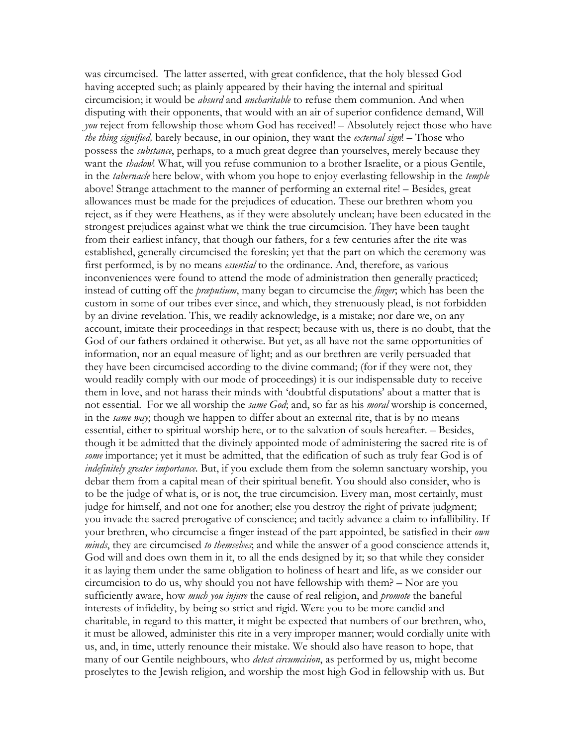was circumcised. The latter asserted, with great confidence, that the holy blessed God having accepted such; as plainly appeared by their having the internal and spiritual circumcision; it would be *absurd* and *uncharitable* to refuse them communion. And when disputing with their opponents, that would with an air of superior confidence demand, Will you reject from fellowship those whom God has received! - Absolutely reject those who have *the thing signified*, barely because, in our opinion, they want the *external sign*! – Those who possess the *substance*, perhaps, to a much great degree than yourselves, merely because they want the *shadow*! What, will you refuse communion to a brother Israelite, or a pious Gentile, in the *tabernacle* here below, with whom you hope to enjoy everlasting fellowship in the *temple* above! Strange attachment to the manner of performing an external rite! – Besides, great allowances must be made for the prejudices of education. These our brethren whom you reject, as if they were Heathens, as if they were absolutely unclean; have been educated in the strongest prejudices against what we think the true circumcision. They have been taught from their earliest infancy, that though our fathers, for a few centuries after the rite was established, generally circumcised the foreskin; yet that the part on which the ceremony was first performed, is by no means *essential* to the ordinance. And, therefore, as various inconveniences were found to attend the mode of administration then generally practiced; instead of cutting off the *praputium*, many began to circumcise the *finger*, which has been the custom in some of our tribes ever since, and which, they strenuously plead, is not forbidden by an divine revelation. This, we readily acknowledge, is a mistake; nor dare we, on any account, imitate their proceedings in that respect; because with us, there is no doubt, that the God of our fathers ordained it otherwise. But yet, as all have not the same opportunities of information, nor an equal measure of light; and as our brethren are verily persuaded that they have been circumcised according to the divine command; (for if they were not, they would readily comply with our mode of proceedings) it is our indispensable duty to receive them in love, and not harass their minds with 'doubtful disputations' about a matter that is not essential. For we all worship the same God; and, so far as his moral worship is concerned, in the *same way*; though we happen to differ about an external rite, that is by no means essential, either to spiritual worship here, or to the salvation of souls hereafter. - Besides, though it be admitted that the divinely appointed mode of administering the sacred rite is of some importance; yet it must be admitted, that the edification of such as truly fear God is of indefinitely greater importance. But, if you exclude them from the solemn sanctuary worship, you debar them from a capital mean of their spiritual benefit. You should also consider, who is to be the judge of what is, or is not, the true circumcision. Every man, most certainly, must judge for himself, and not one for another; else you destroy the right of private judgment; you invade the sacred prerogative of conscience; and tacitly advance a claim to infallibility. If your brethren, who circumcise a finger instead of the part appointed, be satisfied in their own minds, they are circumcised to themselves; and while the answer of a good conscience attends it, God will and does own them in it, to all the ends designed by it; so that while they consider it as laying them under the same obligation to holiness of heart and life, as we consider our circumcision to do us, why should you not have fellowship with them? – Nor are you sufficiently aware, how *much you injure* the cause of real religion, and *promote* the baneful interests of infidelity, by being so strict and rigid. Were you to be more candid and charitable, in regard to this matter, it might be expected that numbers of our brethren, who, it must be allowed, administer this rite in a very improper manner; would cordially unite with us, and, in time, utterly renounce their mistake. We should also have reason to hope, that many of our Gentile neighbours, who *detest circumcision*, as performed by us, might become proselytes to the Jewish religion, and worship the most high God in fellowship with us. But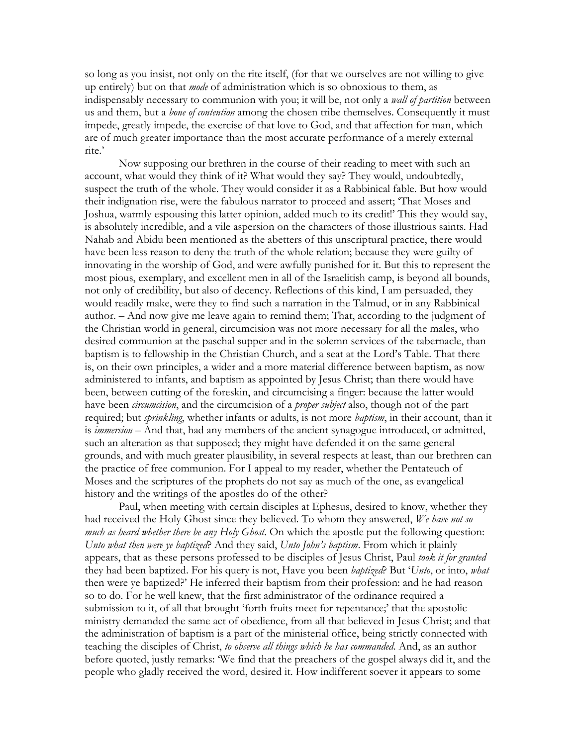so long as you insist, not only on the rite itself, (for that we ourselves are not willing to give up entirely) but on that *mode* of administration which is so obnoxious to them, as indispensably necessary to communion with you; it will be, not only a *wall of partition* between us and them, but a *bone of contention* among the chosen tribe themselves. Consequently it must impede, greatly impede, the exercise of that love to God, and that affection for man, which are of much greater importance than the most accurate performance of a merely external rite.'

Now supposing our brethren in the course of their reading to meet with such an account, what would they think of it? What would they say? They would, undoubtedly, suspect the truth of the whole. They would consider it as a Rabbinical fable. But how would their indignation rise, were the fabulous narrator to proceed and assert; 'That Moses and Joshua, warmly espousing this latter opinion, added much to its credit!' This they would say, is absolutely incredible, and a vile aspersion on the characters of those illustrious saints. Had Nahab and Abidu been mentioned as the abetters of this unscriptural practice, there would have been less reason to deny the truth of the whole relation; because they were guilty of innovating in the worship of God, and were awfully punished for it. But this to represent the most pious, exemplary, and excellent men in all of the Israelitish camp, is beyond all bounds, not only of credibility, but also of decency. Reflections of this kind, I am persuaded, they would readily make, were they to find such a narration in the Talmud, or in any Rabbinical author. – And now give me leave again to remind them; That, according to the judgment of the Christian world in general, circumcision was not more necessary for all the males, who desired communion at the paschal supper and in the solemn services of the tabernacle, than baptism is to fellowship in the Christian Church, and a seat at the Lord's Table. That there is, on their own principles, a wider and a more material difference between baptism, as now administered to infants, and baptism as appointed by Jesus Christ; than there would have been, between cutting of the foreskin, and circumcising a finger: because the latter would have been circumcision, and the circumcision of a proper subject also, though not of the part required; but *sprinkling*, whether infants or adults, is not more *baptism*, in their account, than it is *immersion* – And that, had any members of the ancient synagogue introduced, or admitted, such an alteration as that supposed; they might have defended it on the same general grounds, and with much greater plausibility, in several respects at least, than our brethren can the practice of free communion. For I appeal to my reader, whether the Pentateuch of Moses and the scriptures of the prophets do not say as much of the one, as evangelical history and the writings of the apostles do of the other?

Paul, when meeting with certain disciples at Ephesus, desired to know, whether they had received the Holy Ghost since they believed. To whom they answered, We have not so *much as heard whether there be any Holy Ghost.* On which the apostle put the following question: Unto what then were ye baptized? And they said, Unto John's baptism. From which it plainly appears, that as these persons professed to be disciples of Jesus Christ, Paul took it for granted they had been baptized. For his query is not, Have you been *baptized*? But 'Unto, or into, what then were ye baptized?' He inferred their baptism from their profession: and he had reason so to do. For he well knew, that the first administrator of the ordinance required a submission to it, of all that brought 'forth fruits meet for repentance;' that the apostolic ministry demanded the same act of obedience, from all that believed in Jesus Christ; and that the administration of baptism is a part of the ministerial office, being strictly connected with teaching the disciples of Christ, to observe all things which he has commanded. And, as an author before quoted, justly remarks: 'We find that the preachers of the gospel always did it, and the people who gladly received the word, desired it. How indifferent soever it appears to some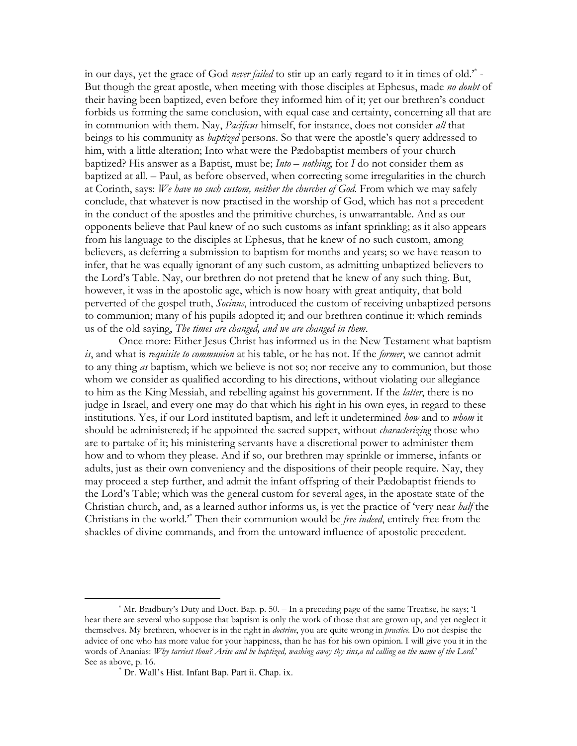in our days, yet the grace of God never failed to stir up an early regard to it in times of old." -But though the great apostle, when meeting with those disciples at Ephesus, made no doubt of their having been baptized, even before they informed him of it; yet our brethren's conduct forbids us forming the same conclusion, with equal case and certainty, concerning all that are in communion with them. Nay, *Pacificus* himself, for instance, does not consider all that beings to his community as *baptized* persons. So that were the apostle's query addressed to him, with a little alteration; Into what were the Pædobaptist members of your church baptized? His answer as a Baptist, must be; *Into – nothing*, for I do not consider them as baptized at all. - Paul, as before observed, when correcting some irregularities in the church at Corinth, says: We have no such custom, neither the churches of God. From which we may safely conclude, that whatever is now practised in the worship of God, which has not a precedent in the conduct of the apostles and the primitive churches, is unwarrantable. And as our opponents believe that Paul knew of no such customs as infant sprinkling; as it also appears from his language to the disciples at Ephesus, that he knew of no such custom, among believers, as deferring a submission to baptism for months and years; so we have reason to infer, that he was equally ignorant of any such custom, as admitting unbaptized believers to the Lord's Table. Nay, our brethren do not pretend that he knew of any such thing. But, however, it was in the apostolic age, which is now hoary with great antiquity, that bold perverted of the gospel truth, *Socinus*, introduced the custom of receiving unbaptized persons to communion; many of his pupils adopted it; and our brethren continue it: which reminds us of the old saying, The times are changed, and we are changed in them.

Once more: Either Jesus Christ has informed us in the New Testament what baptism is, and what is *requisite to communion* at his table, or he has not. If the *former*, we cannot admit to any thing as baptism, which we believe is not so; nor receive any to communion, but those whom we consider as qualified according to his directions, without violating our allegiance to him as the King Messiah, and rebelling against his government. If the *latter*, there is no judge in Israel, and every one may do that which his right in his own eyes, in regard to these institutions. Yes, if our Lord instituted baptism, and left it undetermined how and to whom it should be administered; if he appointed the sacred supper, without *characterizing* those who are to partake of it; his ministering servants have a discretional power to administer them how and to whom they please. And if so, our brethren may sprinkle or immerse, infants or adults, just as their own conveniency and the dispositions of their people require. Nay, they may proceed a step further, and admit the infant offspring of their Pædobaptist friends to the Lord's Table; which was the general custom for several ages, in the apostate state of the Christian church, and, as a learned author informs us, is yet the practice of 'very near half the Christians in the world." Then their communion would be *free indeed*, entirely free from the shackles of divine commands, and from the untoward influence of apostolic precedent.

<sup>\*</sup> Mr. Bradbury's Duty and Doct. Bap. p. 50. – In a preceding page of the same Treatise, he says; T hear there are several who suppose that baptism is only the work of those that are grown up, and yet neglect it themselves. My brethren, whoever is in the right in *doctrine*, you are quite wrong in *practice*. Do not despise the advice of one who has more value for your happiness, than he has for his own opinion. I will give you it in the words of Ananias: Why tarriest thou? Arise and be baptized, washing away thy sins, and calling on the name of the Lord.' See as above, p. 16.

<sup>\*</sup> Dr. Wall's Hist. Infant Bap. Part ii. Chap. ix.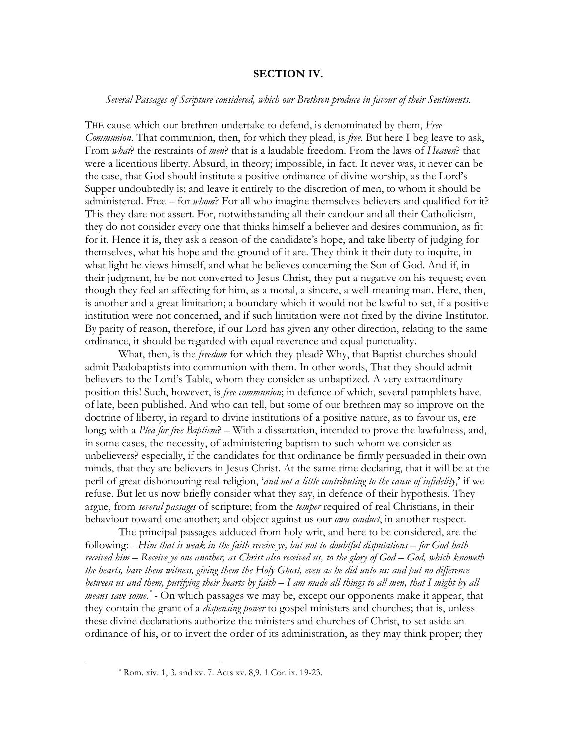### **SECTION IV.**

### Several Passages of Scripture considered, which our Brethren produce in favour of their Sentiments.

THE cause which our brethren undertake to defend, is denominated by them, Free Communion. That communion, then, for which they plead, is free. But here I beg leave to ask, From what? the restraints of men? that is a laudable freedom. From the laws of Heaven? that were a licentious liberty. Absurd, in theory; impossible, in fact. It never was, it never can be the case, that God should institute a positive ordinance of divine worship, as the Lord's Supper undoubtedly is; and leave it entirely to the discretion of men, to whom it should be administered. Free – for *whom*? For all who imagine themselves believers and qualified for it? This they dare not assert. For, notwithstanding all their candour and all their Catholicism, they do not consider every one that thinks himself a believer and desires communion, as fit for it. Hence it is, they ask a reason of the candidate's hope, and take liberty of judging for themselves, what his hope and the ground of it are. They think it their duty to inquire, in what light he views himself, and what he believes concerning the Son of God. And if, in their judgment, he be not converted to Jesus Christ, they put a negative on his request; even though they feel an affecting for him, as a moral, a sincere, a well-meaning man. Here, then, is another and a great limitation; a boundary which it would not be lawful to set, if a positive institution were not concerned, and if such limitation were not fixed by the divine Institutor. By parity of reason, therefore, if our Lord has given any other direction, relating to the same ordinance, it should be regarded with equal reverence and equal punctuality.

What, then, is the *freedom* for which they plead? Why, that Baptist churches should admit Pædobaptists into communion with them. In other words, That they should admit believers to the Lord's Table, whom they consider as unbaptized. A very extraordinary position this! Such, however, is free communion; in defence of which, several pamphlets have, of late, been published. And who can tell, but some of our brethren may so improve on the doctrine of liberty, in regard to divine institutions of a positive nature, as to favour us, ere long; with a *Plea for free Baptism*? – With a dissertation, intended to prove the lawfulness, and, in some cases, the necessity, of administering baptism to such whom we consider as unbelievers? especially, if the candidates for that ordinance be firmly persuaded in their own minds, that they are believers in Jesus Christ. At the same time declaring, that it will be at the peril of great dishonouring real religion, 'and not a little contributing to the cause of infidelity,' if we refuse. But let us now briefly consider what they say, in defence of their hypothesis. They argue, from *several passages* of scripture; from the *temper* required of real Christians, in their behaviour toward one another; and object against us our *own conduct*, in another respect.

The principal passages adduced from holy writ, and here to be considered, are the following: - Him that is weak in the faith receive ye, but not to doubtful disputations – for God hath received him  $-$  Receive ye one another, as Christ also received us, to the glory of  $God - God$ , which knoweth the hearts, bare them witness, giving them the Holy Ghost, even as he did unto us: and put no difference between us and them, purifying their hearts by faith  $-I$  am made all things to all men, that I might by all *means save some.*<sup>\*</sup> - On which passages we may be, except our opponents make it appear, that they contain the grant of a *dispensing power* to gospel ministers and churches; that is, unless these divine declarations authorize the ministers and churches of Christ, to set aside an ordinance of his, or to invert the order of its administration, as they may think proper; they

<sup>\*</sup> Rom. xiv. 1, 3. and xv. 7. Acts xv. 8,9. 1 Cor. ix. 19-23.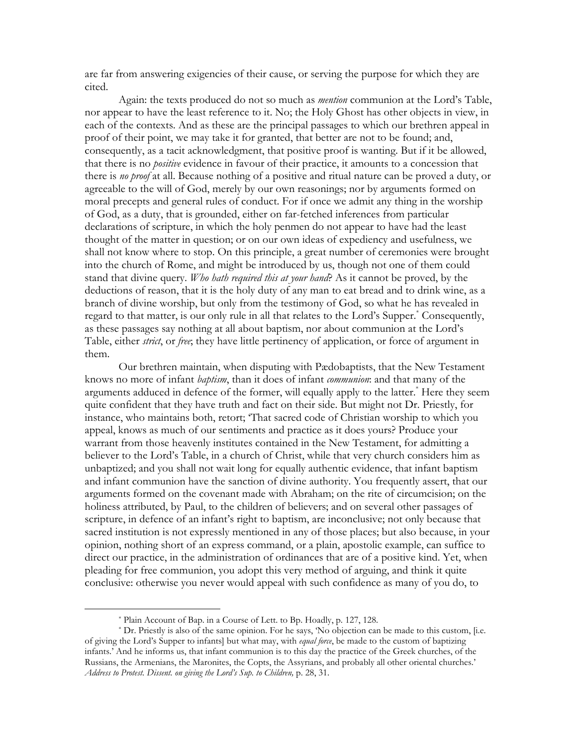are far from answering exigencies of their cause, or serving the purpose for which they are cited.

Again: the texts produced do not so much as *mention* communion at the Lord's Table, nor appear to have the least reference to it. No; the Holy Ghost has other objects in view, in each of the contexts. And as these are the principal passages to which our brethren appeal in proof of their point, we may take it for granted, that better are not to be found; and, consequently, as a tacit acknowledgment, that positive proof is wanting. But if it be allowed, that there is no *positive* evidence in favour of their practice, it amounts to a concession that there is no proof at all. Because nothing of a positive and ritual nature can be proved a duty, or agreeable to the will of God, merely by our own reasonings; nor by arguments formed on moral precepts and general rules of conduct. For if once we admit any thing in the worship of God, as a duty, that is grounded, either on far-fetched inferences from particular declarations of scripture, in which the holy penmen do not appear to have had the least thought of the matter in question; or on our own ideas of expediency and usefulness, we shall not know where to stop. On this principle, a great number of ceremonies were brought into the church of Rome, and might be introduced by us, though not one of them could stand that divine query. Who hath required this at your hand? As it cannot be proved, by the deductions of reason, that it is the holy duty of any man to eat bread and to drink wine, as a branch of divine worship, but only from the testimony of God, so what he has revealed in regard to that matter, is our only rule in all that relates to the Lord's Supper.<sup>\*</sup> Consequently, as these passages say nothing at all about baptism, nor about communion at the Lord's Table, either *strict*, or *free*; they have little pertinency of application, or force of argument in them.

Our brethren maintain, when disputing with Pædobaptists, that the New Testament knows no more of infant *baptism*, than it does of infant *communion*: and that many of the arguments adduced in defence of the former, will equally apply to the latter.<sup>\*</sup> Here they seem quite confident that they have truth and fact on their side. But might not Dr. Priestly, for instance, who maintains both, retort; 'That sacred code of Christian worship to which you appeal, knows as much of our sentiments and practice as it does yours? Produce your warrant from those heavenly institutes contained in the New Testament, for admitting a believer to the Lord's Table, in a church of Christ, while that very church considers him as unbaptized; and you shall not wait long for equally authentic evidence, that infant baptism and infant communion have the sanction of divine authority. You frequently assert, that our arguments formed on the covenant made with Abraham; on the rite of circumcision; on the holiness attributed, by Paul, to the children of believers; and on several other passages of scripture, in defence of an infant's right to baptism, are inconclusive; not only because that sacred institution is not expressly mentioned in any of those places; but also because, in your opinion, nothing short of an express command, or a plain, apostolic example, can suffice to direct our practice, in the administration of ordinances that are of a positive kind. Yet, when pleading for free communion, you adopt this very method of arguing, and think it quite conclusive: otherwise you never would appeal with such confidence as many of you do, to

<sup>\*</sup> Plain Account of Bap. in a Course of Lett. to Bp. Hoadly, p. 127, 128.

<sup>\*</sup> Dr. Priestly is also of the same opinion. For he says, 'No objection can be made to this custom, [i.e. of giving the Lord's Supper to infants] but what may, with *equal force*, be made to the custom of baptizing infants.' And he informs us, that infant communion is to this day the practice of the Greek churches, of the Russians, the Armenians, the Maronites, the Copts, the Assyrians, and probably all other oriental churches.' Address to Protest. Dissent. on giving the Lord's Sup. to Children, p. 28, 31.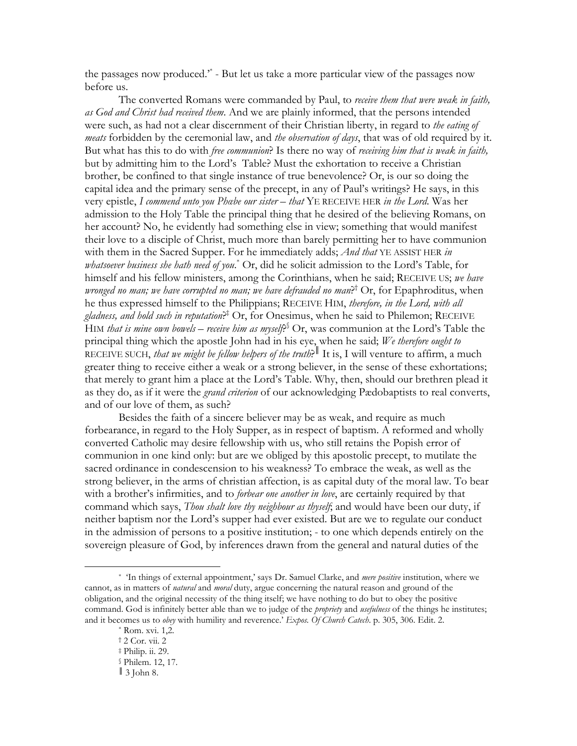the passages now produced.<sup>\*</sup> - But let us take a more particular view of the passages now before us.

The converted Romans were commanded by Paul, to receive them that were weak in faith, as God and Christ had received them. And we are plainly informed, that the persons intended were such, as had not a clear discernment of their Christian liberty, in regard to the eating of meats forbidden by the ceremonial law, and the observation of days, that was of old required by it. But what has this to do with free communion? Is there no way of receiving him that is weak in faith, but by admitting him to the Lord's Table? Must the exhortation to receive a Christian brother, be confined to that single instance of true benevolence? Or, is our so doing the capital idea and the primary sense of the precept, in any of Paul's writings? He says, in this very epistle, I commend unto you Phabe our sister - that YE RECEIVE HER in the Lord. Was her admission to the Holy Table the principal thing that he desired of the believing Romans, on her account? No, he evidently had something else in view; something that would manifest their love to a disciple of Christ, much more than barely permitting her to have communion with them in the Sacred Supper. For he immediately adds; And that YE ASSIST HER in *whatsoever business she hath need of you.*  $\text{Or},$  did he solicit admission to the Lord's Table, for himself and his fellow ministers, among the Corinthians, when he said; RECEIVE US; we have *wronged no man; we have corrupted no man; we have defrauded no man*?<sup>†</sup> Or, for Epaphroditus, when he thus expressed himself to the Philippians; RECEIVE HIM, therefore, in the Lord, with all *gladness, and hold such in reputation*<sup> $\neq$ </sup> Or, for Onesimus, when he said to Philemon; RECEIVE HIM that is mine own bowels – receive him as myself.<sup>§</sup> Or, was communion at the Lord's Table the principal thing which the apostle John had in his eye, when he said; We therefore ought to RECEIVE SUCH, that we might be fellow helpers of the truth? It is, I will venture to affirm, a much greater thing to receive either a weak or a strong believer, in the sense of these exhortations; that merely to grant him a place at the Lord's Table. Why, then, should our brethren plead it as they do, as if it were the *grand criterion* of our acknowledging Pædobaptists to real converts, and of our love of them, as such?

Besides the faith of a sincere believer may be as weak, and require as much forbearance, in regard to the Holy Supper, as in respect of baptism. A reformed and wholly converted Catholic may desire fellowship with us, who still retains the Popish error of communion in one kind only: but are we obliged by this apostolic precept, to mutilate the sacred ordinance in condescension to his weakness? To embrace the weak, as well as the strong believer, in the arms of christian affection, is as capital duty of the moral law. To bear with a brother's infirmities, and to *forbear one another in love*, are certainly required by that command which says, Thou shalt love thy neighbour as thyself, and would have been our duty, if neither baptism nor the Lord's supper had ever existed. But are we to regulate our conduct in the admission of persons to a positive institution; - to one which depends entirely on the sovereign pleasure of God, by inferences drawn from the general and natural duties of the

<sup>\*</sup> In things of external appointment,' says Dr. Samuel Clarke, and *mere positive* institution, where we cannot, as in matters of *natural* and *moral* duty, argue concerning the natural reason and ground of the obligation, and the original necessity of the thing itself; we have nothing to do but to obey the positive command. God is infinitely better able than we to judge of the *propriety* and *usefulness* of the things he institutes; and it becomes us to obey with humility and reverence.' Expos. Of Church Catech. p. 305, 306. Edit. 2.

<sup>\*</sup> Rom. xvi. 1,2.

<sup>† 2</sup> Cor. vii. 2

*<sup>‡</sup>* Philip. ii. 29.

<sup>§</sup> Philem. 12, 17.

 $\parallel$  3 John 8.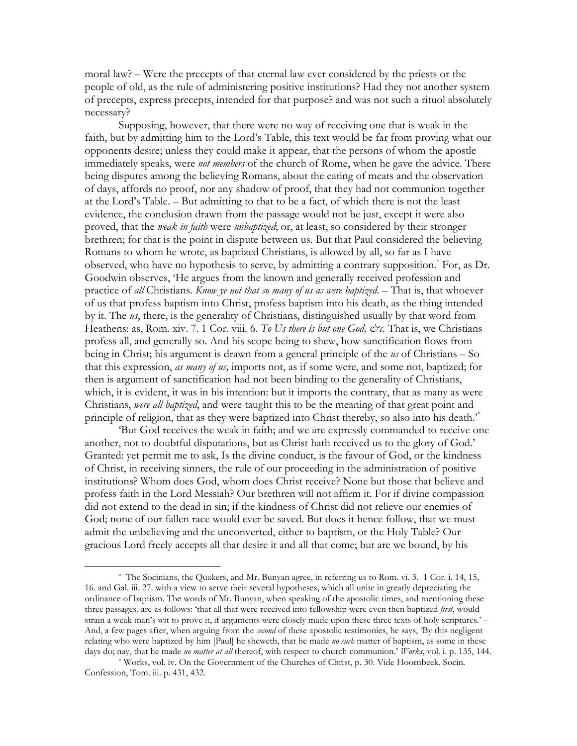moral law? – Were the precepts of that eternal law ever considered by the priests or the people of old, as the rule of administering positive institutions? Had they not another system of precepts, express precepts, intended for that purpose? and was not such a rituol absolutely necessary?

Supposing, however, that there were no way of receiving one that is weak in the faith, but by admitting him to the Lord's Table, this text would be far from proving what our opponents desire; unless they could make it appear, that the persons of whom the apostle immediately speaks, were *not members* of the church of Rome, when he gave the advice. There being disputes among the believing Romans, about the eating of meats and the observation of days, affords no proof, nor any shadow of proof, that they had not communion together at the Lord's Table. – But admitting to that to be a fact, of which there is not the least evidence, the conclusion drawn from the passage would not be just, except it were also proved, that the *weak in faith* were *unbaptized*; or, at least, so considered by their stronger brethren; for that is the point in dispute between us. But that Paul considered the believing Romans to whom he wrote, as baptized Christians, is allowed by all, so far as I have observed, who have no hypothesis to serve, by admitting a contrary supposition. For, as Dr. Goodwin observes, 'He argues from the known and generally received profession and practice of all Christians. Know ye not that so many of us as were baptized. - That is, that whoever of us that profess baptism into Christ, profess baptism into his death, as the thing intended by it. The  $\mu s$ , there, is the generality of Christians, distinguished usually by that word from Heathens: as, Rom. xiv. 7. 1 Cor. viii. 6. To Us there is but one God, &c. That is, we Christians profess all, and generally so. And his scope being to shew, how sanctification flows from being in Christ; his argument is drawn from a general principle of the  $u_s$  of Christians – So that this expression, as many of us, imports not, as if some were, and some not, baptized; for then is argument of sanctification had not been binding to the generality of Christians, which, it is evident, it was in his intention: but it imports the contrary, that as many as were Christians, were all baptized, and were taught this to be the meaning of that great point and principle of religion, that as they were baptized into Christ thereby, so also into his death."

'But God receives the weak in faith; and we are expressly commanded to receive one another, not to doubtful disputations, but as Christ hath received us to the glory of God.' Granted: yet permit me to ask, Is the divine conduct, is the favour of God, or the kindness of Christ, in receiving sinners, the rule of our proceeding in the administration of positive institutions? Whom does God, whom does Christ receive? None but those that believe and profess faith in the Lord Messiah? Our brethren will not affirm it. For if divine compassion did not extend to the dead in sin; if the kindness of Christ did not relieve our enemies of God: none of our fallen race would ever be saved. But does it hence follow, that we must admit the unbelieving and the unconverted, either to baptism, or the Holy Table? Our gracious Lord freely accepts all that desire it and all that come; but are we bound, by his

<sup>\*</sup> The Socinians, the Ouakers, and Mr. Bunyan agree, in referring us to Rom. vi. 3. 1 Cor. i. 14, 15, 16. and Gal. iii. 27. with a view to serve their several hypotheses, which all unite in greatly depreciating the ordinance of baptism. The words of Mr. Bunyan, when speaking of the apostolic times, and mentioning these three passages, are as follows: 'that all that were received into fellowship were even then baptized *first*, would strain a weak man's wit to prove it, if arguments were closely made upon these three texts of holy scriptures.' -And, a few pages after, when arguing from the *second* of these apostolic testimonies, he says, 'By this negligent relating who were baptized by him [Paul] he sheweth, that he made no such matter of baptism, as some in these days do; nay, that he made *no matter at all* thereof, with respect to church communion.' *Works*, vol. i. p. 135, 144.

<sup>\*</sup> Works, vol. iv. On the Government of the Churches of Christ, p. 30. Vide Hoornbeek. Socin. Confession, Tom. iii. p. 431, 432.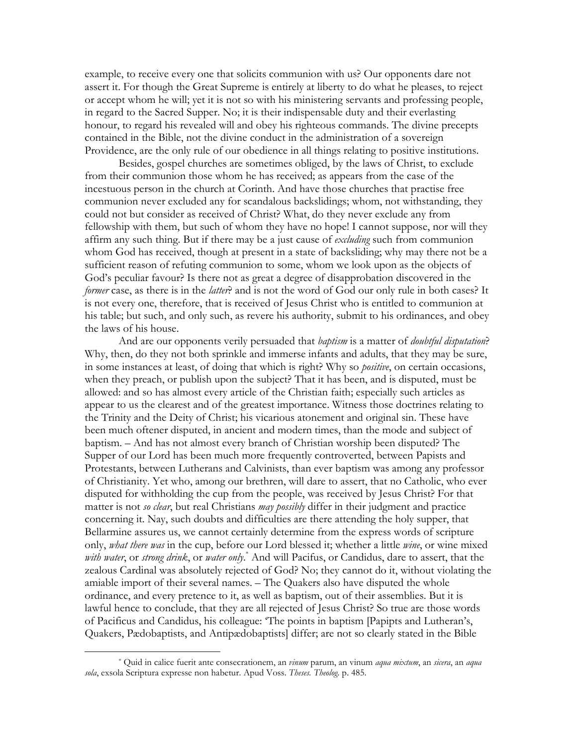example, to receive every one that solicits communion with us? Our opponents dare not assert it. For though the Great Supreme is entirely at liberty to do what he pleases, to reject or accept whom he will; yet it is not so with his ministering servants and professing people, in regard to the Sacred Supper. No; it is their indispensable duty and their everlasting honour, to regard his revealed will and obey his righteous commands. The divine precepts contained in the Bible, not the divine conduct in the administration of a sovereign Providence, are the only rule of our obedience in all things relating to positive institutions.

Besides, gospel churches are sometimes obliged, by the laws of Christ, to exclude from their communion those whom he has received; as appears from the case of the incestuous person in the church at Corinth. And have those churches that practise free communion never excluded any for scandalous backslidings; whom, not withstanding, they could not but consider as received of Christ? What, do they never exclude any from fellowship with them, but such of whom they have no hope! I cannot suppose, nor will they affirm any such thing. But if there may be a just cause of *excluding* such from communion whom God has received, though at present in a state of backsliding; why may there not be a sufficient reason of refuting communion to some, whom we look upon as the objects of God's peculiar favour? Is there not as great a degree of disapprobation discovered in the former case, as there is in the latter? and is not the word of God our only rule in both cases? It is not every one, therefore, that is received of Jesus Christ who is entitled to communion at his table; but such, and only such, as revere his authority, submit to his ordinances, and obey the laws of his house.

And are our opponents verily persuaded that baptism is a matter of *doubtful disputation*? Why, then, do they not both sprinkle and immerse infants and adults, that they may be sure, in some instances at least, of doing that which is right? Why so *positive*, on certain occasions, when they preach, or publish upon the subject? That it has been, and is disputed, must be allowed: and so has almost every article of the Christian faith; especially such articles as appear to us the clearest and of the greatest importance. Witness those doctrines relating to the Trinity and the Deity of Christ; his vicarious atonement and original sin. These have been much oftener disputed, in ancient and modern times, than the mode and subject of baptism. - And has not almost every branch of Christian worship been disputed? The Supper of our Lord has been much more frequently controverted, between Papists and Protestants, between Lutherans and Calvinists, than ever baptism was among any professor of Christianity. Yet who, among our brethren, will dare to assert, that no Catholic, who ever disputed for withholding the cup from the people, was received by Jesus Christ? For that matter is not so clear, but real Christians may possibly differ in their judgment and practice concerning it. Nay, such doubts and difficulties are there attending the holy supper, that Bellarmine assures us, we cannot certainly determine from the express words of scripture only, what there was in the cup, before our Lord blessed it; whether a little wine, or wine mixed with water, or strong drink, or water only.<sup>\*</sup> And will Pacifus, or Candidus, dare to assert, that the zealous Cardinal was absolutely rejected of God? No; they cannot do it, without violating the amiable import of their several names. - The Quakers also have disputed the whole ordinance, and every pretence to it, as well as baptism, out of their assemblies. But it is lawful hence to conclude, that they are all rejected of Jesus Christ? So true are those words of Pacificus and Candidus, his colleague: 'The points in baptism [Papipts and Lutheran's, Quakers, Pædobaptists, and Antipædobaptists] differ; are not so clearly stated in the Bible

<sup>\*</sup> Quid in calice fuerit ante consecrationem, an *vinum* parum, an vinum *aqua mixtum*, an *sicera*, an *aqua* sola, exsola Scriptura expresse non habetur. Apud Voss. Theses. Theolog. p. 485.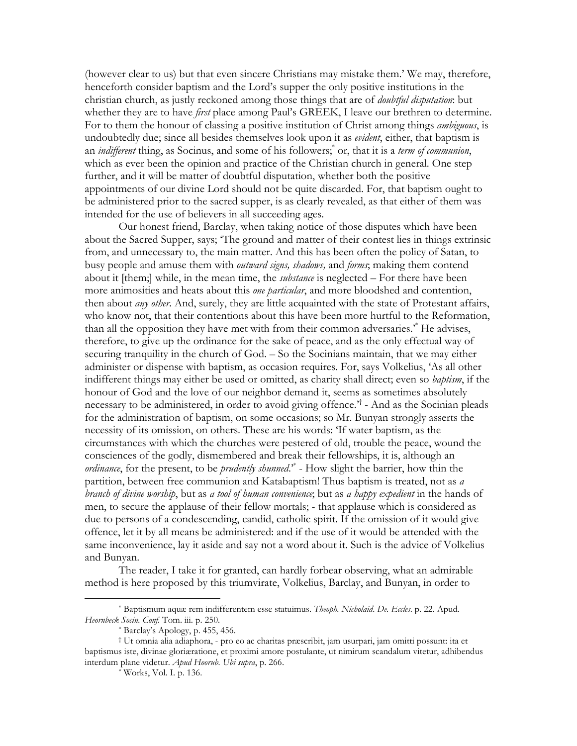(however clear to us) but that even sincere Christians may mistake them.' We may, therefore, henceforth consider baptism and the Lord's supper the only positive institutions in the christian church, as justly reckoned among those things that are of *doubtful disputation*: but whether they are to have *first* place among Paul's GREEK, I leave our brethren to determine. For to them the honour of classing a positive institution of Christ among things *ambiguous*, is undoubtedly due; since all besides themselves look upon it as *evident*, either, that baptism is an *indifferent* thing, as Socinus, and some of his followers; or, that it is a *term of communion*, which as ever been the opinion and practice of the Christian church in general. One step further, and it will be matter of doubtful disputation, whether both the positive appointments of our divine Lord should not be quite discarded. For, that baptism ought to be administered prior to the sacred supper, is as clearly revealed, as that either of them was intended for the use of believers in all succeeding ages.

Our honest friend, Barclay, when taking notice of those disputes which have been about the Sacred Supper, says; 'The ground and matter of their contest lies in things extrinsic from, and unnecessary to, the main matter. And this has been often the policy of Satan, to busy people and amuse them with *outward signs, shadows*, and *forms*; making them contend about it [them;] while, in the mean time, the *substance* is neglected – For there have been more animosities and heats about this one particular, and more bloodshed and contention, then about *any other*. And, surely, they are little acquainted with the state of Protestant affairs, who know not, that their contentions about this have been more hurtful to the Reformation, than all the opposition they have met with from their common adversaries." He advises, therefore, to give up the ordinance for the sake of peace, and as the only effectual way of securing tranquility in the church of God. – So the Socinians maintain, that we may either administer or dispense with baptism, as occasion requires. For, says Volkelius, 'As all other indifferent things may either be used or omitted, as charity shall direct; even so *baptism*, if the honour of God and the love of our neighbor demand it, seems as sometimes absolutely necessary to be administered, in order to avoid giving offence.<sup> $\tau$ </sup> - And as the Socinian pleads for the administration of baptism, on some occasions; so Mr. Bunyan strongly asserts the necessity of its omission, on others. These are his words: 'If water baptism, as the circumstances with which the churches were pestered of old, trouble the peace, wound the consciences of the godly, dismembered and break their fellowships, it is, although an ordinance, for the present, to be *prudently shunned*.<sup>\*</sup> - How slight the barrier, how thin the partition, between free communion and Katabaptism! Thus baptism is treated, not as a branch of divine worship, but as a tool of human convenience, but as a happy expedient in the hands of men, to secure the applause of their fellow mortals; - that applause which is considered as due to persons of a condescending, candid, catholic spirit. If the omission of it would give offence, let it by all means be administered: and if the use of it would be attended with the same inconvenience, lay it aside and say not a word about it. Such is the advice of Volkelius and Bunyan.

The reader, I take it for granted, can hardly forbear observing, what an admirable method is here proposed by this triumvirate, Volkelius, Barclay, and Bunyan, in order to

<sup>\*</sup> Baptismum aquæ rem indifferentem esse statuimus. Theoph. Nicholaid. De. Eccles. p. 22. Apud. Heornbeck Socin. Conf. Tom. iii. p. 250.

 $*$  Barclay's Apology, p. 455, 456.

<sup>†</sup> Ut omnia alia adiaphora, - pro eo ac charitas præscribit, jam usurpari, jam omitti possunt: ita et baptismus iste, divinae gloriæratione, et proximi amore postulante, ut nimirum scandalum vitetur, adhibendus interdum plane videtur. Apud Hoorub. Ubi supra, p. 266.

<sup>\*</sup> Works, Vol. I. p. 136.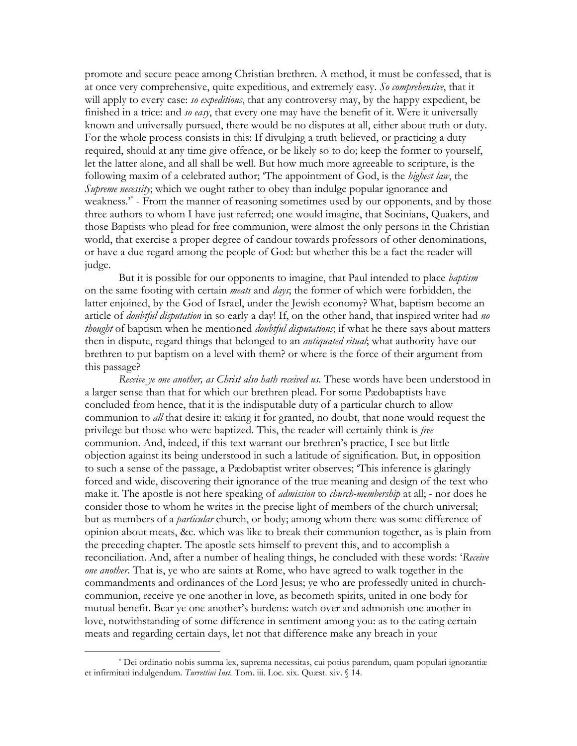promote and secure peace among Christian brethren. A method, it must be confessed, that is at once very comprehensive, quite expeditious, and extremely easy. So comprehensive, that it will apply to every case: so expeditious, that any controversy may, by the happy expedient, be finished in a trice: and so easy, that every one may have the benefit of it. Were it universally known and universally pursued, there would be no disputes at all, either about truth or duty. For the whole process consists in this: If divulging a truth believed, or practicing a duty required, should at any time give offence, or be likely so to do; keep the former to yourself, let the latter alone, and all shall be well. But how much more agreeable to scripture, is the following maxim of a celebrated author; 'The appointment of God, is the *highest law*, the Supreme necessity; which we ought rather to obey than indulge popular ignorance and weakness.<sup>\*</sup> - From the manner of reasoning sometimes used by our opponents, and by those three authors to whom I have just referred; one would imagine, that Socinians, Quakers, and those Baptists who plead for free communion, were almost the only persons in the Christian world, that exercise a proper degree of candour towards professors of other denominations, or have a due regard among the people of God: but whether this be a fact the reader will judge.

But it is possible for our opponents to imagine, that Paul intended to place *baptism* on the same footing with certain *meats* and *days*; the former of which were forbidden, the latter enjoined, by the God of Israel, under the Jewish economy? What, baptism become an article of *doubtful disputation* in so early a day! If, on the other hand, that inspired writer had no thought of baptism when he mentioned *doubtful disputations*; if what he there says about matters then in dispute, regard things that belonged to an *antiquated ritual*; what authority have our brethren to put baptism on a level with them? or where is the force of their argument from this passage?

Receive ye one another, as Christ also hath received us. These words have been understood in a larger sense than that for which our brethren plead. For some Pædobaptists have concluded from hence, that it is the indisputable duty of a particular church to allow communion to *all* that desire it: taking it for granted, no doubt, that none would request the privilege but those who were baptized. This, the reader will certainly think is free communion. And, indeed, if this text warrant our brethren's practice, I see but little objection against its being understood in such a latitude of signification. But, in opposition to such a sense of the passage, a Pædobaptist writer observes; 'This inference is glaringly forced and wide, discovering their ignorance of the true meaning and design of the text who make it. The apostle is not here speaking of *admission* to *church-membership* at all; - nor does he consider those to whom he writes in the precise light of members of the church universal; but as members of a *particular* church, or body; among whom there was some difference of opinion about meats, &c. which was like to break their communion together, as is plain from the preceding chapter. The apostle sets himself to prevent this, and to accomplish a reconciliation. And, after a number of healing things, he concluded with these words: 'Receive one another. That is, ye who are saints at Rome, who have agreed to walk together in the commandments and ordinances of the Lord Jesus; ye who are professedly united in churchcommunion, receive ye one another in love, as becometh spirits, united in one body for mutual benefit. Bear ye one another's burdens: watch over and admonish one another in love, notwithstanding of some difference in sentiment among you: as to the eating certain meats and regarding certain days, let not that difference make any breach in your

<sup>\*</sup> Dei ordinatio nobis summa lex, suprema necessitas, cui potius parendum, quam populari ignorantiæ et infirmitati indulgendum. Turrettini Inst. Tom. iii. Loc. xix. Quæst. xiv. § 14.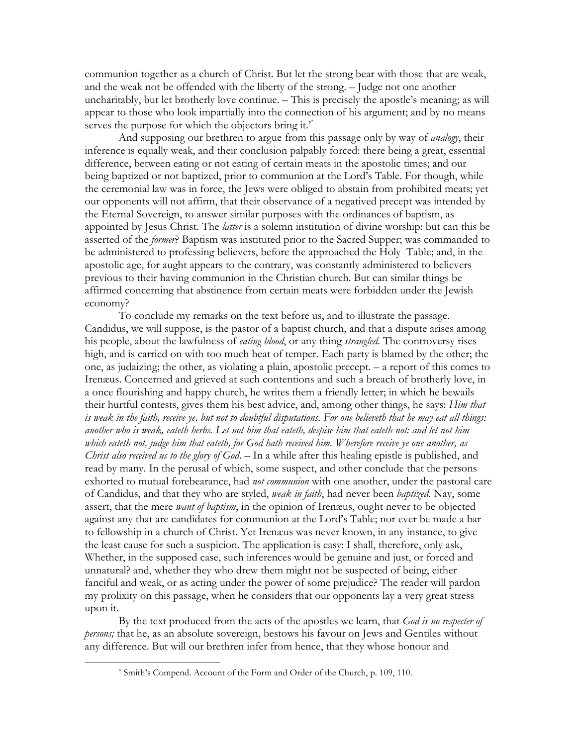communion together as a church of Christ. But let the strong bear with those that are weak, and the weak not be offended with the liberty of the strong. - Judge not one another uncharitably, but let brotherly love continue. - This is precisely the apostle's meaning; as will appear to those who look impartially into the connection of his argument; and by no means serves the purpose for which the objectors bring it.<sup>\*</sup>

And supposing our brethren to argue from this passage only by way of *analogy*, their inference is equally weak, and their conclusion palpably forced: there being a great, essential difference, between eating or not eating of certain meats in the apostolic times; and our being baptized or not baptized, prior to communion at the Lord's Table. For though, while the ceremonial law was in force, the Jews were obliged to abstain from prohibited meats; yet our opponents will not affirm, that their observance of a negatived precept was intended by the Eternal Sovereign, to answer similar purposes with the ordinances of baptism, as appointed by Jesus Christ. The *latter* is a solemn institution of divine worship: but can this be asserted of the former? Baptism was instituted prior to the Sacred Supper; was commanded to be administered to professing believers, before the approached the Holy Table; and, in the apostolic age, for aught appears to the contrary, was constantly administered to believers previous to their having communion in the Christian church. But can similar things be affirmed concerning that abstinence from certain meats were forbidden under the Jewish economy?

To conclude my remarks on the text before us, and to illustrate the passage. Candidus, we will suppose, is the pastor of a baptist church, and that a dispute arises among his people, about the lawfulness of *eating blood*, or any thing *strangled*. The controversy rises high, and is carried on with too much heat of temper. Each party is blamed by the other; the one, as judaizing; the other, as violating a plain, apostolic precept.  $-$  a report of this comes to Irenæus. Concerned and grieved at such contentions and such a breach of brotherly love, in a once flourishing and happy church, he writes them a friendly letter; in which he bewails their hurtful contests, gives them his best advice, and, among other things, he says: *Him that* is weak in the faith, receive ye, but not to doubtful disputations. For one believeth that he may eat all things: another who is weak, eateth herbs. Let not him that eateth, despise him that eateth not: and let not him which eateth not, judge him that eateth, for God hath received him. Wherefore receive ye one another, as Christ also received us to the glory of  $God$  – In a while after this healing epistle is published, and read by many. In the perusal of which, some suspect, and other conclude that the persons exhorted to mutual forebearance, had not communion with one another, under the pastoral care of Candidus, and that they who are styled, *weak in faith*, had never been *baptized*. Nay, some assert, that the mere want of baptism, in the opinion of Irenaeus, ought never to be objected against any that are candidates for communion at the Lord's Table; nor ever be made a bar to fellowship in a church of Christ. Yet Irenæus was never known, in any instance, to give the least cause for such a suspicion. The application is easy: I shall, therefore, only ask, Whether, in the supposed case, such inferences would be genuine and just, or forced and unnatural? and, whether they who drew them might not be suspected of being, either fanciful and weak, or as acting under the power of some prejudice? The reader will pardon my prolixity on this passage, when he considers that our opponents lay a very great stress upon it.

By the text produced from the acts of the apostles we learn, that God is no respecter of *persons*; that he, as an absolute sovereign, bestows his favour on Jews and Gentiles without any difference. But will our brethren infer from hence, that they whose honour and

<sup>\*</sup> Smith's Compend. Account of the Form and Order of the Church, p. 109, 110.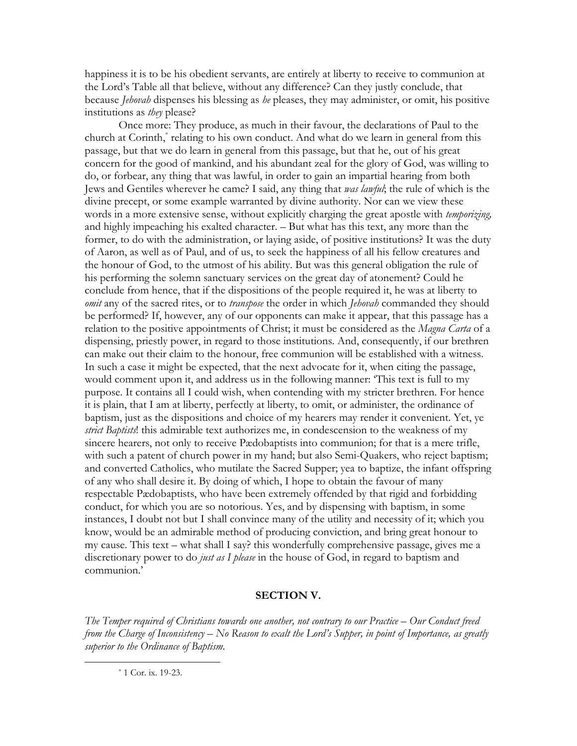happiness it is to be his obedient servants, are entirely at liberty to receive to communion at the Lord's Table all that believe, without any difference? Can they justly conclude, that because *Jehovah* dispenses his blessing as *he* pleases, they may administer, or omit, his positive institutions as *they* please?

Once more: They produce, as much in their favour, the declarations of Paul to the church at Corinth, relating to his own conduct. And what do we learn in general from this passage, but that we do learn in general from this passage, but that he, out of his great concern for the good of mankind, and his abundant zeal for the glory of God, was willing to do, or forbear, any thing that was lawful, in order to gain an impartial hearing from both Jews and Gentiles wherever he came? I said, any thing that was lawful; the rule of which is the divine precept, or some example warranted by divine authority. Nor can we view these words in a more extensive sense, without explicitly charging the great apostle with temporizing, and highly impeaching his exalted character. – But what has this text, any more than the former, to do with the administration, or laying aside, of positive institutions? It was the duty of Aaron, as well as of Paul, and of us, to seek the happiness of all his fellow creatures and the honour of God, to the utmost of his ability. But was this general obligation the rule of his performing the solemn sanctuary services on the great day of atonement? Could he conclude from hence, that if the dispositions of the people required it, he was at liberty to omit any of the sacred rites, or to transpose the order in which Jehovah commanded they should be performed? If, however, any of our opponents can make it appear, that this passage has a relation to the positive appointments of Christ; it must be considered as the Magna Carta of a dispensing, priestly power, in regard to those institutions. And, consequently, if our brethren can make out their claim to the honour, free communion will be established with a witness. In such a case it might be expected, that the next advocate for it, when citing the passage, would comment upon it, and address us in the following manner. This text is full to my purpose. It contains all I could wish, when contending with my stricter brethren. For hence it is plain, that I am at liberty, perfectly at liberty, to omit, or administer, the ordinance of baptism, just as the dispositions and choice of my hearers may render it convenient. Yet, ye strict Baptists! this admirable text authorizes me, in condescension to the weakness of my sincere hearers, not only to receive Pædobaptists into communion; for that is a mere trifle, with such a patent of church power in my hand; but also Semi-Quakers, who reject baptism; and converted Catholics, who mutilate the Sacred Supper; yea to baptize, the infant offspring of any who shall desire it. By doing of which, I hope to obtain the favour of many respectable Pædobaptists, who have been extremely offended by that rigid and forbidding conduct, for which you are so notorious. Yes, and by dispensing with baptism, in some instances, I doubt not but I shall convince many of the utility and necessity of it; which you know, would be an admirable method of producing conviction, and bring great honour to my cause. This text – what shall I say? this wonderfully comprehensive passage, gives me a discretionary power to do just as I please in the house of God, in regard to baptism and communion.'

# **SECTION V.**

The Temper required of Christians towards one another, not contrary to our Practice  $-$  Our Conduct freed from the Charge of Inconsistency – No Reason to exalt the Lord's Supper, in point of Importance, as greatly superior to the Ordinance of Baptism.

\* 1 Cor. ix. 19-23.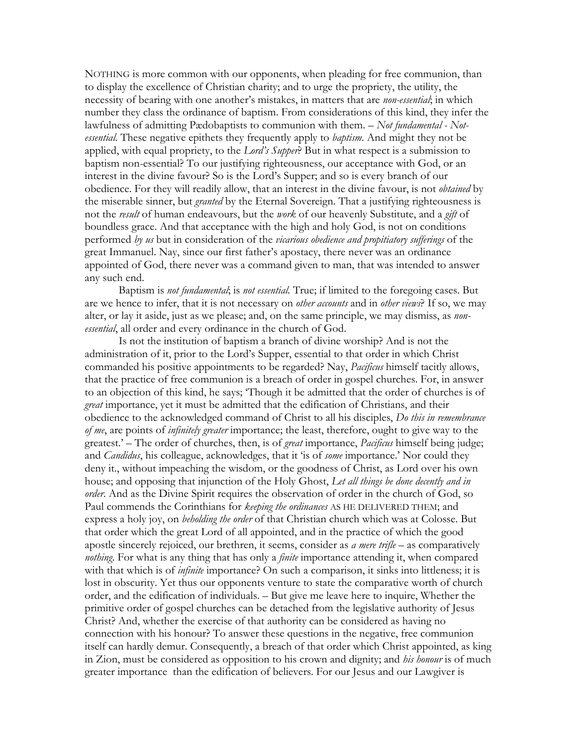NOTHING is more common with our opponents, when pleading for free communion, than to display the excellence of Christian charity; and to urge the propriety, the utility, the necessity of bearing with one another's mistakes, in matters that are non-essential; in which number they class the ordinance of baptism. From considerations of this kind, they infer the lawfulness of admitting Pædobaptists to communion with them. - Not fundamental - Not*essential*. These negative epithets they frequently apply to *baptism*. And might they not be applied, with equal propriety, to the Lord's Supper? But in what respect is a submission to baptism non-essential? To our justifying righteousness, our acceptance with God, or an interest in the divine favour? So is the Lord's Supper; and so is every branch of our obedience. For they will readily allow, that an interest in the divine favour, is not *obtained* by the miserable sinner, but *granted* by the Eternal Sovereign. That a justifying righteousness is not the result of human endeavours, but the work of our heavenly Substitute, and a gift of boundless grace. And that acceptance with the high and holy God, is not on conditions performed by us but in consideration of the vicarious obedience and propitiatory sufferings of the great Immanuel. Nay, since our first father's apostacy, there never was an ordinance appointed of God, there never was a command given to man, that was intended to answer any such end.

Baptism is not fundamental, is not essential. True; if limited to the foregoing cases. But are we hence to infer, that it is not necessary on *other accounts* and in *other views*? If so, we may alter, or lay it aside, just as we please; and, on the same principle, we may dismiss, as nonessential, all order and every ordinance in the church of God.

Is not the institution of baptism a branch of divine worship? And is not the administration of it, prior to the Lord's Supper, essential to that order in which Christ commanded his positive appointments to be regarded? Nay, *Pacificus* himself tacitly allows, that the practice of free communion is a breach of order in gospel churches. For, in answer to an objection of this kind, he says; 'Though it be admitted that the order of churches is of great importance, yet it must be admitted that the edification of Christians, and their obedience to the acknowledged command of Christ to all his disciples, *Do this in remembrance* of me, are points of *infinitely greater* importance; the least, therefore, ought to give way to the greatest.' – The order of churches, then, is of *great* importance, *Pacificus* himself being judge; and *Candidus*, his colleague, acknowledges, that it 'is of *some* importance.' Nor could they deny it., without impeaching the wisdom, or the goodness of Christ, as Lord over his own house; and opposing that injunction of the Holy Ghost, Let all things be done decently and in order. And as the Divine Spirit requires the observation of order in the church of God, so Paul commends the Corinthians for keeping the ordinances AS HE DELIVERED THEM; and express a holy joy, on *beholding the order* of that Christian church which was at Colosse. But that order which the great Lord of all appointed, and in the practice of which the good apostle sincerely rejoiced, our brethren, it seems, consider as *a mere trifle* – as comparatively *nothing*. For what is any thing that has only a *finite* importance attending it, when compared with that which is of *infinite* importance? On such a comparison, it sinks into littleness; it is lost in obscurity. Yet thus our opponents venture to state the comparative worth of church order, and the edification of individuals. - But give me leave here to inquire, Whether the primitive order of gospel churches can be detached from the legislative authority of Jesus Christ? And, whether the exercise of that authority can be considered as having no connection with his honour? To answer these questions in the negative, free communion itself can hardly demur. Consequently, a breach of that order which Christ appointed, as king in Zion, must be considered as opposition to his crown and dignity; and *his honour* is of much greater importance than the edification of believers. For our Jesus and our Lawgiver is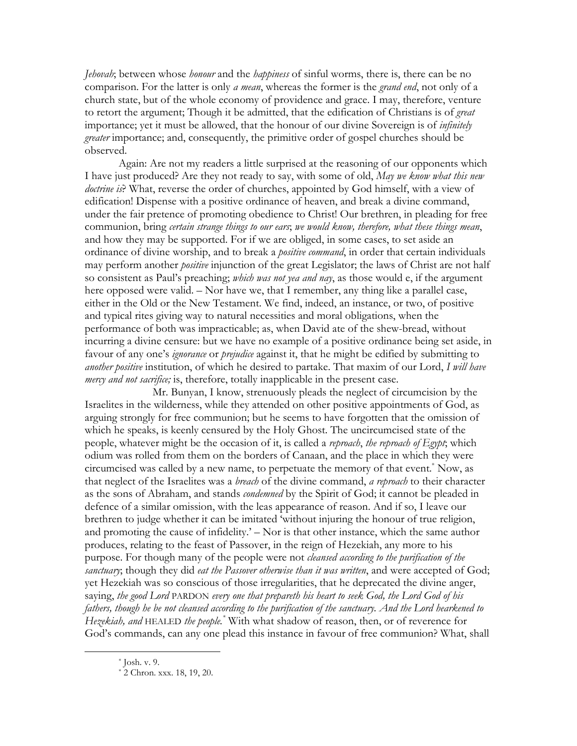*Lehovah*; between whose *honour* and the *happiness* of sinful worms, there is, there can be no comparison. For the latter is only *a mean*, whereas the former is the *grand end*, not only of a church state, but of the whole economy of providence and grace. I may, therefore, venture to retort the argument; Though it be admitted, that the edification of Christians is of great importance; yet it must be allowed, that the honour of our divine Sovereign is of *infinitely* greater importance; and, consequently, the primitive order of gospel churches should be observed.

Again: Are not my readers a little surprised at the reasoning of our opponents which I have just produced? Are they not ready to say, with some of old, May we know what this new *doctrine is*? What, reverse the order of churches, appointed by God himself, with a view of edification! Dispense with a positive ordinance of heaven, and break a divine command, under the fair pretence of promoting obedience to Christ! Our brethren, in pleading for free communion, bring certain strange things to our ears; we would know, therefore, what these things mean, and how they may be supported. For if we are obliged, in some cases, to set aside an ordinance of divine worship, and to break a *positive command*, in order that certain individuals may perform another *positive* injunction of the great Legislator; the laws of Christ are not half so consistent as Paul's preaching; *which was not yea and nay*, as those would e, if the argument here opposed were valid. - Nor have we, that I remember, any thing like a parallel case, either in the Old or the New Testament. We find, indeed, an instance, or two, of positive and typical rites giving way to natural necessities and moral obligations, when the performance of both was impracticable; as, when David ate of the shew-bread, without incurring a divine censure: but we have no example of a positive ordinance being set aside, in favour of any one's *ignorance* or *prejudice* against it, that he might be edified by submitting to another positive institution, of which he desired to partake. That maxim of our Lord, I will have *mercy and not sacrifice*; is, therefore, totally inapplicable in the present case.

Mr. Bunyan, I know, strenuously pleads the neglect of circumcision by the Israelites in the wilderness, while they attended on other positive appointments of God, as arguing strongly for free communion; but he seems to have forgotten that the omission of which he speaks, is keenly censured by the Holy Ghost. The uncircumcised state of the people, whatever might be the occasion of it, is called a reproach, the reproach of Egypt; which odium was rolled from them on the borders of Canaan, and the place in which they were circumcised was called by a new name, to perpetuate the memory of that event.<sup>\*</sup> Now, as that neglect of the Israelites was a *breach* of the divine command, a reproach to their character as the sons of Abraham, and stands *condemned* by the Spirit of God; it cannot be pleaded in defence of a similar omission, with the leas appearance of reason. And if so, I leave our brethren to judge whether it can be imitated 'without injuring the honour of true religion, and promoting the cause of infidelity.' - Nor is that other instance, which the same author produces, relating to the feast of Passover, in the reign of Hezekiah, any more to his purpose. For though many of the people were not *cleansed according to the purification of the* sanctuary; though they did eat the Passover otherwise than it was written, and were accepted of God; yet Hezekiah was so conscious of those irregularities, that he deprecated the divine anger, saying, the good Lord PARDON every one that prepareth his heart to seek God, the Lord God of his fathers, though he be not cleansed according to the purification of the sanctuary. And the Lord hearkened to Hezekiah, and HEALED the people.<sup>\*</sup> With what shadow of reason, then, or of reverence for God's commands, can any one plead this instance in favour of free communion? What, shall

 $*$  Josh. v. 9.

<sup>\* 2</sup> Chron. xxx. 18, 19, 20.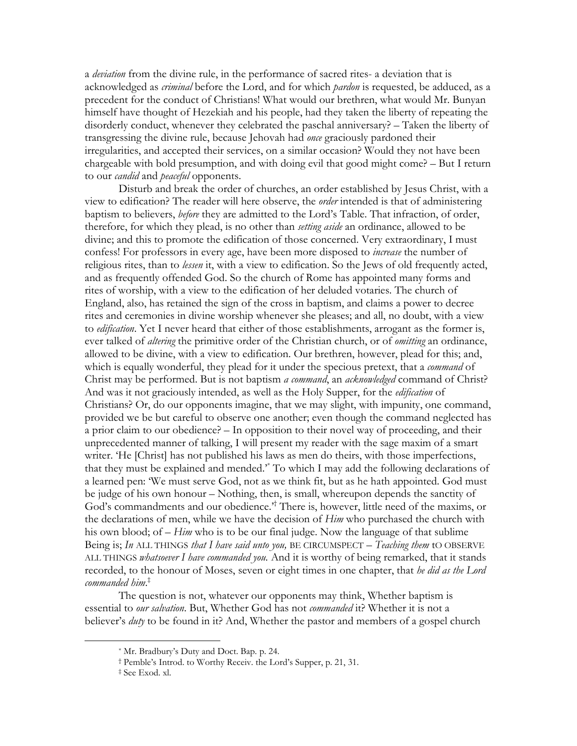a *deviation* from the divine rule, in the performance of sacred rites- a deviation that is acknowledged as *criminal* before the Lord, and for which *pardon* is requested, be adduced, as a precedent for the conduct of Christians! What would our brethren, what would Mr. Bunyan himself have thought of Hezekiah and his people, had they taken the liberty of repeating the disorderly conduct, whenever they celebrated the paschal anniversary? – Taken the liberty of transgressing the divine rule, because Jehovah had once graciously pardoned their irregularities, and accepted their services, on a similar occasion? Would they not have been chargeable with bold presumption, and with doing evil that good might come? – But I return to our *candid* and *peaceful* opponents.

Disturb and break the order of churches, an order established by Jesus Christ, with a view to edification? The reader will here observe, the *order* intended is that of administering baptism to believers, *before* they are admitted to the Lord's Table. That infraction, of order, therefore, for which they plead, is no other than *setting aside* an ordinance, allowed to be divine; and this to promote the edification of those concerned. Very extraordinary, I must confess! For professors in every age, have been more disposed to *increase* the number of religious rites, than to *lessen* it, with a view to edification. So the Jews of old frequently acted, and as frequently offended God. So the church of Rome has appointed many forms and rites of worship, with a view to the edification of her deluded votaries. The church of England, also, has retained the sign of the cross in baptism, and claims a power to decree rites and ceremonies in divine worship whenever she pleases; and all, no doubt, with a view to *edification*. Yet I never heard that either of those establishments, arrogant as the former is, ever talked of *altering* the primitive order of the Christian church, or of *omitting* an ordinance, allowed to be divine, with a view to edification. Our brethren, however, plead for this; and, which is equally wonderful, they plead for it under the specious pretext, that a *command* of Christ may be performed. But is not baptism a command, an acknowledged command of Christ? And was it not graciously intended, as well as the Holy Supper, for the *edification* of Christians? Or, do our opponents imagine, that we may slight, with impunity, one command, provided we be but careful to observe one another; even though the command neglected has a prior claim to our obedience? – In opposition to their novel way of proceeding, and their unprecedented manner of talking, I will present my reader with the sage maxim of a smart writer. 'He [Christ] has not published his laws as men do theirs, with those imperfections, that they must be explained and mended." To which I may add the following declarations of a learned pen: 'We must serve God, not as we think fit, but as he hath appointed. God must be judge of his own honour – Nothing, then, is small, whereupon depends the sanctity of God's commandments and our obedience.<sup>2†</sup> There is, however, little need of the maxims, or the declarations of men, while we have the decision of *Him* who purchased the church with his own blood; of  $-$  Him who is to be our final judge. Now the language of that sublime Being is; In ALL THINGS that I have said unto you, BE CIRCUMSPECT  $-$  Teaching them tO OBSERVE ALL THINGS whatsoever I have commanded you. And it is worthy of being remarked, that it stands recorded, to the honour of Moses, seven or eight times in one chapter, that he did as the Lord commanded  $\text{him}^{\ddagger}$ 

The question is not, whatever our opponents may think, Whether baptism is essential to our salvation. But, Whether God has not commanded it? Whether it is not a believer's *duty* to be found in it? And, Whether the pastor and members of a gospel church

<sup>\*</sup> Mr. Bradbury's Duty and Doct. Bap. p. 24.

<sup>&</sup>lt;sup>†</sup> Pemble's Introd. to Worthy Receiv. the Lord's Supper, p. 21, 31.

<sup>&</sup>lt;sup>‡</sup> See Exod. xl.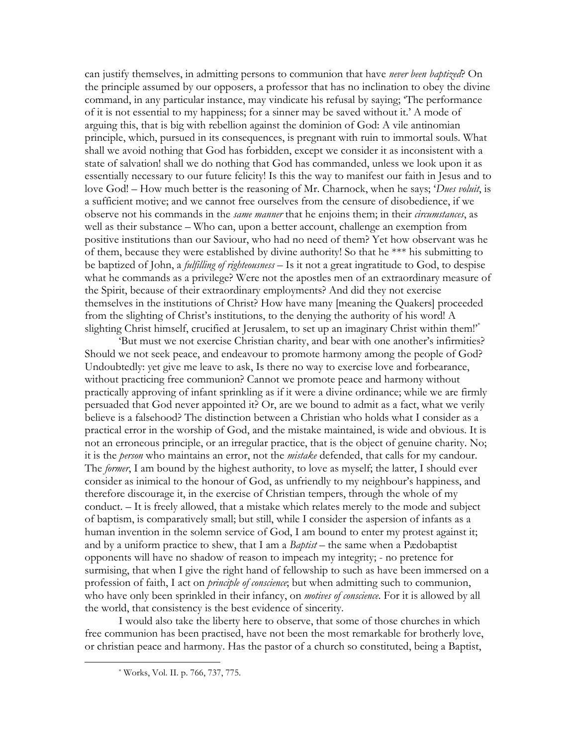can justify themselves, in admitting persons to communion that have never been baptized? On the principle assumed by our opposers, a professor that has no inclination to obey the divine command, in any particular instance, may vindicate his refusal by saying; 'The performance of it is not essential to my happiness; for a sinner may be saved without it.' A mode of arguing this, that is big with rebellion against the dominion of God: A vile antinomian principle, which, pursued in its consequences, is pregnant with ruin to immortal souls. What shall we avoid nothing that God has forbidden, except we consider it as inconsistent with a state of salvation! shall we do nothing that God has commanded, unless we look upon it as essentially necessary to our future felicity! Is this the way to manifest our faith in Jesus and to love God! – How much better is the reasoning of Mr. Charnock, when he says; 'Dues voluit, is a sufficient motive; and we cannot free ourselves from the censure of disobedience, if we observe not his commands in the *same manner* that he enjoins them; in their *circumstances*, as well as their substance – Who can, upon a better account, challenge an exemption from positive institutions than our Saviour, who had no need of them? Yet how observant was he of them, because they were established by divine authority! So that he \*\*\* his submitting to be baptized of John, a *fulfilling of righteousness* – Is it not a great ingratitude to God, to despise what he commands as a privilege? Were not the apostles men of an extraordinary measure of the Spirit, because of their extraordinary employments? And did they not exercise themselves in the institutions of Christ? How have many [meaning the Quakers] proceeded from the slighting of Christ's institutions, to the denying the authority of his word! A slighting Christ himself, crucified at Jerusalem, to set up an imaginary Christ within them!"

'But must we not exercise Christian charity, and bear with one another's infirmities? Should we not seek peace, and endeavour to promote harmony among the people of God? Undoubtedly: yet give me leave to ask, Is there no way to exercise love and forbearance, without practicing free communion? Cannot we promote peace and harmony without practically approving of infant sprinkling as if it were a divine ordinance; while we are firmly persuaded that God never appointed it? Or, are we bound to admit as a fact, what we verily believe is a falsehood? The distinction between a Christian who holds what I consider as a practical error in the worship of God, and the mistake maintained, is wide and obvious. It is not an erroneous principle, or an irregular practice, that is the object of genuine charity. No; it is the *person* who maintains an error, not the *mistake* defended, that calls for my candour. The former, I am bound by the highest authority, to love as myself; the latter, I should ever consider as inimical to the honour of God, as unfriendly to my neighbour's happiness, and therefore discourage it, in the exercise of Christian tempers, through the whole of my conduct. - It is freely allowed, that a mistake which relates merely to the mode and subject of baptism, is comparatively small; but still, while I consider the aspersion of infants as a human invention in the solemn service of God, I am bound to enter my protest against it; and by a uniform practice to shew, that I am a *Baptist* – the same when a Pædobaptist opponents will have no shadow of reason to impeach my integrity; - no pretence for surmising, that when I give the right hand of fellowship to such as have been immersed on a profession of faith, I act on *principle of conscience*; but when admitting such to communion, who have only been sprinkled in their infancy, on *motives of conscience*. For it is allowed by all the world, that consistency is the best evidence of sincerity.

I would also take the liberty here to observe, that some of those churches in which free communion has been practised, have not been the most remarkable for brotherly love, or christian peace and harmony. Has the pastor of a church so constituted, being a Baptist,

<sup>\*</sup> Works, Vol. II. p. 766, 737, 775.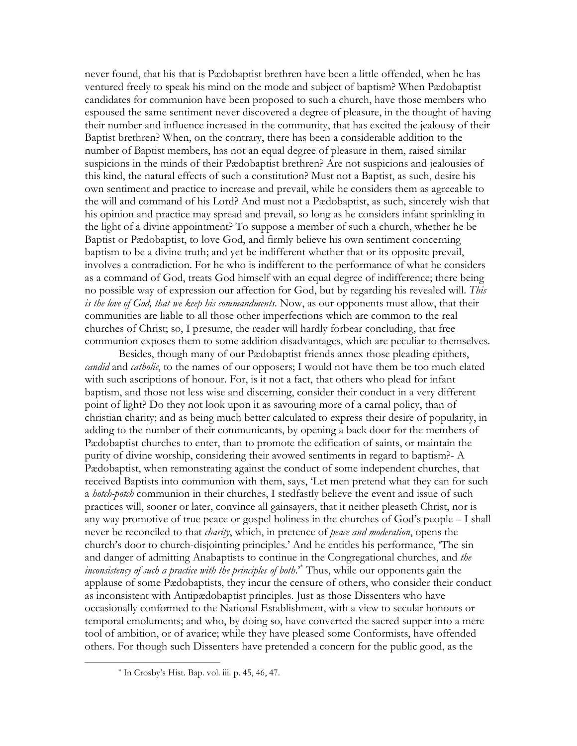never found, that his that is Pædobaptist brethren have been a little offended, when he has ventured freely to speak his mind on the mode and subject of baptism? When Pædobaptist candidates for communion have been proposed to such a church, have those members who espoused the same sentiment never discovered a degree of pleasure, in the thought of having their number and influence increased in the community, that has excited the jealousy of their Baptist brethren? When, on the contrary, there has been a considerable addition to the number of Baptist members, has not an equal degree of pleasure in them, raised similar suspicions in the minds of their Pædobaptist brethren? Are not suspicions and jealousies of this kind, the natural effects of such a constitution? Must not a Baptist, as such, desire his own sentiment and practice to increase and prevail, while he considers them as agreeable to the will and command of his Lord? And must not a Pædobaptist, as such, sincerely wish that his opinion and practice may spread and prevail, so long as he considers infant sprinkling in the light of a divine appointment? To suppose a member of such a church, whether he be Baptist or Pædobaptist, to love God, and firmly believe his own sentiment concerning baptism to be a divine truth; and yet be indifferent whether that or its opposite prevail, involves a contradiction. For he who is indifferent to the performance of what he considers as a command of God, treats God himself with an equal degree of indifference; there being no possible way of expression our affection for God, but by regarding his revealed will. This is the love of God, that we keep his commandments. Now, as our opponents must allow, that their communities are liable to all those other imperfections which are common to the real churches of Christ; so, I presume, the reader will hardly forbear concluding, that free communion exposes them to some addition disadvantages, which are peculiar to themselves.

Besides, though many of our Pædobaptist friends annex those pleading epithets, candid and catholic, to the names of our opposers; I would not have them be too much elated with such ascriptions of honour. For, is it not a fact, that others who plead for infant baptism, and those not less wise and discerning, consider their conduct in a very different point of light? Do they not look upon it as savouring more of a carnal policy, than of christian charity; and as being much better calculated to express their desire of popularity, in adding to the number of their communicants, by opening a back door for the members of Pædobaptist churches to enter, than to promote the edification of saints, or maintain the purity of divine worship, considering their avowed sentiments in regard to baptism?- A Pædobaptist, when remonstrating against the conduct of some independent churches, that received Baptists into communion with them, says, 'Let men pretend what they can for such a *hotch-potch* communion in their churches, I stedfastly believe the event and issue of such practices will, sooner or later, convince all gainsayers, that it neither pleaseth Christ, nor is any way promotive of true peace or gospel holiness in the churches of God's people – I shall never be reconciled to that *charity*, which, in pretence of *peace and moderation*, opens the church's door to church-disjointing principles.' And he entitles his performance, 'The sin and danger of admitting Anabaptists to continue in the Congregational churches, and the *inconsistency of such a practice with the principles of both.*<sup>\*</sup> Thus, while our opponents gain the applause of some Pædobaptists, they incur the censure of others, who consider their conduct as inconsistent with Antipædobaptist principles. Just as those Dissenters who have occasionally conformed to the National Establishment, with a view to secular honours or temporal emoluments; and who, by doing so, have converted the sacred supper into a mere tool of ambition, or of avarice; while they have pleased some Conformists, have offended others. For though such Dissenters have pretended a concern for the public good, as the

 $*$  In Crosby's Hist. Bap. vol. iii. p. 45, 46, 47.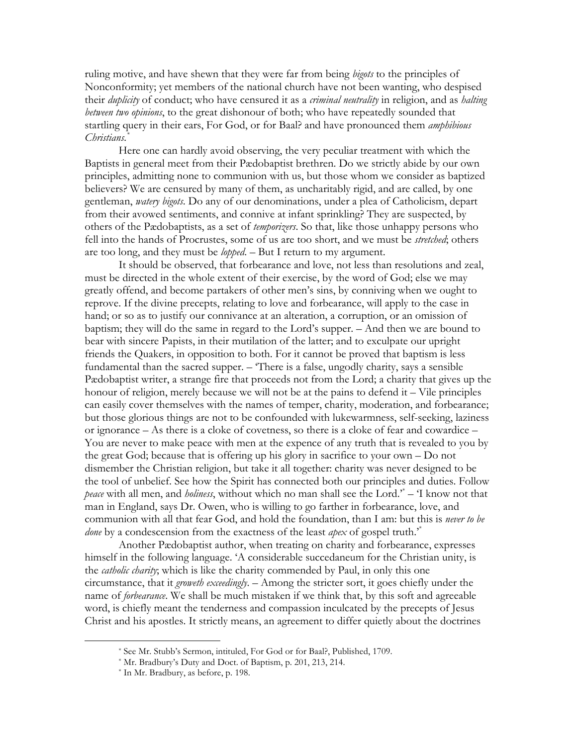ruling motive, and have shewn that they were far from being *bigots* to the principles of Nonconformity; yet members of the national church have not been wanting, who despised their *duplicity* of conduct; who have censured it as a *criminal neutrality* in religion, and as *halting* between two opinions, to the great dishonour of both; who have repeatedly sounded that startling query in their ears, For God, or for Baal? and have pronounced them *amphibious* Christians.

Here one can hardly avoid observing, the very peculiar treatment with which the Baptists in general meet from their Pædobaptist brethren. Do we strictly abide by our own principles, admitting none to communion with us, but those whom we consider as baptized believers? We are censured by many of them, as uncharitably rigid, and are called, by one gentleman, watery bigots. Do any of our denominations, under a plea of Catholicism, depart from their avowed sentiments, and connive at infant sprinkling? They are suspected, by others of the Pædobaptists, as a set of *temporizers*. So that, like those unhappy persons who fell into the hands of Procrustes, some of us are too short, and we must be *stretched*; others are too long, and they must be *lopped*. - But I return to my argument.

It should be observed, that forbearance and love, not less than resolutions and zeal, must be directed in the whole extent of their exercise, by the word of God; else we may greatly offend, and become partakers of other men's sins, by conniving when we ought to reprove. If the divine precepts, relating to love and forbearance, will apply to the case in hand; or so as to justify our connivance at an alteration, a corruption, or an omission of baptism; they will do the same in regard to the Lord's supper. - And then we are bound to bear with sincere Papists, in their mutilation of the latter; and to exculpate our upright friends the Quakers, in opposition to both. For it cannot be proved that baptism is less fundamental than the sacred supper. – There is a false, ungodly charity, says a sensible Pædobaptist writer, a strange fire that proceeds not from the Lord; a charity that gives up the honour of religion, merely because we will not be at the pains to defend it – Vile principles can easily cover themselves with the names of temper, charity, moderation, and forbearance; but those glorious things are not to be confounded with lukewarmness, self-seeking, laziness or ignorance – As there is a cloke of covetness, so there is a cloke of fear and cowardice – You are never to make peace with men at the expence of any truth that is revealed to you by the great God; because that is offering up his glory in sacrifice to your own  $-$  Do not dismember the Christian religion, but take it all together: charity was never designed to be the tool of unbelief. See how the Spirit has connected both our principles and duties. Follow *peace* with all men, and *holiness*, without which no man shall see the Lord.<sup>\*</sup> – T know not that man in England, says Dr. Owen, who is willing to go farther in forbearance, love, and communion with all that fear God, and hold the foundation, than I am: but this is never to be *done* by a condescension from the exactness of the least *apex* of gospel truth.<sup>\*</sup>

Another Pædobaptist author, when treating on charity and forbearance, expresses himself in the following language. 'A considerable succedaneum for the Christian unity, is the *catholic charity*; which is like the charity commended by Paul, in only this one circumstance, that it *groweth exceedingly*. - Among the stricter sort, it goes chiefly under the name of *forbearance*. We shall be much mistaken if we think that, by this soft and agreeable word, is chiefly meant the tenderness and compassion inculcated by the precepts of Jesus Christ and his apostles. It strictly means, an agreement to differ quietly about the doctrines

<sup>\*</sup> See Mr. Stubb's Sermon, intituled, For God or for Baal?, Published, 1709.

<sup>\*</sup> Mr. Bradbury's Duty and Doct. of Baptism, p. 201, 213, 214.

<sup>\*</sup> In Mr. Bradbury, as before, p. 198.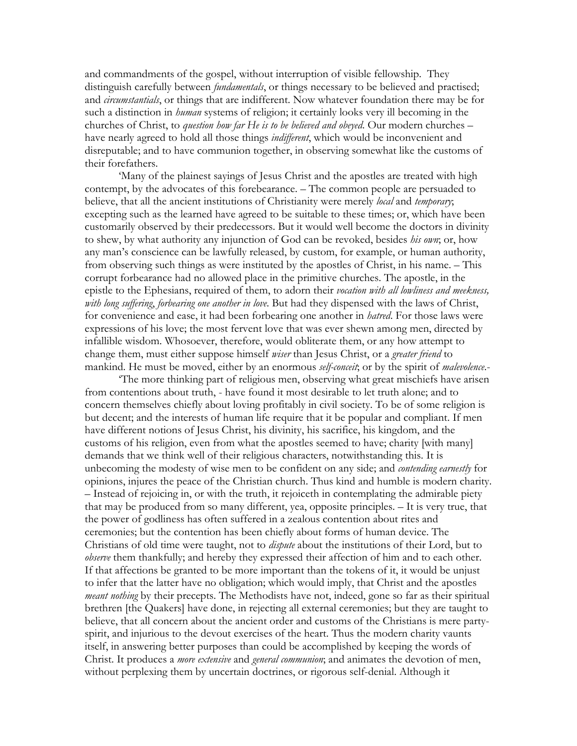and commandments of the gospel, without interruption of visible fellowship. They distinguish carefully between *fundamentals*, or things necessary to be believed and practised; and *circumstantials*, or things that are indifferent. Now whatever foundation there may be for such a distinction in *human* systems of religion; it certainly looks very ill becoming in the churches of Christ, to *question how far He is to be believed and obeyed*. Our modern churches – have nearly agreed to hold all those things *indifferent*, which would be inconvenient and disreputable; and to have communion together, in observing somewhat like the customs of their forefathers.

'Many of the plainest sayings of Jesus Christ and the apostles are treated with high contempt, by the advocates of this forebearance. – The common people are persuaded to believe, that all the ancient institutions of Christianity were merely local and temporary; excepting such as the learned have agreed to be suitable to these times; or, which have been customarily observed by their predecessors. But it would well become the doctors in divinity to shew, by what authority any injunction of God can be revoked, besides *his own*; or, how any man's conscience can be lawfully released, by custom, for example, or human authority, from observing such things as were instituted by the apostles of Christ, in his name. - This corrupt forbearance had no allowed place in the primitive churches. The apostle, in the epistle to the Ephesians, required of them, to adorn their vocation with all lowliness and meekness, with long suffering, forbearing one another in love. But had they dispensed with the laws of Christ, for convenience and ease, it had been forbearing one another in *hatred*. For those laws were expressions of his love; the most fervent love that was ever shewn among men, directed by infallible wisdom. Whosoever, therefore, would obliterate them, or any how attempt to change them, must either suppose himself wiser than Jesus Christ, or a greater friend to mankind. He must be moved, either by an enormous self-conceit, or by the spirit of *malevolence*.

The more thinking part of religious men, observing what great mischiefs have arisen from contentions about truth, - have found it most desirable to let truth alone; and to concern themselves chiefly about loving profitably in civil society. To be of some religion is but decent; and the interests of human life require that it be popular and compliant. If men have different notions of Jesus Christ, his divinity, his sacrifice, his kingdom, and the customs of his religion, even from what the apostles seemed to have; charity [with many] demands that we think well of their religious characters, notwithstanding this. It is unbecoming the modesty of wise men to be confident on any side; and *contending earnestly* for opinions, injures the peace of the Christian church. Thus kind and humble is modern charity. - Instead of rejoicing in, or with the truth, it rejoice th in contemplating the admirable piety that may be produced from so many different, yea, opposite principles. - It is very true, that the power of godliness has often suffered in a zealous contention about rites and ceremonies; but the contention has been chiefly about forms of human device. The Christians of old time were taught, not to *dispute* about the institutions of their Lord, but to *obsenve* them thankfully; and hereby they expressed their affection of him and to each other. If that affections be granted to be more important than the tokens of it, it would be unjust to infer that the latter have no obligation; which would imply, that Christ and the apostles *meant nothing* by their precepts. The Methodists have not, indeed, gone so far as their spiritual brethren [the Quakers] have done, in rejecting all external ceremonies; but they are taught to believe, that all concern about the ancient order and customs of the Christians is mere partyspirit, and injurious to the devout exercises of the heart. Thus the modern charity vaunts itself, in answering better purposes than could be accomplished by keeping the words of Christ. It produces a *more extensive* and *general communion*; and animates the devotion of men, without perplexing them by uncertain doctrines, or rigorous self-denial. Although it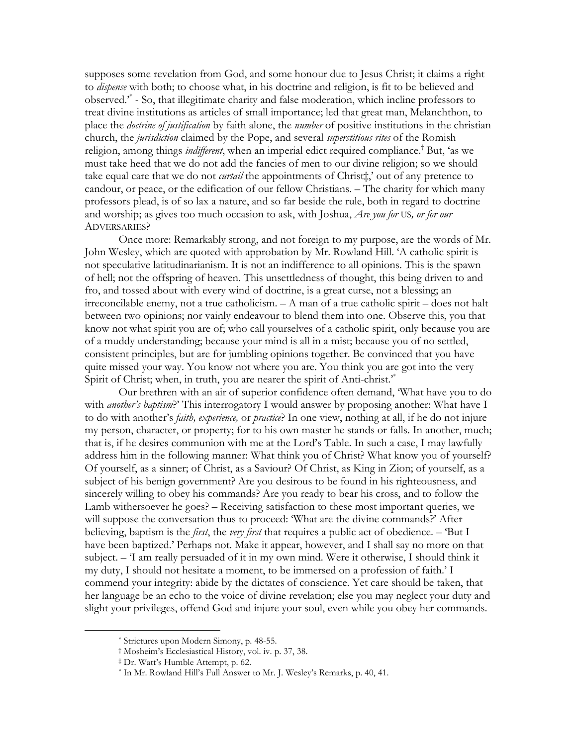supposes some revelation from God, and some honour due to Jesus Christ; it claims a right to *dispense* with both; to choose what, in his doctrine and religion, is fit to be believed and observed.<sup>\*</sup> - So, that illegitimate charity and false moderation, which incline professors to treat divine institutions as articles of small importance; led that great man, Melanchthon, to place the *doctrine of justification* by faith alone, the *number* of positive institutions in the christian church, the *jurisdiction* claimed by the Pope, and several *superstitious rites* of the Romish religion, among things *indifferent*, when an imperial edict required compliance.<sup>†</sup> But, 'as we must take heed that we do not add the fancies of men to our divine religion; so we should take equal care that we do not *curtail* the appointments of Christ<sup>\*</sup>,' out of any pretence to candour, or peace, or the edification of our fellow Christians. - The charity for which many professors plead, is of so lax a nature, and so far beside the rule, both in regard to doctrine and worship; as gives too much occasion to ask, with Joshua, *Are you for US, or for our* **ADVERSARIES?** 

Once more: Remarkably strong, and not foreign to my purpose, are the words of Mr. John Wesley, which are quoted with approbation by Mr. Rowland Hill. 'A catholic spirit is not speculative latitudinarianism. It is not an indifference to all opinions. This is the spawn of hell; not the offspring of heaven. This unsettledness of thought, this being driven to and fro, and tossed about with every wind of doctrine, is a great curse, not a blessing; an irreconcilable enemy, not a true catholicism.  $-A$  man of a true catholic spirit – does not halt between two opinions; nor vainly endeavour to blend them into one. Observe this, you that know not what spirit you are of; who call yourselves of a catholic spirit, only because you are of a muddy understanding; because your mind is all in a mist; because you of no settled, consistent principles, but are for jumbling opinions together. Be convinced that you have quite missed your way. You know not where you are. You think you are got into the very Spirit of Christ; when, in truth, you are nearer the spirit of Anti-christ.<sup>\*</sup>

Our brethren with an air of superior confidence often demand, 'What have you to do with *another's baptism*?' This interrogatory I would answer by proposing another: What have I to do with another's *faith, experience*, or *practice*? In one view, nothing at all, if he do not injure my person, character, or property; for to his own master he stands or falls. In another, much; that is, if he desires communion with me at the Lord's Table. In such a case, I may lawfully address him in the following manner: What think you of Christ? What know you of yourself? Of yourself, as a sinner; of Christ, as a Saviour? Of Christ, as King in Zion; of yourself, as a subject of his benign government? Are you desirous to be found in his righteousness, and sincerely willing to obey his commands? Are you ready to bear his cross, and to follow the Lamb withersoever he goes? – Receiving satisfaction to these most important queries, we will suppose the conversation thus to proceed: 'What are the divine commands?' After believing, baptism is the *first*, the *very first* that requires a public act of obedience.  $-$  'But I have been baptized.' Perhaps not. Make it appear, however, and I shall say no more on that subject. - 'I am really persuaded of it in my own mind. Were it otherwise, I should think it my duty, I should not hesitate a moment, to be immersed on a profession of faith.' I commend your integrity: abide by the dictates of conscience. Yet care should be taken, that her language be an echo to the voice of divine revelation; else you may neglect your duty and slight your privileges, offend God and injure your soul, even while you obey her commands.

<sup>\*</sup> Strictures upon Modern Simony, p. 48-55.

<sup>&</sup>lt;sup>†</sup> Mosheim's Ecclesiastical History, vol. iv. p. 37, 38.

<sup>&</sup>lt;sup>‡</sup> Dr. Watt's Humble Attempt, p. 62.

<sup>\*</sup> In Mr. Rowland Hill's Full Answer to Mr. J. Wesley's Remarks, p. 40, 41.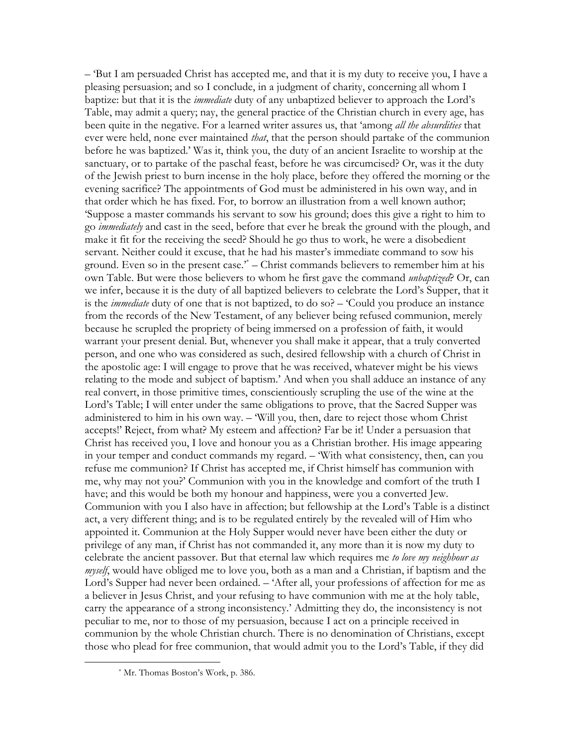$-$  But I am persuaded Christ has accepted me, and that it is my duty to receive you, I have a pleasing persuasion; and so I conclude, in a judgment of charity, concerning all whom I baptize: but that it is the *immediate* duty of any unbaptized believer to approach the Lord's Table, may admit a query; nay, the general practice of the Christian church in every age, has been quite in the negative. For a learned writer assures us, that 'among all the absurdities that ever were held, none ever maintained *that*, that the person should partake of the communion before he was baptized.' Was it, think you, the duty of an ancient Israelite to worship at the sanctuary, or to partake of the paschal feast, before he was circumcised? Or, was it the duty of the Jewish priest to burn incense in the holy place, before they offered the morning or the evening sacrifice? The appointments of God must be administered in his own way, and in that order which he has fixed. For, to borrow an illustration from a well known author; Suppose a master commands his servant to sow his ground; does this give a right to him to go *immediately* and cast in the seed, before that ever he break the ground with the plough, and make it fit for the receiving the seed? Should he go thus to work, he were a disobedient servant. Neither could it excuse, that he had his master's immediate command to sow his ground. Even so in the present case.<sup>\*</sup> – Christ commands believers to remember him at his own Table. But were those believers to whom he first gave the command *unbaptized*? Or, can we infer, because it is the duty of all baptized believers to celebrate the Lord's Supper, that it is the *immediate* duty of one that is not baptized, to do so? – 'Could you produce an instance from the records of the New Testament, of any believer being refused communion, merely because he scrupled the propriety of being immersed on a profession of faith, it would warrant your present denial. But, whenever you shall make it appear, that a truly converted person, and one who was considered as such, desired fellowship with a church of Christ in the apostolic age: I will engage to prove that he was received, whatever might be his views relating to the mode and subject of baptism.' And when you shall adduce an instance of any real convert, in those primitive times, conscientiously scrupling the use of the wine at the Lord's Table; I will enter under the same obligations to prove, that the Sacred Supper was administered to him in his own way. - 'Will you, then, dare to reject those whom Christ accepts!' Reject, from what? My esteem and affection? Far be it! Under a persuasion that Christ has received you, I love and honour you as a Christian brother. His image appearing in your temper and conduct commands my regard. - 'With what consistency, then, can you refuse me communion? If Christ has accepted me, if Christ himself has communion with me, why may not you?' Communion with you in the knowledge and comfort of the truth I have; and this would be both my honour and happiness, were you a converted Jew. Communion with you I also have in affection; but fellowship at the Lord's Table is a distinct act, a very different thing; and is to be regulated entirely by the revealed will of Him who appointed it. Communion at the Holy Supper would never have been either the duty or privilege of any man, if Christ has not commanded it, any more than it is now my duty to celebrate the ancient passover. But that eternal law which requires me to love my neighbour as myself, would have obliged me to love you, both as a man and a Christian, if baptism and the Lord's Supper had never been ordained. – 'After all, your professions of affection for me as a believer in Jesus Christ, and your refusing to have communion with me at the holy table, carry the appearance of a strong inconsistency.' Admitting they do, the inconsistency is not peculiar to me, nor to those of my persuasion, because I act on a principle received in communion by the whole Christian church. There is no denomination of Christians, except those who plead for free communion, that would admit you to the Lord's Table, if they did

<sup>\*</sup> Mr. Thomas Boston's Work, p. 386.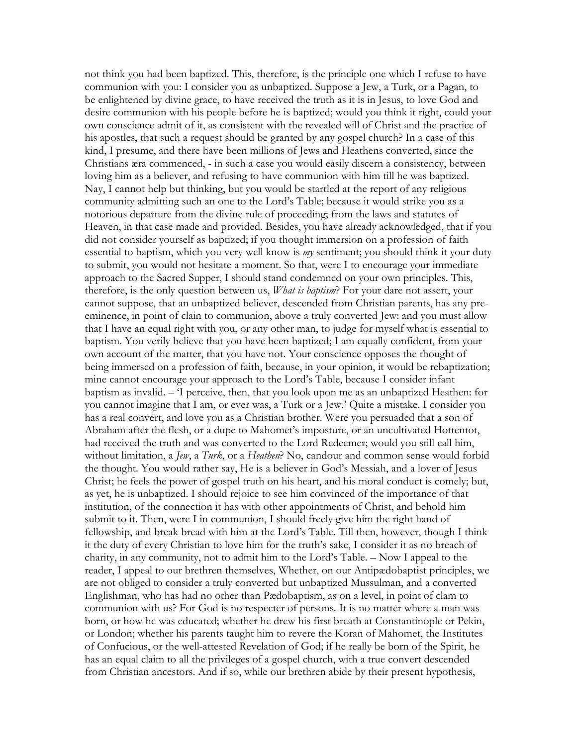not think you had been baptized. This, therefore, is the principle one which I refuse to have communion with you: I consider you as unbaptized. Suppose a Jew, a Turk, or a Pagan, to be enlightened by divine grace, to have received the truth as it is in Jesus, to love God and desire communion with his people before he is baptized; would you think it right, could your own conscience admit of it, as consistent with the revealed will of Christ and the practice of his apostles, that such a request should be granted by any gospel church? In a case of this kind, I presume, and there have been millions of Jews and Heathens converted, since the Christians æra commenced, - in such a case you would easily discern a consistency, between loving him as a believer, and refusing to have communion with him till he was baptized. Nay, I cannot help but thinking, but you would be startled at the report of any religious community admitting such an one to the Lord's Table; because it would strike you as a notorious departure from the divine rule of proceeding; from the laws and statutes of Heaven, in that case made and provided. Besides, you have already acknowledged, that if you did not consider yourself as baptized; if you thought immersion on a profession of faith essential to baptism, which you very well know is *my* sentiment; you should think it your duty to submit, you would not hesitate a moment. So that, were I to encourage your immediate approach to the Sacred Supper, I should stand condemned on your own principles. This, therefore, is the only question between us, *What is baptism*? For your dare not assert, your cannot suppose, that an unbaptized believer, descended from Christian parents, has any preeminence, in point of clain to communion, above a truly converted Jew: and you must allow that I have an equal right with you, or any other man, to judge for myself what is essential to baptism. You verily believe that you have been baptized; I am equally confident, from your own account of the matter, that you have not. Your conscience opposes the thought of being immersed on a profession of faith, because, in your opinion, it would be rebaptization; mine cannot encourage your approach to the Lord's Table, because I consider infant baptism as invalid. - 'I perceive, then, that you look upon me as an unbaptized Heathen: for you cannot imagine that I am, or ever was, a Turk or a Jew.' Quite a mistake. I consider you has a real convert, and love you as a Christian brother. Were you persuaded that a son of Abraham after the flesh, or a dupe to Mahomet's imposture, or an uncultivated Hottentot, had received the truth and was converted to the Lord Redeemer; would you still call him, without limitation, a Jew, a Turk, or a Heathen? No, candour and common sense would forbid the thought. You would rather say, He is a believer in God's Messiah, and a lover of Jesus Christ; he feels the power of gospel truth on his heart, and his moral conduct is comely; but, as yet, he is unbaptized. I should rejoice to see him convinced of the importance of that institution, of the connection it has with other appointments of Christ, and behold him submit to it. Then, were I in communion, I should freely give him the right hand of fellowship, and break bread with him at the Lord's Table. Till then, however, though I think it the duty of every Christian to love him for the truth's sake, I consider it as no breach of charity, in any community, not to admit him to the Lord's Table. - Now I appeal to the reader, I appeal to our brethren themselves, Whether, on our Antipædobaptist principles, we are not obliged to consider a truly converted but unbaptized Mussulman, and a converted Englishman, who has had no other than Pædobaptism, as on a level, in point of clam to communion with us? For God is no respecter of persons. It is no matter where a man was born, or how he was educated; whether he drew his first breath at Constantinople or Pekin, or London; whether his parents taught him to revere the Koran of Mahomet, the Institutes of Confucious, or the well-attested Revelation of God; if he really be born of the Spirit, he has an equal claim to all the privileges of a gospel church, with a true convert descended from Christian ancestors. And if so, while our brethren abide by their present hypothesis,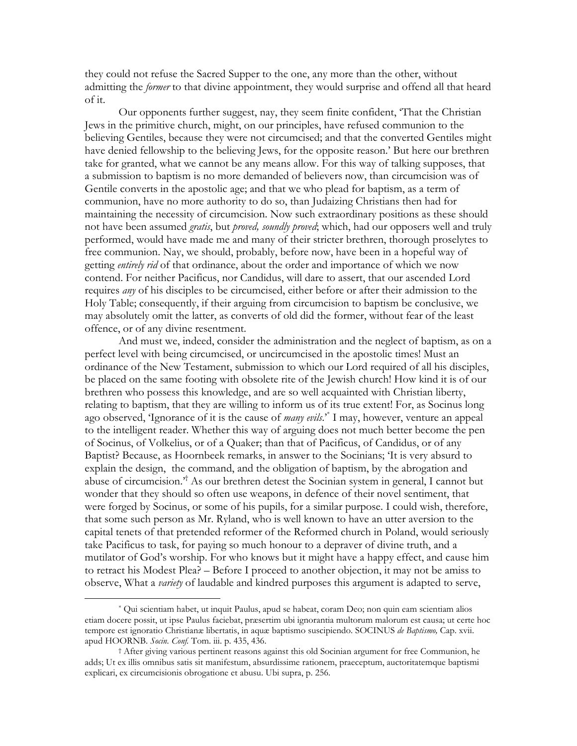they could not refuse the Sacred Supper to the one, any more than the other, without admitting the *former* to that divine appointment, they would surprise and offend all that heard of it.

Our opponents further suggest, nay, they seem finite confident, That the Christian Jews in the primitive church, might, on our principles, have refused communion to the believing Gentiles, because they were not circumcised; and that the converted Gentiles might have denied fellowship to the believing Jews, for the opposite reason.' But here our brethren take for granted, what we cannot be any means allow. For this way of talking supposes, that a submission to baptism is no more demanded of believers now, than circumcision was of Gentile converts in the apostolic age; and that we who plead for baptism, as a term of communion, have no more authority to do so, than Judaizing Christians then had for maintaining the necessity of circumcision. Now such extraordinary positions as these should not have been assumed *gratis*, but *proved, soundly proved*; which, had our opposers well and truly performed, would have made me and many of their stricter brethren, thorough proselytes to free communion. Nay, we should, probably, before now, have been in a hopeful way of getting *entirely rid* of that ordinance, about the order and importance of which we now contend. For neither Pacificus, nor Candidus, will dare to assert, that our ascended Lord requires *any* of his disciples to be circumcised, either before or after their admission to the Holy Table; consequently, if their arguing from circumcision to baptism be conclusive, we may absolutely omit the latter, as converts of old did the former, without fear of the least offence, or of any divine resentment.

And must we, indeed, consider the administration and the neglect of baptism, as on a perfect level with being circumcised, or uncircumcised in the apostolic times! Must an ordinance of the New Testament, submission to which our Lord required of all his disciples, be placed on the same footing with obsolete rite of the Jewish church! How kind it is of our brethren who possess this knowledge, and are so well acquainted with Christian liberty, relating to baptism, that they are willing to inform us of its true extent! For, as Socinus long ago observed, 'Ignorance of it is the cause of many evils.'<sup>\*</sup> I may, however, venture an appeal to the intelligent reader. Whether this way of arguing does not much better become the pen of Socinus, of Volkelius, or of a Quaker; than that of Pacificus, of Candidus, or of any Baptist? Because, as Hoornbeek remarks, in answer to the Socinians; 'It is very absurd to explain the design, the command, and the obligation of baptism, by the abrogation and abuse of circumcision.<sup>3</sup> As our brethren detest the Socinian system in general, I cannot but wonder that they should so often use weapons, in defence of their novel sentiment, that were forged by Socinus, or some of his pupils, for a similar purpose. I could wish, therefore, that some such person as Mr. Ryland, who is well known to have an utter aversion to the capital tenets of that pretended reformer of the Reformed church in Poland, would seriously take Pacificus to task, for paying so much honour to a deprayer of divine truth, and a mutilator of God's worship. For who knows but it might have a happy effect, and cause him to retract his Modest Plea? – Before I proceed to another objection, it may not be amiss to observe, What a *variety* of laudable and kindred purposes this argument is adapted to serve,

Oui scientiam habet, ut inquit Paulus, apud se habeat, coram Deo; non quin eam scientiam alios etiam docere possit, ut ipse Paulus faciebat, præsertim ubi ignorantia multorum malorum est causa; ut certe hoc tempore est ignoratio Christianae libertatis, in aquae baptismo suscipiendo. SOCINUS de Baptismo, Cap. xvii. apud HOORNB. Socin. Conf. Tom. iii. p. 435, 436.

<sup>&</sup>lt;sup>†</sup> After giving various pertinent reasons against this old Socinian argument for free Communion, he adds; Ut ex illis omnibus satis sit manifestum, absurdissime rationem, praeceptum, auctoritatemque baptismi explicari, ex circumcisionis obrogatione et abusu. Ubi supra, p. 256.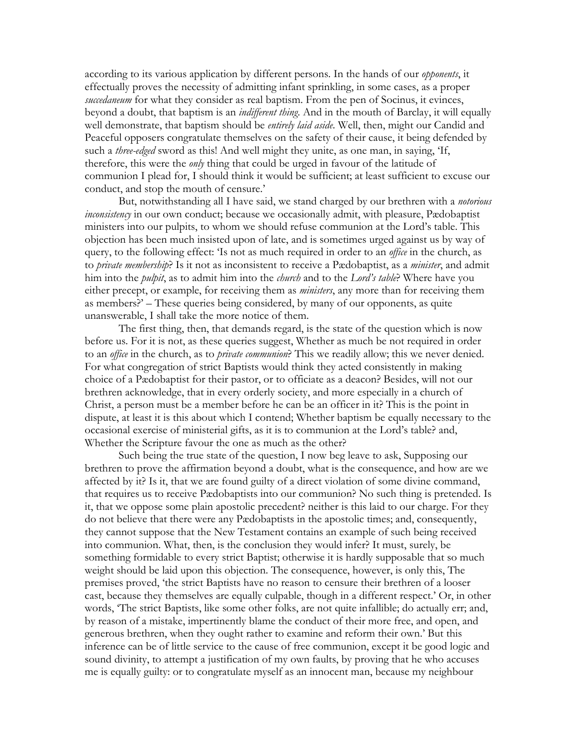according to its various application by different persons. In the hands of our *opponents*, it effectually proves the necessity of admitting infant sprinkling, in some cases, as a proper succedaneum for what they consider as real baptism. From the pen of Socinus, it evinces, beyond a doubt, that baptism is an *indifferent thing*. And in the mouth of Barclay, it will equally well demonstrate, that baptism should be entirely laid aside. Well, then, might our Candid and Peaceful opposers congratulate themselves on the safety of their cause, it being defended by such a *three-edged* sword as this! And well might they unite, as one man, in saying, 'If, therefore, this were the *only* thing that could be urged in favour of the latitude of communion I plead for, I should think it would be sufficient; at least sufficient to excuse our conduct, and stop the mouth of censure.'

But, notwithstanding all I have said, we stand charged by our brethren with a notorious inconsistency in our own conduct; because we occasionally admit, with pleasure, Pædobaptist ministers into our pulpits, to whom we should refuse communion at the Lord's table. This objection has been much insisted upon of late, and is sometimes urged against us by way of query, to the following effect: 'Is not as much required in order to an *office* in the church, as to *private membership*? Is it not as inconsistent to receive a Paedobaptist, as a *minister*, and admit him into the *pulpit*, as to admit him into the *church* and to the Lord's table? Where have you either precept, or example, for receiving them as *ministers*, any more than for receiving them as members?' – These queries being considered, by many of our opponents, as quite unanswerable, I shall take the more notice of them.

The first thing, then, that demands regard, is the state of the question which is now before us. For it is not, as these queries suggest, Whether as much be not required in order to an *office* in the church, as to *private communion*? This we readily allow; this we never denied. For what congregation of strict Baptists would think they acted consistently in making choice of a Pædobaptist for their pastor, or to officiate as a deacon? Besides, will not our brethren acknowledge, that in every orderly society, and more especially in a church of Christ, a person must be a member before he can be an officer in it? This is the point in dispute, at least it is this about which I contend; Whether baptism be equally necessary to the occasional exercise of ministerial gifts, as it is to communion at the Lord's table? and, Whether the Scripture favour the one as much as the other?

Such being the true state of the question, I now beg leave to ask, Supposing our brethren to prove the affirmation beyond a doubt, what is the consequence, and how are we affected by it? Is it, that we are found guilty of a direct violation of some divine command, that requires us to receive Padobaptists into our communion? No such thing is pretended. Is it, that we oppose some plain apostolic precedent? neither is this laid to our charge. For they do not believe that there were any Pædobaptists in the apostolic times; and, consequently, they cannot suppose that the New Testament contains an example of such being received into communion. What, then, is the conclusion they would infer? It must, surely, be something formidable to every strict Baptist; otherwise it is hardly supposable that so much weight should be laid upon this objection. The consequence, however, is only this, The premises proved, 'the strict Baptists have no reason to censure their brethren of a looser cast, because they themselves are equally culpable, though in a different respect.' Or, in other words, 'The strict Baptists, like some other folks, are not quite infallible; do actually err; and, by reason of a mistake, impertinently blame the conduct of their more free, and open, and generous brethren, when they ought rather to examine and reform their own.' But this inference can be of little service to the cause of free communion, except it be good logic and sound divinity, to attempt a justification of my own faults, by proving that he who accuses me is equally guilty: or to congratulate myself as an innocent man, because my neighbour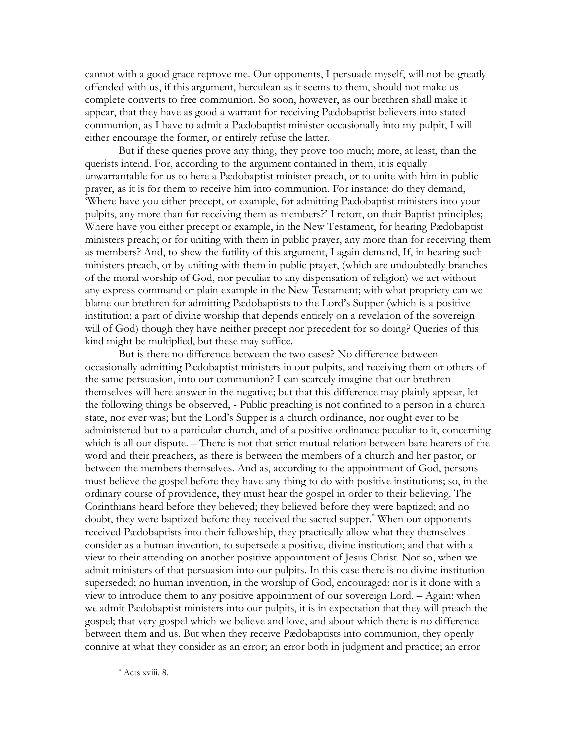cannot with a good grace reprove me. Our opponents, I persuade myself, will not be greatly offended with us, if this argument, herculean as it seems to them, should not make us complete converts to free communion. So soon, however, as our brethren shall make it appear, that they have as good a warrant for receiving Padobaptist believers into stated communion, as I have to admit a Pædobaptist minister occasionally into my pulpit, I will either encourage the former, or entirely refuse the latter.

But if these queries prove any thing, they prove too much; more, at least, than the querists intend. For, according to the argument contained in them, it is equally unwarrantable for us to here a Pædobaptist minister preach, or to unite with him in public prayer, as it is for them to receive him into communion. For instance: do they demand, 'Where have you either precept, or example, for admitting Pædobaptist ministers into your pulpits, any more than for receiving them as members?' I retort, on their Baptist principles; Where have you either precept or example, in the New Testament, for hearing Padobaptist ministers preach; or for uniting with them in public prayer, any more than for receiving them as members? And, to shew the futility of this argument, I again demand, If, in hearing such ministers preach, or by uniting with them in public prayer, (which are undoubtedly branches of the moral worship of God, nor peculiar to any dispensation of religion) we act without any express command or plain example in the New Testament; with what propriety can we blame our brethren for admitting Pædobaptists to the Lord's Supper (which is a positive institution; a part of divine worship that depends entirely on a revelation of the sovereign will of God) though they have neither precept nor precedent for so doing? Queries of this kind might be multiplied, but these may suffice.

But is there no difference between the two cases? No difference between occasionally admitting Pædobaptist ministers in our pulpits, and receiving them or others of the same persuasion, into our communion? I can scarcely imagine that our brethren themselves will here answer in the negative; but that this difference may plainly appear, let the following things be observed, - Public preaching is not confined to a person in a church state, nor ever was; but the Lord's Supper is a church ordinance, nor ought ever to be administered but to a particular church, and of a positive ordinance peculiar to it, concerning which is all our dispute. – There is not that strict mutual relation between bare hearers of the word and their preachers, as there is between the members of a church and her pastor, or between the members themselves. And as, according to the appointment of God, persons must believe the gospel before they have any thing to do with positive institutions; so, in the ordinary course of providence, they must hear the gospel in order to their believing. The Corinthians heard before they believed; they believed before they were baptized; and no doubt, they were baptized before they received the sacred supper.<sup>\*</sup> When our opponents received Padobaptists into their fellowship, they practically allow what they themselves consider as a human invention, to supersede a positive, divine institution; and that with a view to their attending on another positive appointment of Jesus Christ. Not so, when we admit ministers of that persuasion into our pulpits. In this case there is no divine institution superseded; no human invention, in the worship of God, encouraged: nor is it done with a view to introduce them to any positive appointment of our sovereign Lord. - Again: when we admit Pædobaptist ministers into our pulpits, it is in expectation that they will preach the gospel; that very gospel which we believe and love, and about which there is no difference between them and us. But when they receive Pædobaptists into communion, they openly connive at what they consider as an error; an error both in judgment and practice; an error

<sup>\*</sup> Acts xviii, 8.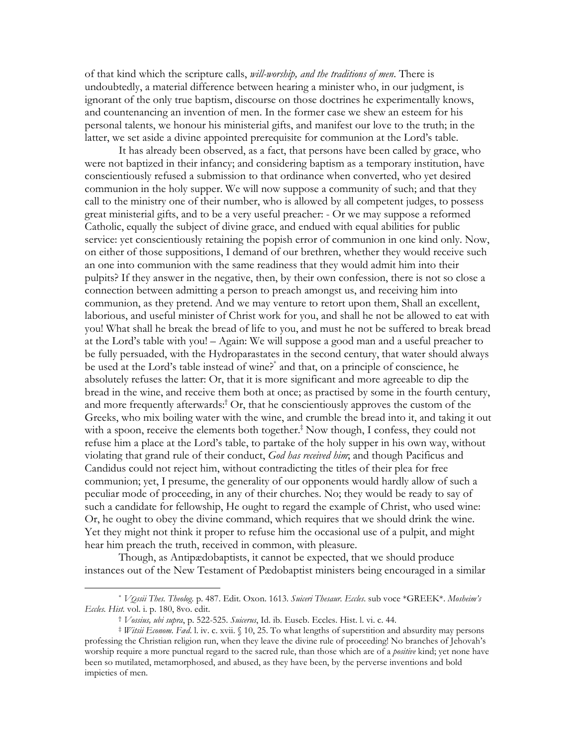of that kind which the scripture calls, *will-worship, and the traditions of men*. There is undoubtedly, a material difference between hearing a minister who, in our judgment, is ignorant of the only true baptism, discourse on those doctrines he experimentally knows, and countenancing an invention of men. In the former case we shew an esteem for his personal talents, we honour his ministerial gifts, and manifest our love to the truth; in the latter, we set aside a divine appointed prerequisite for communion at the Lord's table.

It has already been observed, as a fact, that persons have been called by grace, who were not baptized in their infancy; and considering baptism as a temporary institution, have conscientiously refused a submission to that ordinance when converted, who yet desired communion in the holy supper. We will now suppose a community of such; and that they call to the ministry one of their number, who is allowed by all competent judges, to possess great ministerial gifts, and to be a very useful preacher: - Or we may suppose a reformed Catholic, equally the subject of divine grace, and endued with equal abilities for public service: yet conscientiously retaining the popish error of communion in one kind only. Now, on either of those suppositions, I demand of our brethren, whether they would receive such an one into communion with the same readiness that they would admit him into their pulpits? If they answer in the negative, then, by their own confession, there is not so close a connection between admitting a person to preach amongst us, and receiving him into communion, as they pretend. And we may venture to retort upon them, Shall an excellent, laborious, and useful minister of Christ work for you, and shall he not be allowed to eat with you! What shall he break the bread of life to you, and must he not be suffered to break bread at the Lord's table with you! - Again: We will suppose a good man and a useful preacher to be fully persuaded, with the Hydroparastates in the second century, that water should always be used at the Lord's table instead of wine?<sup>\*</sup> and that, on a principle of conscience, he absolutely refuses the latter: Or, that it is more significant and more agreeable to dip the bread in the wine, and receive them both at once; as practised by some in the fourth century, and more frequently afterwards:<sup>†</sup> Or, that he conscientiously approves the custom of the Greeks, who mix boiling water with the wine, and crumble the bread into it, and taking it out with a spoon, receive the elements both together.<sup>‡</sup> Now though, I confess, they could not refuse him a place at the Lord's table, to partake of the holy supper in his own way, without violating that grand rule of their conduct, God has received him; and though Pacificus and Candidus could not reject him, without contradicting the titles of their plea for free communion; yet, I presume, the generality of our opponents would hardly allow of such a peculiar mode of proceeding, in any of their churches. No; they would be ready to say of such a candidate for fellowship, He ought to regard the example of Christ, who used wine: Or, he ought to obey the divine command, which requires that we should drink the wine. Yet they might not think it proper to refuse him the occasional use of a pulpit, and might hear him preach the truth, received in common, with pleasure.

Though, as Antipædobaptists, it cannot be expected, that we should produce instances out of the New Testament of Pædobaptist ministers being encouraged in a similar

<sup>\*</sup> VOssii Thes. Theolog. p. 487. Edit. Oxon. 1613. Suiceri Thesaur. Eccles. sub voce \*GREEK\*. Mosheim's Eccles. Hist. vol. i. p. 180, 8vo. edit.

<sup>&</sup>lt;sup>†</sup> Vossius, ubi supra, p. 522-525. Suicerus, Id. ib. Euseb. Eccles. Hist. l. vi. c. 44.

*Vitsii Econom. Fad. l. iv. c. xvii.* § 10, 25. To what lengths of superstition and absurdity may persons professing the Christian religion run, when they leave the divine rule of proceeding! No branches of Jehovah's worship require a more punctual regard to the sacred rule, than those which are of a *positive* kind; yet none have been so mutilated, metamorphosed, and abused, as they have been, by the perverse inventions and bold impieties of men.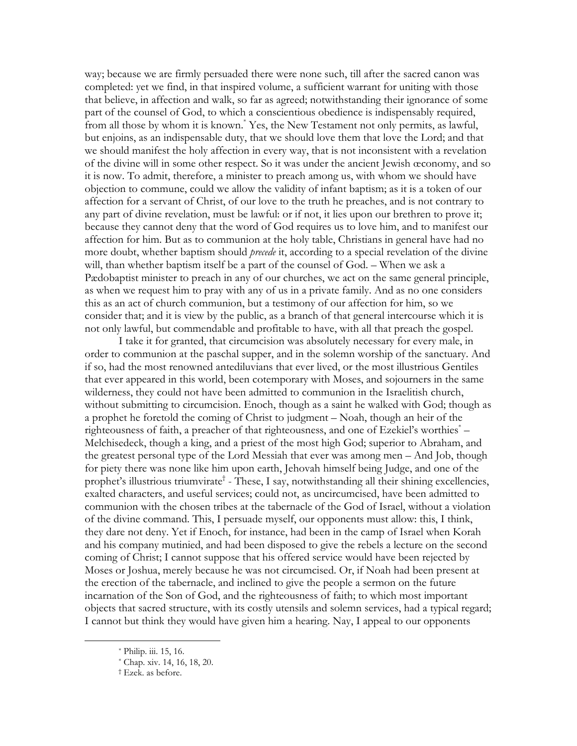way; because we are firmly persuaded there were none such, till after the sacred canon was completed: yet we find, in that inspired volume, a sufficient warrant for uniting with those that believe, in affection and walk, so far as agreed; notwithstanding their ignorance of some part of the counsel of God, to which a conscientious obedience is indispensably required, from all those by whom it is known.<sup>\*</sup> Yes, the New Testament not only permits, as lawful, but enjoins, as an indispensable duty, that we should love them that love the Lord; and that we should manifest the holy affection in every way, that is not inconsistent with a revelation of the divine will in some other respect. So it was under the ancient Jewish œconomy, and so it is now. To admit, therefore, a minister to preach among us, with whom we should have objection to commune, could we allow the validity of infant baptism; as it is a token of our affection for a servant of Christ, of our love to the truth he preaches, and is not contrary to any part of divine revelation, must be lawful: or if not, it lies upon our brethren to prove it; because they cannot deny that the word of God requires us to love him, and to manifest our affection for him. But as to communion at the holy table, Christians in general have had no more doubt, whether baptism should *precede* it, according to a special revelation of the divine will, than whether baptism itself be a part of the counsel of God. – When we ask a Pædobaptist minister to preach in any of our churches, we act on the same general principle, as when we request him to pray with any of us in a private family. And as no one considers this as an act of church communion, but a testimony of our affection for him, so we consider that; and it is view by the public, as a branch of that general intercourse which it is not only lawful, but commendable and profitable to have, with all that preach the gospel.

I take it for granted, that circumcision was absolutely necessary for every male, in order to communion at the paschal supper, and in the solemn worship of the sanctuary. And if so, had the most renowned antediluvians that ever lived, or the most illustrious Gentiles that ever appeared in this world, been cotemporary with Moses, and sojourners in the same wilderness, they could not have been admitted to communion in the Israelitish church, without submitting to circumcision. Enoch, though as a saint he walked with God; though as a prophet he foretold the coming of Christ to judgment - Noah, though an heir of the righteousness of faith, a preacher of that righteousness, and one of Ezekiel's worthies<sup>\*</sup> – Melchisedeck, though a king, and a priest of the most high God; superior to Abraham, and the greatest personal type of the Lord Messiah that ever was among men - And Job, though for piety there was none like him upon earth, Jehovah himself being Judge, and one of the prophet's illustrious triumvirate<sup>†</sup> - These, I say, notwithstanding all their shining excellencies, exalted characters, and useful services; could not, as uncircumcised, have been admitted to communion with the chosen tribes at the tabernacle of the God of Israel, without a violation of the divine command. This, I persuade myself, our opponents must allow: this, I think, they dare not deny. Yet if Enoch, for instance, had been in the camp of Israel when Korah and his company mutinied, and had been disposed to give the rebels a lecture on the second coming of Christ; I cannot suppose that his offered service would have been rejected by Moses or Joshua, merely because he was not circumcised. Or, if Noah had been present at the erection of the tabernacle, and inclined to give the people a sermon on the future incarnation of the Son of God, and the righteousness of faith; to which most important objects that sacred structure, with its costly utensils and solemn services, had a typical regard; I cannot but think they would have given him a hearing. Nay, I appeal to our opponents

<sup>\*</sup> Philip. iii. 15, 16.

<sup>\*</sup> Chap. xiv. 14, 16, 18, 20.

<sup>&</sup>lt;sup>†</sup> Ezek. as before.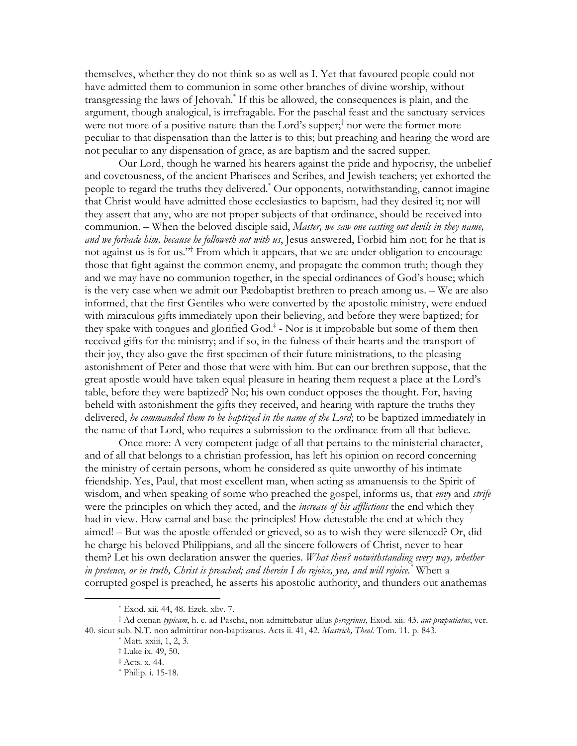themselves, whether they do not think so as well as I. Yet that favoured people could not have admitted them to communion in some other branches of divine worship, without transgressing the laws of Jehovah.<sup>\*</sup> If this be allowed, the consequences is plain, and the argument, though analogical, is irrefragable. For the paschal feast and the sanctuary services were not more of a positive nature than the Lord's supper;<sup>†</sup> nor were the former more peculiar to that dispensation than the latter is to this; but preaching and hearing the word are not peculiar to any dispensation of grace, as are baptism and the sacred supper.

Our Lord, though he warned his hearers against the pride and hypocrisy, the unbelief and covetousness, of the ancient Pharisees and Scribes, and Jewish teachers; yet exhorted the people to regard the truths they delivered.<sup>\*</sup> Our opponents, notwithstanding, cannot imagine that Christ would have admitted those ecclesiastics to baptism, had they desired it; nor will they assert that any, who are not proper subjects of that ordinance, should be received into communion. - When the beloved disciple said, *Master, we saw one casting out devils in they name*, and we forbade him, because he followeth not with us, Jesus answered, Forbid him not; for he that is not against us is for us."<sup>†</sup> From which it appears, that we are under obligation to encourage those that fight against the common enemy, and propagate the common truth; though they and we may have no communion together, in the special ordinances of God's house; which is the very case when we admit our Pædobaptist brethren to preach among us. — We are also informed, that the first Gentiles who were converted by the apostolic ministry, were endued with miraculous gifts immediately upon their believing, and before they were baptized; for they spake with tongues and glorified  $God.*$  - Nor is it improbable but some of them then received gifts for the ministry; and if so, in the fulness of their hearts and the transport of their joy, they also gave the first specimen of their future ministrations, to the pleasing astonishment of Peter and those that were with him. But can our brethren suppose, that the great apostle would have taken equal pleasure in hearing them request a place at the Lord's table, before they were baptized? No; his own conduct opposes the thought. For, having beheld with astonishment the gifts they received, and hearing with rapture the truths they delivered, he commanded them to be baptized in the name of the Lord; to be baptized immediately in the name of that Lord, who requires a submission to the ordinance from all that believe.

Once more: A very competent judge of all that pertains to the ministerial character, and of all that belongs to a christian profession, has left his opinion on record concerning the ministry of certain persons, whom he considered as quite unworthy of his intimate friendship. Yes, Paul, that most excellent man, when acting as amanuensis to the Spirit of wisdom, and when speaking of some who preached the gospel, informs us, that *envy* and *strife* were the principles on which they acted, and the *increase of his afflictions* the end which they had in view. How carnal and base the principles! How detestable the end at which they aimed! - But was the apostle offended or grieved, so as to wish they were silenced? Or, did he charge his beloved Philippians, and all the sincere followers of Christ, never to hear them? Let his own declaration answer the queries. What then? notwithstanding every way, whether in pretence, or in truth, Christ is preached; and therein I do rejoice, yea, and will rejoice. "When a corrupted gospel is preached, he asserts his apostolic authority, and thunders out anathemas

<sup>\*</sup> Exod. xii. 44, 48. Ezek. xliv. 7.

<sup>†</sup> Ad cœnan typicam, h. e. ad Pascha, non admittebatur ullus peregrinus, Exod. xii. 43. aut praputiatus, ver. 40. sicut sub. N.T. non admittitur non-baptizatus. Acts ii. 41, 42. Mastrich, Theol. Tom. 11. p. 843.

 $*$  Matt. xxiii, 1, 2, 3.

<sup>&</sup>lt;sup>†</sup> Luke ix. 49, 50.

<sup>#</sup> Acts. x. 44.

<sup>\*</sup> Philip. i. 15-18.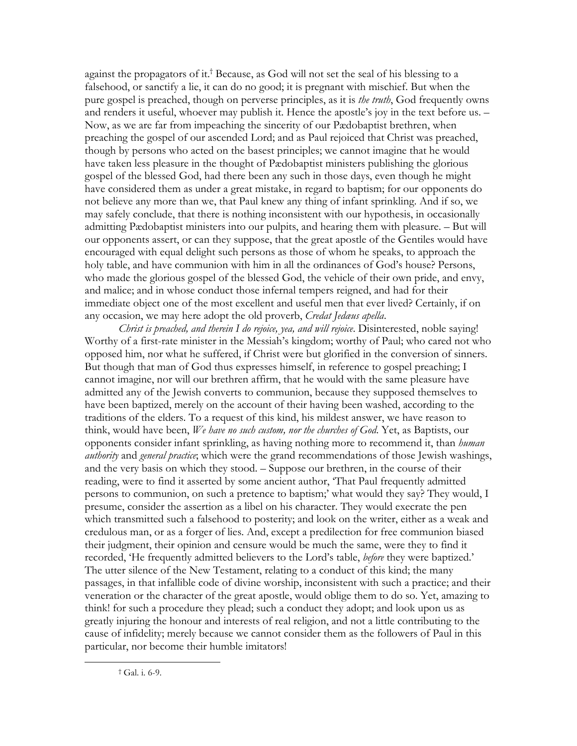against the propagators of it.<sup>†</sup> Because, as God will not set the seal of his blessing to a falsehood, or sanctify a lie, it can do no good; it is pregnant with mischief. But when the pure gospel is preached, though on perverse principles, as it is *the truth*, God frequently owns and renders it useful, whoever may publish it. Hence the apostle's joy in the text before us. -Now, as we are far from impeaching the sincerity of our Pædobaptist brethren, when preaching the gospel of our ascended Lord; and as Paul rejoiced that Christ was preached, though by persons who acted on the basest principles; we cannot imagine that he would have taken less pleasure in the thought of Pædobaptist ministers publishing the glorious gospel of the blessed God, had there been any such in those days, even though he might have considered them as under a great mistake, in regard to baptism; for our opponents do not believe any more than we, that Paul knew any thing of infant sprinkling. And if so, we may safely conclude, that there is nothing inconsistent with our hypothesis, in occasionally admitting Pædobaptist ministers into our pulpits, and hearing them with pleasure. - But will our opponents assert, or can they suppose, that the great apostle of the Gentiles would have encouraged with equal delight such persons as those of whom he speaks, to approach the holy table, and have communion with him in all the ordinances of God's house? Persons, who made the glorious gospel of the blessed God, the vehicle of their own pride, and envy, and malice; and in whose conduct those infernal tempers reigned, and had for their immediate object one of the most excellent and useful men that ever lived? Certainly, if on any occasion, we may here adopt the old proverb, Credat Jedaus apella.

Christ is preached, and therein I do rejoice, yea, and will rejoice. Disinterested, noble saying! Worthy of a first-rate minister in the Messiah's kingdom; worthy of Paul; who cared not who opposed him, nor what he suffered, if Christ were but glorified in the conversion of sinners. But though that man of God thus expresses himself, in reference to gospel preaching; I cannot imagine, nor will our brethren affirm, that he would with the same pleasure have admitted any of the Jewish converts to communion, because they supposed themselves to have been baptized, merely on the account of their having been washed, according to the traditions of the elders. To a request of this kind, his mildest answer, we have reason to think, would have been, We have no such custom, nor the churches of God. Yet, as Baptists, our opponents consider infant sprinkling, as having nothing more to recommend it, than human *authority* and *general practice*; which were the grand recommendations of those Jewish washings, and the very basis on which they stood. – Suppose our brethren, in the course of their reading, were to find it asserted by some ancient author, 'That Paul frequently admitted persons to communion, on such a pretence to baptism;' what would they say? They would, I presume, consider the assertion as a libel on his character. They would execrate the pen which transmitted such a falsehood to posterity; and look on the writer, either as a weak and credulous man, or as a forger of lies. And, except a predilection for free communion biased their judgment, their opinion and censure would be much the same, were they to find it recorded, 'He frequently admitted believers to the Lord's table, before they were baptized.' The utter silence of the New Testament, relating to a conduct of this kind; the many passages, in that infallible code of divine worship, inconsistent with such a practice; and their veneration or the character of the great apostle, would oblige them to do so. Yet, amazing to think! for such a procedure they plead; such a conduct they adopt; and look upon us as greatly injuring the honour and interests of real religion, and not a little contributing to the cause of infidelity; merely because we cannot consider them as the followers of Paul in this particular, nor become their humble imitators!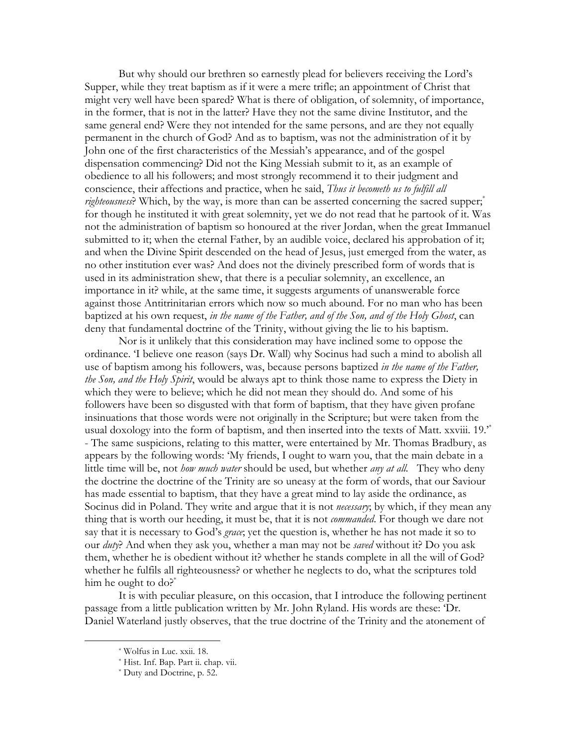But why should our brethren so earnestly plead for believers receiving the Lord's Supper, while they treat baptism as if it were a mere trifle; an appointment of Christ that might very well have been spared? What is there of obligation, of solemnity, of importance, in the former, that is not in the latter? Have they not the same divine Institutor, and the same general end? Were they not intended for the same persons, and are they not equally permanent in the church of God? And as to baptism, was not the administration of it by John one of the first characteristics of the Messiah's appearance, and of the gospel dispensation commencing? Did not the King Messiah submit to it, as an example of obedience to all his followers; and most strongly recommend it to their judgment and conscience, their affections and practice, when he said, Thus it becometh us to fulfill all righteousness? Which, by the way, is more than can be asserted concerning the sacred supper,<sup>\*</sup> for though he instituted it with great solemnity, yet we do not read that he partook of it. Was not the administration of baptism so honoured at the river Jordan, when the great Immanuel submitted to it; when the eternal Father, by an audible voice, declared his approbation of it; and when the Divine Spirit descended on the head of Jesus, just emerged from the water, as no other institution ever was? And does not the divinely prescribed form of words that is used in its administration shew, that there is a peculiar solemnity, an excellence, an importance in it? while, at the same time, it suggests arguments of unanswerable force against those Antitrinitarian errors which now so much abound. For no man who has been baptized at his own request, in the name of the Father, and of the Son, and of the Holy Ghost, can deny that fundamental doctrine of the Trinity, without giving the lie to his baptism.

Nor is it unlikely that this consideration may have inclined some to oppose the ordinance. T believe one reason (says Dr. Wall) why Socinus had such a mind to abolish all use of baptism among his followers, was, because persons baptized in the name of the Father, the Son, and the Holy Spirit, would be always apt to think those name to express the Diety in which they were to believe; which he did not mean they should do. And some of his followers have been so disgusted with that form of baptism, that they have given profane insinuations that those words were not originally in the Scripture; but were taken from the usual doxology into the form of baptism, and then inserted into the texts of Matt. xxviii. 19.<sup>\*</sup> - The same suspicions, relating to this matter, were entertained by Mr. Thomas Bradbury, as appears by the following words: 'My friends, I ought to warn you, that the main debate in a little time will be, not *how much water* should be used, but whether *any at all.* They who deny the doctrine the doctrine of the Trinity are so uneasy at the form of words, that our Saviour has made essential to baptism, that they have a great mind to lay aside the ordinance, as Socinus did in Poland. They write and argue that it is not *necessary*; by which, if they mean any thing that is worth our heeding, it must be, that it is not *commanded*. For though we dare not say that it is necessary to God's grace; yet the question is, whether he has not made it so to our *duty*? And when they ask you, whether a man may not be *saved* without it? Do you ask them, whether he is obedient without it? whether he stands complete in all the will of God? whether he fulfils all righteousness? or whether he neglects to do, what the scriptures told him he ought to  $do?$ <sup>\*</sup>

It is with peculiar pleasure, on this occasion, that I introduce the following pertinent passage from a little publication written by Mr. John Ryland. His words are these: 'Dr. Daniel Waterland justly observes, that the true doctrine of the Trinity and the atonement of

<sup>\*</sup> Wolfus in Luc. xxii. 18.

<sup>\*</sup> Hist. Inf. Bap. Part ii. chap. vii.

<sup>\*</sup> Duty and Doctrine, p. 52.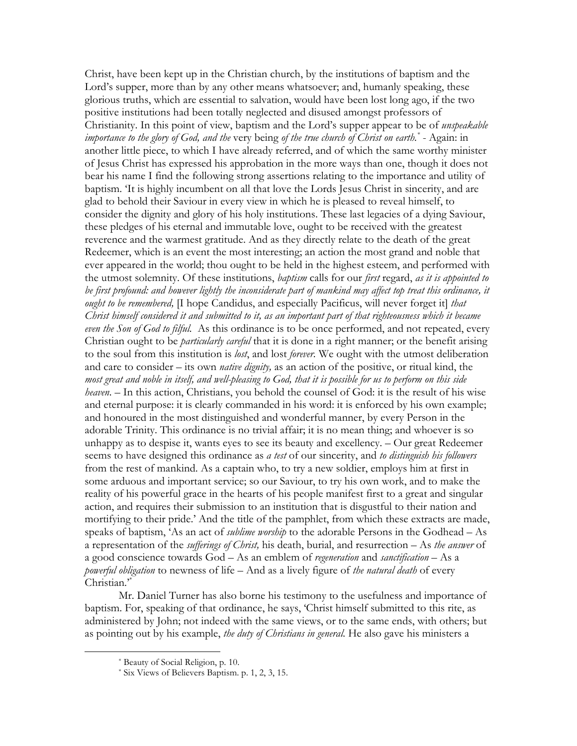Christ, have been kept up in the Christian church, by the institutions of baptism and the Lord's supper, more than by any other means whatsoever; and, humanly speaking, these glorious truths, which are essential to salvation, would have been lost long ago, if the two positive institutions had been totally neglected and disused amongst professors of Christianity. In this point of view, baptism and the Lord's supper appear to be of *unspeakable importance to the glory of God, and the very being of the true church of Christ on earth*.<sup>\*</sup> - Again: in another little piece, to which I have already referred, and of which the same worthy minister of Jesus Christ has expressed his approbation in the more ways than one, though it does not bear his name I find the following strong assertions relating to the importance and utility of baptism. The is highly incumbent on all that love the Lords Jesus Christ in sincerity, and are glad to behold their Saviour in every view in which he is pleased to reveal himself, to consider the dignity and glory of his holy institutions. These last legacies of a dying Saviour, these pledges of his eternal and immutable love, ought to be received with the greatest reverence and the warmest gratitude. And as they directly relate to the death of the great Redeemer, which is an event the most interesting; an action the most grand and noble that ever appeared in the world; thou ought to be held in the highest esteem, and performed with the utmost solemnity. Of these institutions, *baptism* calls for our *first* regard, as it is appointed to be first profound: and however lightly the inconsiderate part of mankind may affect top treat this ordinance, it ought to be remembered, [I hope Candidus, and especially Pacificus, will never forget it] that Christ himself considered it and submitted to it, as an important part of that righteousness which it became even the Son of God to filful. As this ordinance is to be once performed, and not repeated, every Christian ought to be *particularly careful* that it is done in a right manner; or the benefit arising to the soul from this institution is lost, and lost forever. We ought with the utmost deliberation and care to consider – its own *native dignity*, as an action of the positive, or ritual kind, the most great and noble in itself, and well-pleasing to God, that it is possible for us to perform on this side heaven. - In this action, Christians, you behold the counsel of God: it is the result of his wise and eternal purpose: it is clearly commanded in his word: it is enforced by his own example; and honoured in the most distinguished and wonderful manner, by every Person in the adorable Trinity. This ordinance is no trivial affair; it is no mean thing; and whoever is so unhappy as to despise it, wants eyes to see its beauty and excellency. - Our great Redeemer seems to have designed this ordinance as a test of our sincerity, and to distinguish his followers from the rest of mankind. As a captain who, to try a new soldier, employs him at first in some arduous and important service; so our Saviour, to try his own work, and to make the reality of his powerful grace in the hearts of his people manifest first to a great and singular action, and requires their submission to an institution that is disgustful to their nation and mortifying to their pride.' And the title of the pamphlet, from which these extracts are made, speaks of baptism, 'As an act of *sublime worship* to the adorable Persons in the Godhead - As a representation of the *sufferings of Christ*, his death, burial, and resurrection – As the answer of a good conscience towards God - As an emblem of regeneration and sanctification - As a powerful obligation to newness of life - And as a lively figure of the natural death of every Christian."

Mr. Daniel Turner has also borne his testimony to the usefulness and importance of baptism. For, speaking of that ordinance, he says, 'Christ himself submitted to this rite, as administered by John; not indeed with the same views, or to the same ends, with others; but as pointing out by his example, the duty of Christians in general. He also gave his ministers a

<sup>\*</sup> Beauty of Social Religion, p. 10.

<sup>\*</sup> Six Views of Believers Baptism. p. 1, 2, 3, 15.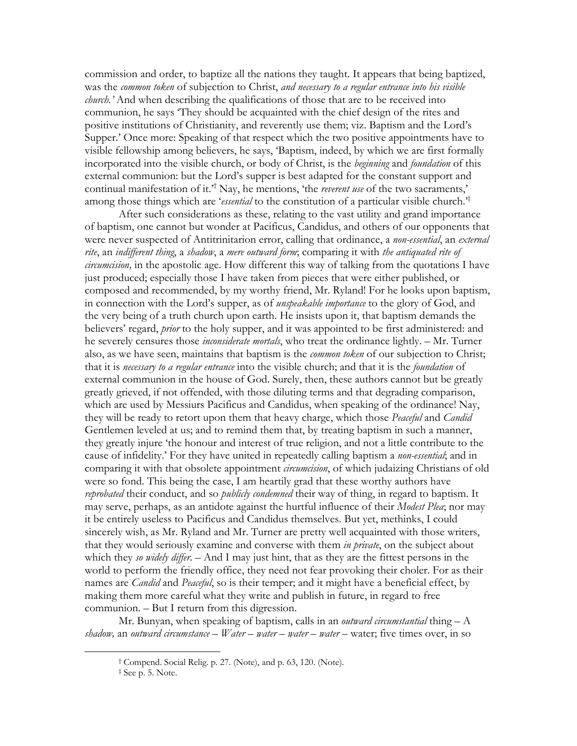commission and order, to baptize all the nations they taught. It appears that being baptized, was the *common token* of subjection to Christ, and necessary to a regular entrance into his visible *church*.' And when describing the qualifications of those that are to be received into communion, he says 'They should be acquainted with the chief design of the rites and positive institutions of Christianity, and reverently use them; viz. Baptism and the Lord's Supper.' Once more: Speaking of that respect which the two positive appointments have to visible fellowship among believers, he says, 'Baptism, indeed, by which we are first formally incorporated into the visible church, or body of Christ, is the *beginning* and *foundation* of this external communion: but the Lord's supper is best adapted for the constant support and continual manifestation of it.<sup>3†</sup> Nay, he mentions, 'the *reverent use* of the two sacraments,' among those things which are '*essential* to the constitution of a particular visible church.<sup>\*</sup>

After such considerations as these, relating to the vast utility and grand importance of baptism, one cannot but wonder at Pacificus, Candidus, and others of our opponents that were never suspected of Antitrinitarion error, calling that ordinance, a *non-essential*, an external rite, an indifferent thing, a shadow, a mere outward form; comparing it with the antiquated rite of *circumcision*, in the apostolic age. How different this way of talking from the quotations I have just produced; especially those I have taken from pieces that were either published, or composed and recommended, by my worthy friend, Mr. Ryland! For he looks upon baptism, in connection with the Lord's supper, as of *unspeakable importance* to the glory of God, and the very being of a truth church upon earth. He insists upon it, that baptism demands the believers' regard, *prior* to the holy supper, and it was appointed to be first administered: and he severely censures those *inconsiderate mortals*, who treat the ordinance lightly. - Mr. Turner also, as we have seen, maintains that baptism is the *common token* of our subjection to Christ; that it is necessary to a regular entrance into the visible church; and that it is the foundation of external communion in the house of God. Surely, then, these authors cannot but be greatly greatly grieved, if not offended, with those diluting terms and that degrading comparison, which are used by Messiurs Pacificus and Candidus, when speaking of the ordinance! Nay, they will be ready to retort upon them that heavy charge, which those Peaceful and Candid Gentlemen leveled at us; and to remind them that, by treating baptism in such a manner, they greatly injure 'the honour and interest of true religion, and not a little contribute to the cause of infidelity.' For they have united in repeatedly calling baptism a non-essential; and in comparing it with that obsolete appointment circumcision, of which judaizing Christians of old were so fond. This being the case, I am heartily grad that these worthy authors have reprobated their conduct, and so *publicly condemned* their way of thing, in regard to baptism. It may serve, perhaps, as an antidote against the hurtful influence of their Modest Plea; nor may it be entirely useless to Pacificus and Candidus themselves. But yet, methinks, I could sincerely wish, as Mr. Ryland and Mr. Turner are pretty well acquainted with those writers, that they would seriously examine and converse with them *in private*, on the subject about which they so widely differ. - And I may just hint, that as they are the fittest persons in the world to perform the friendly office, they need not fear provoking their choler. For as their names are *Candid* and *Peaceful*, so is their temper; and it might have a beneficial effect, by making them more careful what they write and publish in future, in regard to free communion. – But I return from this digression.

Mr. Bunyan, when speaking of baptism, calls in an *outward circumstantial* thing  $- A$ shadow, an outward circumstance – Water – water – water – water – water; five times over, in so

<sup>&</sup>lt;sup>†</sup> Compend. Social Relig. p. 27. (Note), and p. 63, 120. (Note).

<sup>&</sup>lt;sup>‡</sup> See p. 5. Note.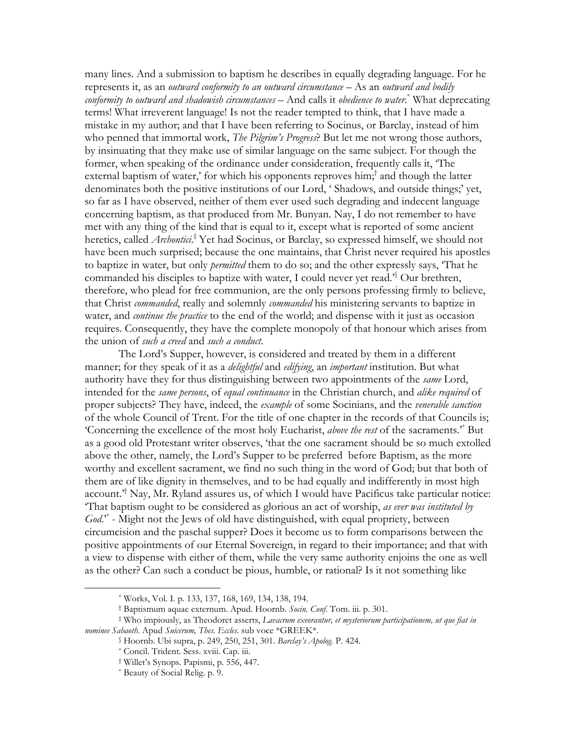many lines. And a submission to baptism he describes in equally degrading language. For he represents it, as an outward conformity to an outward circumstance - As an outward and bodily conformity to outward and shadowish circumstances  $-$  And calls it obedience to water.<sup>\*</sup> What deprecating terms! What irreverent language! Is not the reader tempted to think, that I have made a mistake in my author; and that I have been referring to Socinus, or Barclay, instead of him who penned that immortal work, *The Pilgrim's Progress*? But let me not wrong those authors, by insinuating that they make use of similar language on the same subject. For though the former, when speaking of the ordinance under consideration, frequently calls it, The external baptism of water,' for which his opponents reproves  $\lim_{n \to \infty}$  and though the latter denominates both the positive institutions of our Lord, 'Shadows, and outside things;' yet, so far as I have observed, neither of them ever used such degrading and indecent language concerning baptism, as that produced from Mr. Bunyan. Nay, I do not remember to have met with any thing of the kind that is equal to it, except what is reported of some ancient heretics, called *Archontici*<sup>‡</sup> Yet had Socinus, or Barclay, so expressed himself, we should not have been much surprised; because the one maintains, that Christ never required his apostles to baptize in water, but only *permitted* them to do so; and the other expressly says, That he commanded his disciples to baptize with water, I could never yet read.<sup>56</sup> Our brethren, therefore, who plead for free communion, are the only persons professing firmly to believe, that Christ commanded, really and solemnly commanded his ministering servants to baptize in water, and *continue the practice* to the end of the world; and dispense with it just as occasion requires. Consequently, they have the complete monopoly of that honour which arises from the union of such a creed and such a conduct.

The Lord's Supper, however, is considered and treated by them in a different manner; for they speak of it as a *delightful* and *edifying*, an *important* institution. But what authority have they for thus distinguishing between two appointments of the same Lord, intended for the same persons, of equal continuance in the Christian church, and alike required of proper subjects? They have, indeed, the *example* of some Socinians, and the *venerable sanction* of the whole Council of Trent. For the title of one chapter in the records of that Councils is; 'Concerning the excellence of the most holy Eucharist, above the rest of the sacraments.'<sup>\*</sup> But as a good old Protestant writer observes, 'that the one sacrament should be so much extolled above the other, namely, the Lord's Supper to be preferred before Baptism, as the more worthy and excellent sacrament, we find no such thing in the word of God; but that both of them are of like dignity in themselves, and to be had equally and indifferently in most high  $\alpha$  account.<sup> $\tau^{\dagger}$ </sup> Nay, Mr. Ryland assures us, of which I would have Pacificus take particular notice: That baptism ought to be considered as glorious an act of worship, as ever was instituted by  $God.''.$  Might not the Jews of old have distinguished, with equal propriety, between circumcision and the paschal supper? Does it become us to form comparisons between the positive appointments of our Eternal Sovereign, in regard to their importance; and that with a view to dispense with either of them, while the very same authority enjoins the one as well as the other? Can such a conduct be pious, humble, or rational? Is it not something like

<sup>\*</sup> Works, Vol. I. p. 133, 137, 168, 169, 134, 138, 194.

<sup>†</sup> Baptismum aquae externum. Apud. Hoornb. Socin. Conf. Tom. iii. p. 301.

<sup>#</sup> Who impiously, as Theodoret asserts, Lavacrum exeorantur, et mysteriorum participationem, ut que fiat in nominee Sabaoth. Apud Suicerum, Thes. Eccles. sub voce \*GREEK\*.

<sup>§</sup> Hoornb. Ubi supra, p. 249, 250, 251, 301. Barclay's Apolog. P. 424.

<sup>\*</sup> Concil. Trident. Sess. xviii. Cap. iii.

<sup>†</sup> Willet's Synops. Papismi, p. 556, 447.

<sup>\*</sup> Beauty of Social Relig. p. 9.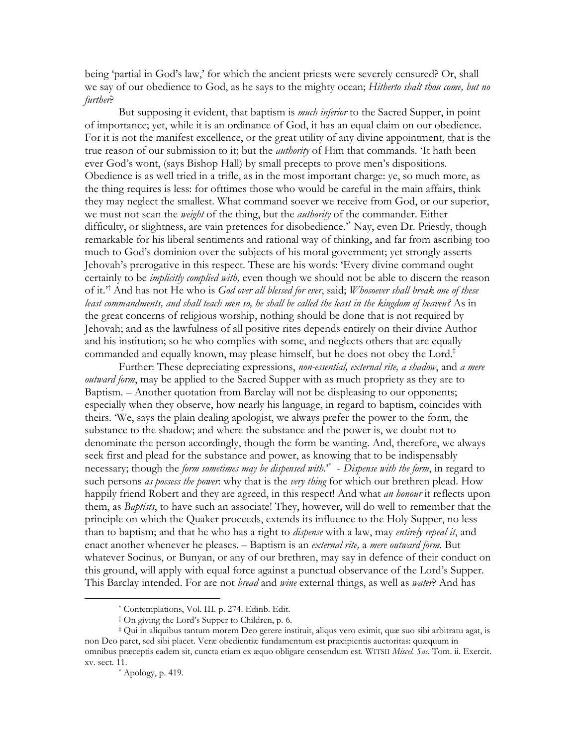being 'partial in God's law,' for which the ancient priests were severely censured? Or, shall we say of our obedience to God, as he says to the mighty ocean; Hitherto shalt thou come, but no further?

But supposing it evident, that baptism is *much inferior* to the Sacred Supper, in point of importance; yet, while it is an ordinance of God, it has an equal claim on our obedience. For it is not the manifest excellence, or the great utility of any divine appointment, that is the true reason of our submission to it; but the *authority* of Him that commands. 'It hath been ever God's wont, (says Bishop Hall) by small precepts to prove men's dispositions. Obedience is as well tried in a trifle, as in the most important charge: ye, so much more, as the thing requires is less: for ofttimes those who would be careful in the main affairs, think they may neglect the smallest. What command soever we receive from God, or our superior, we must not scan the *weight* of the thing, but the *authority* of the commander. Either difficulty, or slightness, are vain pretences for disobedience.<sup>\*</sup> Nay, even Dr. Priestly, though remarkable for his liberal sentiments and rational way of thinking, and far from ascribing too much to God's dominion over the subjects of his moral government; yet strongly asserts Jehovah's prerogative in this respect. These are his words: 'Every divine command ought certainly to be *implicitly complied with*, even though we should not be able to discern the reason of it.<sup>2†</sup> And has not He who is God over all blessed for ever, said; Whosoever shall break one of these least commandments, and shall teach men so, he shall be called the least in the kingdom of heaven? As in the great concerns of religious worship, nothing should be done that is not required by Jehovah; and as the lawfulness of all positive rites depends entirely on their divine Author and his institution; so he who complies with some, and neglects others that are equally commanded and equally known, may please himself, but he does not obey the Lord.<sup>‡</sup>

Further: These depreciating expressions, *non-essential*, *external rite, a shadow*, and *a mere outward form*, may be applied to the Sacred Supper with as much propriety as they are to Baptism. – Another quotation from Barclay will not be displeasing to our opponents; especially when they observe, how nearly his language, in regard to baptism, coincides with theirs. We, says the plain dealing apologist, we always prefer the power to the form, the substance to the shadow; and where the substance and the power is, we doubt not to denominate the person accordingly, though the form be wanting. And, therefore, we always seek first and plead for the substance and power, as knowing that to be indispensably necessary; though the *form sometimes may be dispensed with*.<sup>\*</sup> - Dispense with the form, in regard to such persons as possess the power: why that is the very thing for which our brethren plead. How happily friend Robert and they are agreed, in this respect! And what *an honour* it reflects upon them, as *Baptists*, to have such an associate! They, however, will do well to remember that the principle on which the Quaker proceeds, extends its influence to the Holy Supper, no less than to baptism; and that he who has a right to *dispense* with a law, may entirely repeal it, and enact another whenever he pleases. - Baptism is an *external rite*, a *mere outward form*. But whatever Socinus, or Bunyan, or any of our brethren, may say in defence of their conduct on this ground, will apply with equal force against a punctual observance of the Lord's Supper. This Barclay intended. For are not *bread* and *wine* external things, as well as *water*? And has

<sup>\*</sup> Contemplations, Vol. III. p. 274. Edinb. Edit.

<sup>&</sup>lt;sup>†</sup> On giving the Lord's Supper to Children, p. 6.

<sup>‡</sup> Qui in aliquibus tantum morem Deo gerere instituit, aliqus vero eximit, quæ suo sibi arbitratu agat, is non Deo paret, sed sibi placet. Veræ obedientiæ fundamentum est præcipientis auctoritas: quæquum in omnibus præceptis eadem sit, cuncta etiam ex æquo obligare censendum est. WITSII Miscel. Sac. Tom. ii. Exercit. xv. sect. 11.

 $*$  Apology, p. 419.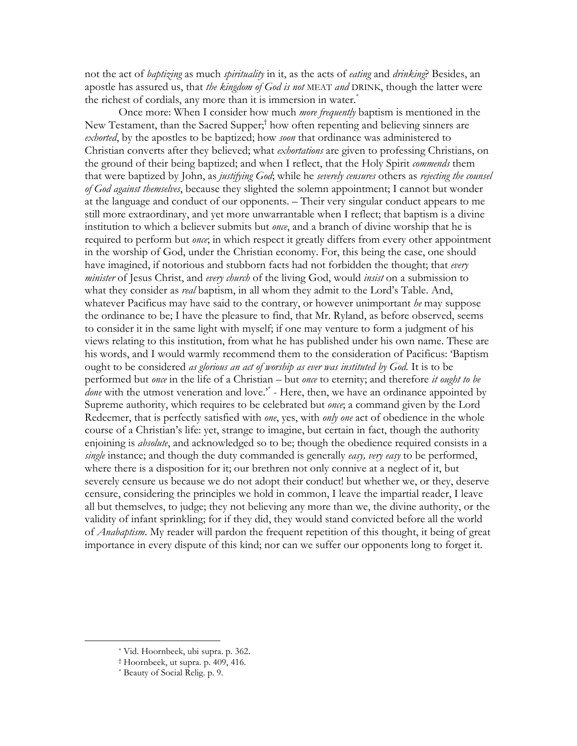not the act of *baptizing* as much *spirituality* in it, as the acts of *eating* and *drinking*? Besides, an apostle has assured us, that the kingdom of God is not MEAT and DRINK, though the latter were the richest of cordials, any more than it is immersion in water.<sup>\*</sup>

Once more: When I consider how much *more frequently* baptism is mentioned in the New Testament, than the Sacred Supper;<sup>†</sup> how often repenting and believing sinners are exhorted, by the apostles to be baptized; how soon that ordinance was administered to Christian converts after they believed; what exhortations are given to professing Christians, on the ground of their being baptized; and when I reflect, that the Holy Spirit commends them that were baptized by John, as justifying God; while he severely censures others as rejecting the counsel of God against themselves, because they slighted the solemn appointment; I cannot but wonder at the language and conduct of our opponents. – Their very singular conduct appears to me still more extraordinary, and yet more unwarrantable when I reflect; that baptism is a divine institution to which a believer submits but *once*, and a branch of divine worship that he is required to perform but *once*; in which respect it greatly differs from every other appointment in the worship of God, under the Christian economy. For, this being the case, one should have imagined, if notorious and stubborn facts had not forbidden the thought; that every minister of Jesus Christ, and every church of the living God, would insist on a submission to what they consider as *real* baptism, in all whom they admit to the Lord's Table. And, whatever Pacificus may have said to the contrary, or however unimportant he may suppose the ordinance to be; I have the pleasure to find, that Mr. Ryland, as before observed, seems to consider it in the same light with myself; if one may venture to form a judgment of his views relating to this institution, from what he has published under his own name. These are his words, and I would warmly recommend them to the consideration of Pacificus: 'Baptism' ought to be considered as glorious an act of worship as ever was instituted by God. It is to be performed but once in the life of a Christian – but once to eternity; and therefore it ought to be *done* with the utmost veneration and love." - Here, then, we have an ordinance appointed by Supreme authority, which requires to be celebrated but once; a command given by the Lord Redeemer, that is perfectly satisfied with one, yes, with only one act of obedience in the whole course of a Christian's life: yet, strange to imagine, but certain in fact, though the authority enjoining is *absolute*, and acknowledged so to be; though the obedience required consists in a single instance; and though the duty commanded is generally easy, very easy to be performed, where there is a disposition for it; our brethren not only connive at a neglect of it, but severely censure us because we do not adopt their conduct! but whether we, or they, deserve censure, considering the principles we hold in common, I leave the impartial reader, I leave all but themselves, to judge; they not believing any more than we, the divine authority, or the validity of infant sprinkling; for if they did, they would stand convicted before all the world of *Anabaptism*. My reader will pardon the frequent repetition of this thought, it being of great importance in every dispute of this kind; nor can we suffer our opponents long to forget it.

<sup>\*</sup> Vid. Hoornbeek, ubi supra. p. 362.

<sup>&</sup>lt;sup>†</sup> Hoornbeek, ut supra. p. 409, 416.

<sup>\*</sup> Beauty of Social Relig. p. 9.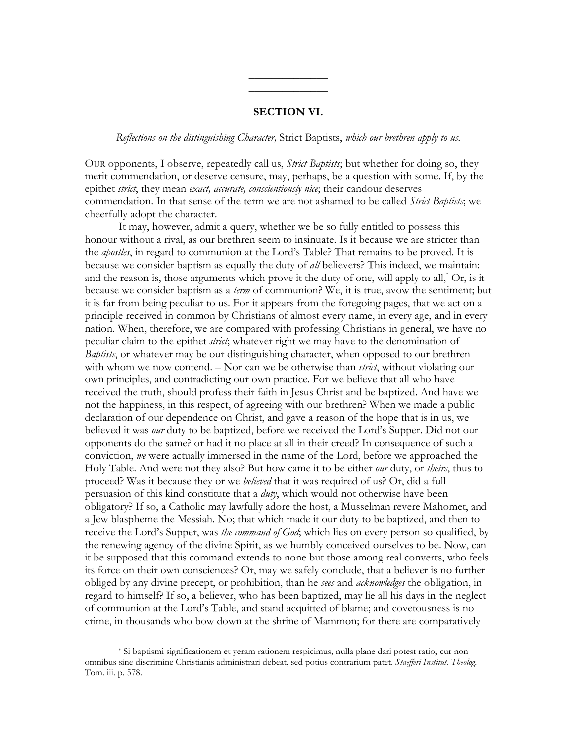## **SECTION VI.**

### Reflections on the distinguishing Character, Strict Baptists, which our brethren apply to us.

OUR opponents, I observe, repeatedly call us, *Strict Baptists*; but whether for doing so, they merit commendation, or deserve censure, may, perhaps, be a question with some. If, by the epithet strict, they mean exact, accurate, conscientiously nice; their candour deserves commendation. In that sense of the term we are not ashamed to be called Strict Baptists, we cheerfully adopt the character.

It may, however, admit a query, whether we be so fully entitled to possess this honour without a rival, as our brethren seem to insinuate. Is it because we are stricter than the *apostles*, in regard to communion at the Lord's Table? That remains to be proved. It is because we consider baptism as equally the duty of *all* believers? This indeed, we maintain: and the reason is, those arguments which prove it the duty of one, will apply to all," Or, is it because we consider baptism as a term of communion? We, it is true, avow the sentiment; but it is far from being peculiar to us. For it appears from the foregoing pages, that we act on a principle received in common by Christians of almost every name, in every age, and in every nation. When, therefore, we are compared with professing Christians in general, we have no peculiar claim to the epithet *strict*, whatever right we may have to the denomination of *Baptists*, or whatever may be our distinguishing character, when opposed to our brethren with whom we now contend. – Nor can we be otherwise than *strict*, without violating our own principles, and contradicting our own practice. For we believe that all who have received the truth, should profess their faith in Jesus Christ and be baptized. And have we not the happiness, in this respect, of agreeing with our brethren? When we made a public declaration of our dependence on Christ, and gave a reason of the hope that is in us, we believed it was *our* duty to be baptized, before we received the Lord's Supper. Did not our opponents do the same? or had it no place at all in their creed? In consequence of such a conviction, we were actually immersed in the name of the Lord, before we approached the Holy Table. And were not they also? But how came it to be either *our* duty, or *theirs*, thus to proceed? Was it because they or we *believed* that it was required of us? Or, did a full persuasion of this kind constitute that a *duty*, which would not otherwise have been obligatory? If so, a Catholic may lawfully adore the host, a Musselman revere Mahomet, and a Jew blaspheme the Messiah. No; that which made it our duty to be baptized, and then to receive the Lord's Supper, was *the command of God*; which lies on every person so qualified, by the renewing agency of the divine Spirit, as we humbly conceived ourselves to be. Now, can it be supposed that this command extends to none but those among real converts, who feels its force on their own consciences? Or, may we safely conclude, that a believer is no further obliged by any divine precept, or prohibition, than he sees and *acknowledges* the obligation, in regard to himself? If so, a believer, who has been baptized, may lie all his days in the neglect of communion at the Lord's Table, and stand acquitted of blame; and covetousness is no crime, in thousands who bow down at the shrine of Mammon; for there are comparatively

<sup>\*</sup> Si baptismi significationem et yeram rationem respicimus, nulla plane dari potest ratio, cur non omnibus sine discrimine Christianis administrari debeat, sed potius contrarium patet. Staefferi Institut. Theolog. Tom. iii. p. 578.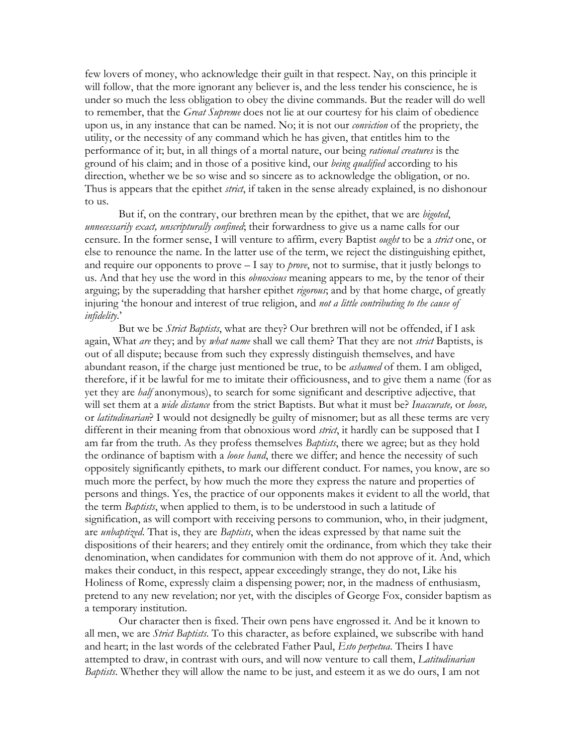few lovers of money, who acknowledge their guilt in that respect. Nay, on this principle it will follow, that the more ignorant any believer is, and the less tender his conscience, he is under so much the less obligation to obey the divine commands. But the reader will do well to remember, that the *Great Supreme* does not lie at our courtesy for his claim of obedience upon us, in any instance that can be named. No; it is not our *conviction* of the propriety, the utility, or the necessity of any command which he has given, that entitles him to the performance of it; but, in all things of a mortal nature, our being *rational creatures* is the ground of his claim; and in those of a positive kind, our *being qualified* according to his direction, whether we be so wise and so sincere as to acknowledge the obligation, or no. Thus is appears that the epithet *strict*, if taken in the sense already explained, is no dishonour to us.

But if, on the contrary, our brethren mean by the epithet, that we are *bigoted*, unnecessarily exact, unscripturally confined; their forwardness to give us a name calls for our censure. In the former sense, I will venture to affirm, every Baptist ought to be a *strict* one, or else to renounce the name. In the latter use of the term, we reject the distinguishing epithet, and require our opponents to prove  $-1$  say to *prove*, not to surmise, that it justly belongs to us. And that hey use the word in this *obnoxious* meaning appears to me, by the tenor of their arguing; by the superadding that harsher epithet rigorous; and by that home charge, of greatly injuring 'the honour and interest of true religion, and not a little contributing to the cause of infidelity.'

But we be *Strict Baptists*, what are they? Our brethren will not be offended, if I ask again, What are they; and by *what name* shall we call them? That they are not *strict* Baptists, is out of all dispute; because from such they expressly distinguish themselves, and have abundant reason, if the charge just mentioned be true, to be *ashamed* of them. I am obliged, therefore, if it be lawful for me to imitate their officiousness, and to give them a name (for as yet they are *half* anonymous), to search for some significant and descriptive adjective, that will set them at a *wide distance* from the strict Baptists. But what it must be? *Inaccurate*, or loose, or *latitudinarian*? I would not designedly be guilty of misnomer; but as all these terms are very different in their meaning from that obnoxious word *strict*, it hardly can be supposed that I am far from the truth. As they profess themselves *Baptists*, there we agree; but as they hold the ordinance of baptism with a loose hand, there we differ; and hence the necessity of such oppositely significantly epithets, to mark our different conduct. For names, you know, are so much more the perfect, by how much the more they express the nature and properties of persons and things. Yes, the practice of our opponents makes it evident to all the world, that the term *Baptists*, when applied to them, is to be understood in such a latitude of signification, as will comport with receiving persons to communion, who, in their judgment, are *unbaptized*. That is, they are *Baptists*, when the ideas expressed by that name suit the dispositions of their hearers; and they entirely omit the ordinance, from which they take their denomination, when candidates for communion with them do not approve of it. And, which makes their conduct, in this respect, appear exceedingly strange, they do not, Like his Holiness of Rome, expressly claim a dispensing power; nor, in the madness of enthusiasm, pretend to any new revelation; nor yet, with the disciples of George Fox, consider baptism as a temporary institution.

Our character then is fixed. Their own pens have engrossed it. And be it known to all men, we are *Strict Baptists*. To this character, as before explained, we subscribe with hand and heart; in the last words of the celebrated Father Paul, *Esto perpetua*. Theirs I have attempted to draw, in contrast with ours, and will now venture to call them, *Latitudinarian Baptists*. Whether they will allow the name to be just, and esteem it as we do ours, I am not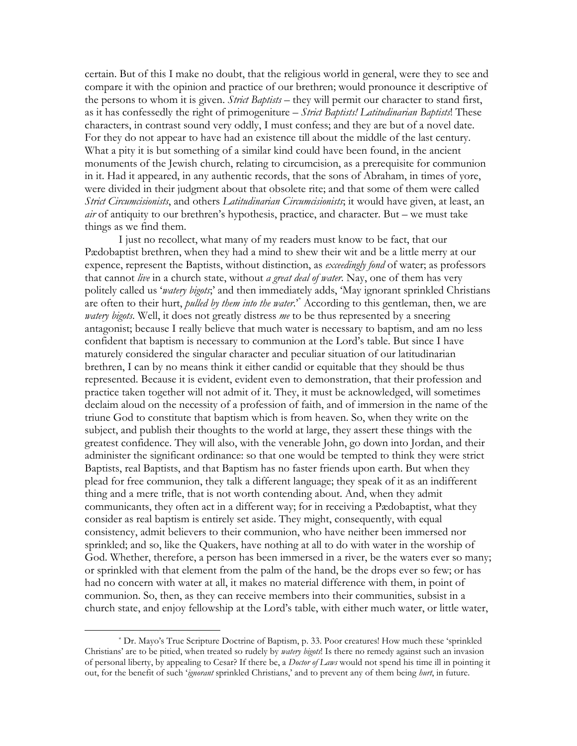certain. But of this I make no doubt, that the religious world in general, were they to see and compare it with the opinion and practice of our brethren; would pronounce it descriptive of the persons to whom it is given. Strict Baptists – they will permit our character to stand first, as it has confessedly the right of primogeniture – Strict Baptists! Latitudinarian Baptists! These characters, in contrast sound very oddly, I must confess; and they are but of a novel date. For they do not appear to have had an existence till about the middle of the last century. What a pity it is but something of a similar kind could have been found, in the ancient monuments of the Jewish church, relating to circumcision, as a prerequisite for communion in it. Had it appeared, in any authentic records, that the sons of Abraham, in times of yore, were divided in their judgment about that obsolete rite; and that some of them were called Strict Circumcisionists, and others Latitudinarian Circumcisionists, it would have given, at least, an *air* of antiquity to our brethren's hypothesis, practice, and character. But – we must take things as we find them.

I just no recollect, what many of my readers must know to be fact, that our Pædobaptist brethren, when they had a mind to shew their wit and be a little merry at our expence, represent the Baptists, without distinction, as *exceedingly fond* of water; as professors that cannot live in a church state, without a great deal of water. Nay, one of them has very politely called us 'watery bigots;' and then immediately adds, 'May ignorant sprinkled Christians are often to their hurt, *pulled by them into the water.*<sup>\*</sup> According to this gentleman, then, we are watery bigots. Well, it does not greatly distress me to be thus represented by a sneering antagonist; because I really believe that much water is necessary to baptism, and am no less confident that baptism is necessary to communion at the Lord's table. But since I have maturely considered the singular character and peculiar situation of our latitudinarian brethren, I can by no means think it either candid or equitable that they should be thus represented. Because it is evident, evident even to demonstration, that their profession and practice taken together will not admit of it. They, it must be acknowledged, will sometimes declaim aloud on the necessity of a profession of faith, and of immersion in the name of the triune God to constitute that baptism which is from heaven. So, when they write on the subject, and publish their thoughts to the world at large, they assert these things with the greatest confidence. They will also, with the venerable John, go down into Jordan, and their administer the significant ordinance: so that one would be tempted to think they were strict Baptists, real Baptists, and that Baptism has no faster friends upon earth. But when they plead for free communion, they talk a different language; they speak of it as an indifferent thing and a mere trifle, that is not worth contending about. And, when they admit communicants, they often act in a different way; for in receiving a Pædobaptist, what they consider as real baptism is entirely set aside. They might, consequently, with equal consistency, admit believers to their communion, who have neither been immersed nor sprinkled; and so, like the Quakers, have nothing at all to do with water in the worship of God. Whether, therefore, a person has been immersed in a river, be the waters ever so many; or sprinkled with that element from the palm of the hand, be the drops ever so few; or has had no concern with water at all, it makes no material difference with them, in point of communion. So, then, as they can receive members into their communities, subsist in a church state, and enjoy fellowship at the Lord's table, with either much water, or little water,

<sup>\*</sup> Dr. Mayo's True Scripture Doctrine of Baptism, p. 33. Poor creatures! How much these 'sprinkled Christians' are to be pitied, when treated so rudely by *watery bigots*! Is there no remedy against such an invasion of personal liberty, by appealing to Cesar? If there be, a *Doctor of Laws* would not spend his time ill in pointing it out, for the benefit of such *'ignorant* sprinkled Christians,' and to prevent any of them being *burt*, in future.